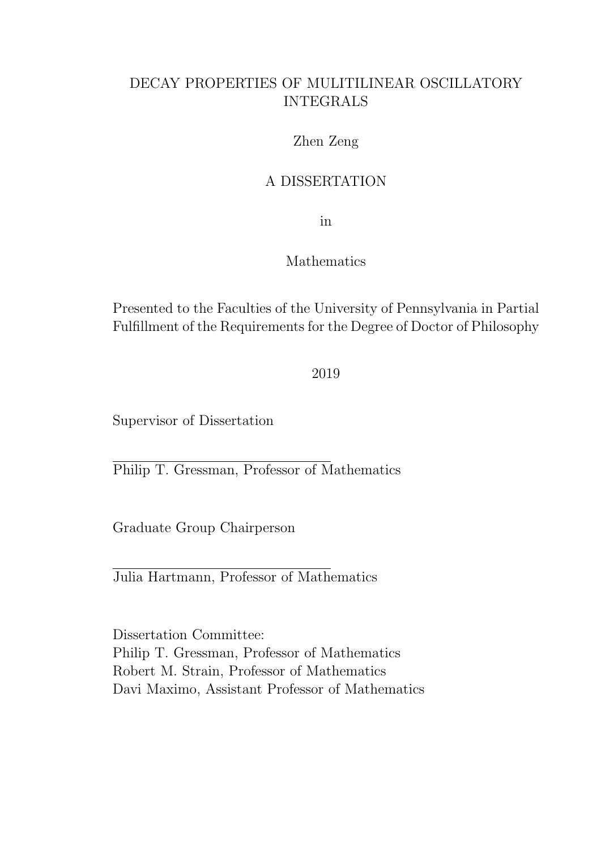### DECAY PROPERTIES OF MULITILINEAR OSCILLATORY INTEGRALS

#### Zhen Zeng

### A DISSERTATION

in

#### Mathematics

Presented to the Faculties of the University of Pennsylvania in Partial Fulfillment of the Requirements for the Degree of Doctor of Philosophy

#### 2019

Supervisor of Dissertation

Philip T. Gressman, Professor of Mathematics

Graduate Group Chairperson

Julia Hartmann, Professor of Mathematics

Dissertation Committee: Philip T. Gressman, Professor of Mathematics Robert M. Strain, Professor of Mathematics Davi Maximo, Assistant Professor of Mathematics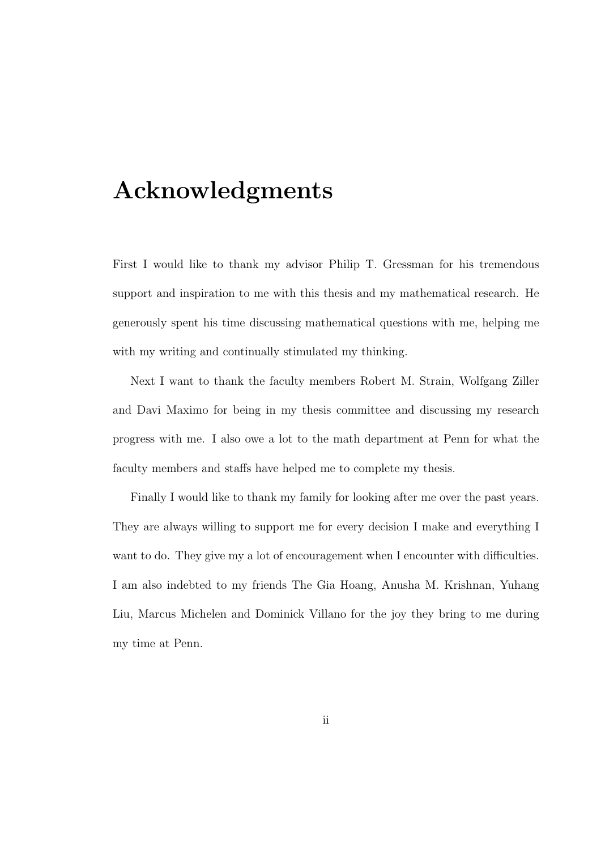## Acknowledgments

First I would like to thank my advisor Philip T. Gressman for his tremendous support and inspiration to me with this thesis and my mathematical research. He generously spent his time discussing mathematical questions with me, helping me with my writing and continually stimulated my thinking.

Next I want to thank the faculty members Robert M. Strain, Wolfgang Ziller and Davi Maximo for being in my thesis committee and discussing my research progress with me. I also owe a lot to the math department at Penn for what the faculty members and staffs have helped me to complete my thesis.

Finally I would like to thank my family for looking after me over the past years. They are always willing to support me for every decision I make and everything I want to do. They give my a lot of encouragement when I encounter with difficulties. I am also indebted to my friends The Gia Hoang, Anusha M. Krishnan, Yuhang Liu, Marcus Michelen and Dominick Villano for the joy they bring to me during my time at Penn.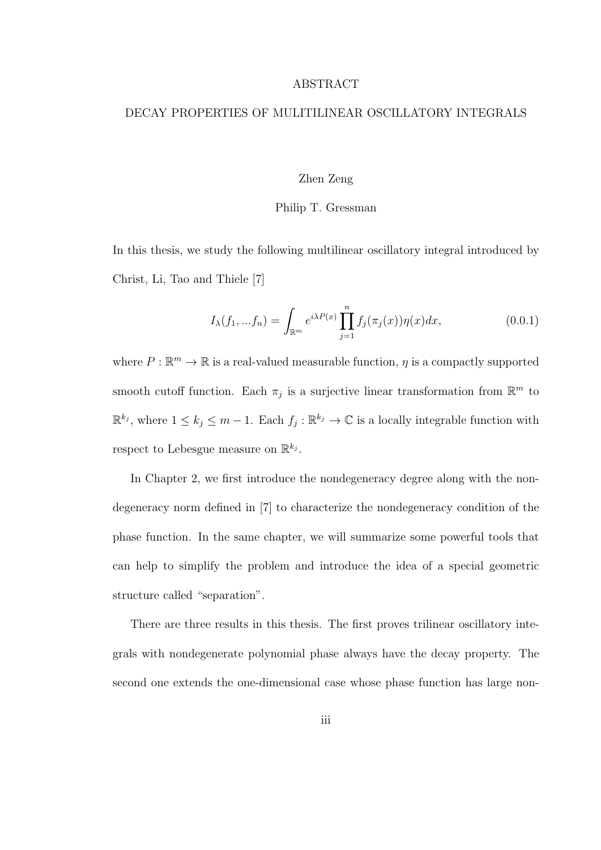#### ABSTRACT

#### DECAY PROPERTIES OF MULITILINEAR OSCILLATORY INTEGRALS

#### Zhen Zeng

#### Philip T. Gressman

In this thesis, we study the following multilinear oscillatory integral introduced by Christ, Li, Tao and Thiele [7]

$$
I_{\lambda}(f_1, ... f_n) = \int_{\mathbb{R}^m} e^{i\lambda P(x)} \prod_{j=1}^n f_j(\pi_j(x)) \eta(x) dx, \qquad (0.0.1)
$$

where  $P : \mathbb{R}^m \to \mathbb{R}$  is a real-valued measurable function,  $\eta$  is a compactly supported smooth cutoff function. Each  $\pi_j$  is a surjective linear transformation from  $\mathbb{R}^m$  to  $\mathbb{R}^{k_j}$ , where  $1 \leq k_j \leq m-1$ . Each  $f_j : \mathbb{R}^{k_j} \to \mathbb{C}$  is a locally integrable function with respect to Lebesgue measure on  $\mathbb{R}^{k_j}$ .

In Chapter 2, we first introduce the nondegeneracy degree along with the nondegeneracy norm defined in [7] to characterize the nondegeneracy condition of the phase function. In the same chapter, we will summarize some powerful tools that can help to simplify the problem and introduce the idea of a special geometric structure called "separation".

There are three results in this thesis. The first proves trilinear oscillatory integrals with nondegenerate polynomial phase always have the decay property. The second one extends the one-dimensional case whose phase function has large non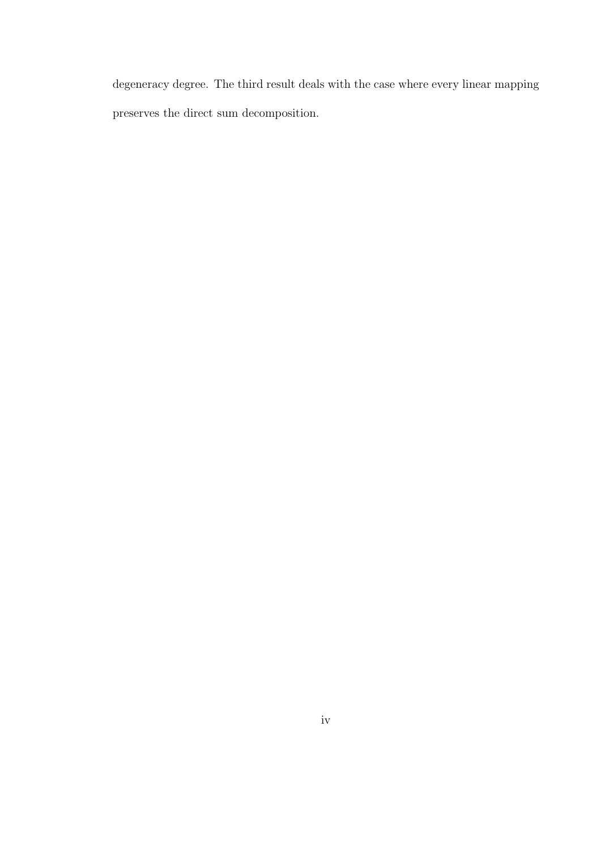degeneracy degree. The third result deals with the case where every linear mapping preserves the direct sum decomposition.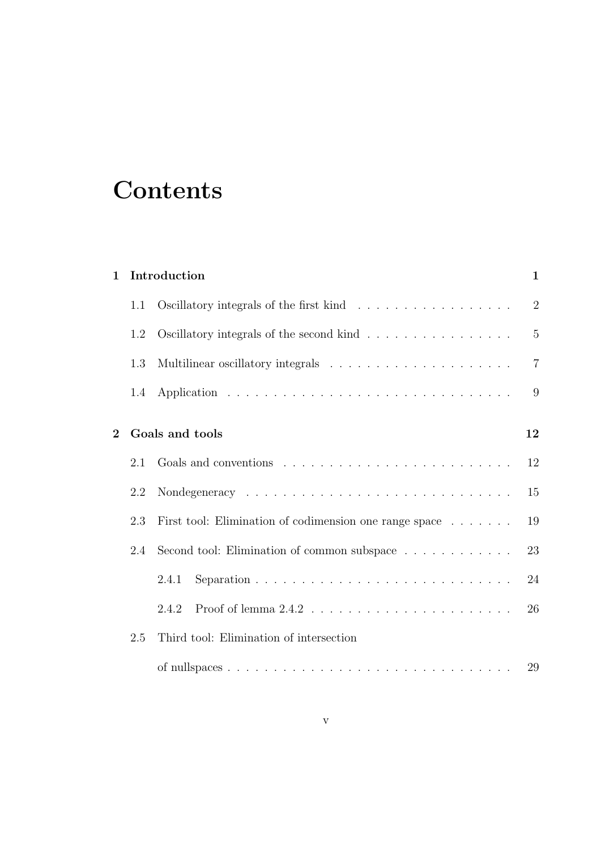# **Contents**

| $\mathbf 1$    |     | Introduction                                           | $\mathbf{1}$   |
|----------------|-----|--------------------------------------------------------|----------------|
|                | 1.1 |                                                        | $\overline{2}$ |
|                | 1.2 | Oscillatory integrals of the second kind               | $\overline{5}$ |
|                | 1.3 |                                                        | $\overline{7}$ |
|                | 1.4 |                                                        | 9              |
| $\overline{2}$ |     | Goals and tools                                        | 12             |
|                | 2.1 |                                                        | 12             |
|                | 2.2 |                                                        | 15             |
|                | 2.3 | First tool: Elimination of codimension one range space | 19             |
|                | 2.4 | Second tool: Elimination of common subspace            | 23             |
|                |     | 2.4.1                                                  | 24             |
|                |     | 2.4.2                                                  | 26             |
|                | 2.5 | Third tool: Elimination of intersection                |                |
|                |     |                                                        |                |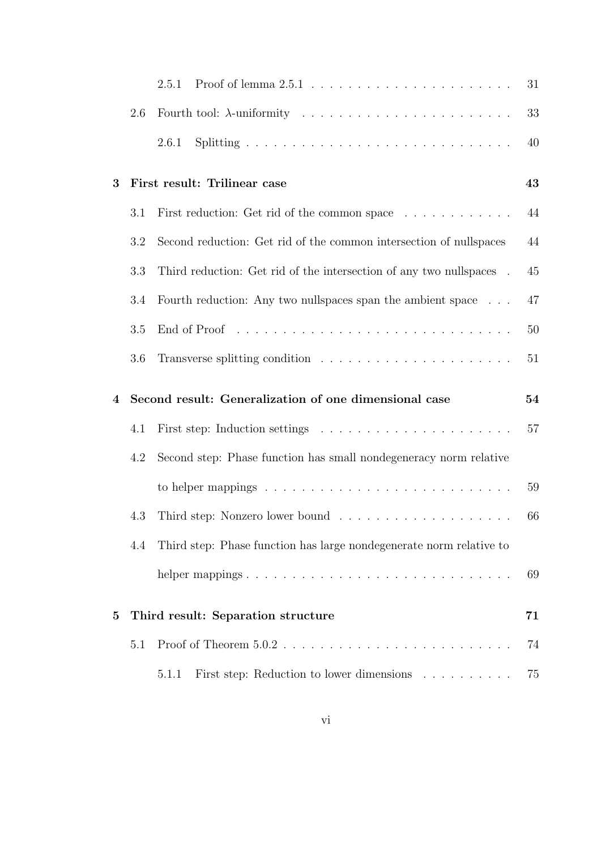|              |     | 2.5.1                                                                | 31       |
|--------------|-----|----------------------------------------------------------------------|----------|
|              | 2.6 |                                                                      | 33       |
|              |     | 2.6.1                                                                | 40       |
| 3            |     | First result: Trilinear case                                         | 43       |
|              | 3.1 | First reduction: Get rid of the common space                         | 44       |
|              | 3.2 | Second reduction: Get rid of the common intersection of nullspaces   | 44       |
|              | 3.3 | Third reduction: Get rid of the intersection of any two nullspaces . | 45       |
|              | 3.4 | Fourth reduction: Any two nullspaces span the ambient space          | 47       |
|              | 3.5 |                                                                      | 50       |
|              | 3.6 |                                                                      | 51       |
|              |     |                                                                      |          |
| 4            |     | Second result: Generalization of one dimensional case                | 54       |
|              | 4.1 |                                                                      | 57       |
|              | 4.2 | Second step: Phase function has small nondegeneracy norm relative    |          |
|              |     |                                                                      | 59       |
|              | 4.3 |                                                                      | 66       |
|              | 4.4 | Third step: Phase function has large nondegenerate norm relative to  |          |
|              |     | helper mappings                                                      | 69       |
| $\mathbf{5}$ |     | Third result: Separation structure                                   | $\bf 71$ |
|              | 5.1 |                                                                      | 74       |
|              |     | First step: Reduction to lower dimensions<br>5.1.1                   | 75       |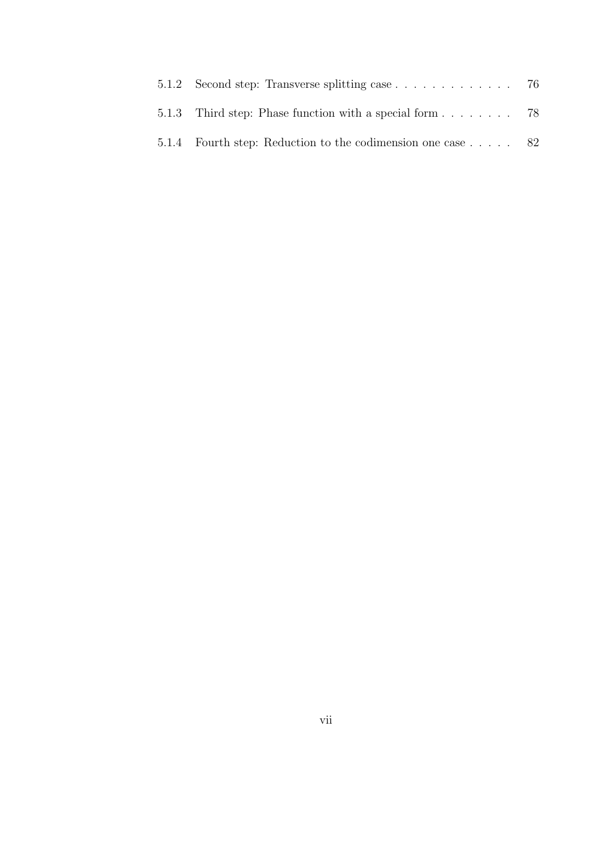| 5.1.3 Third step: Phase function with a special form 78      |  |
|--------------------------------------------------------------|--|
| 5.1.4 Fourth step: Reduction to the codimension one case  82 |  |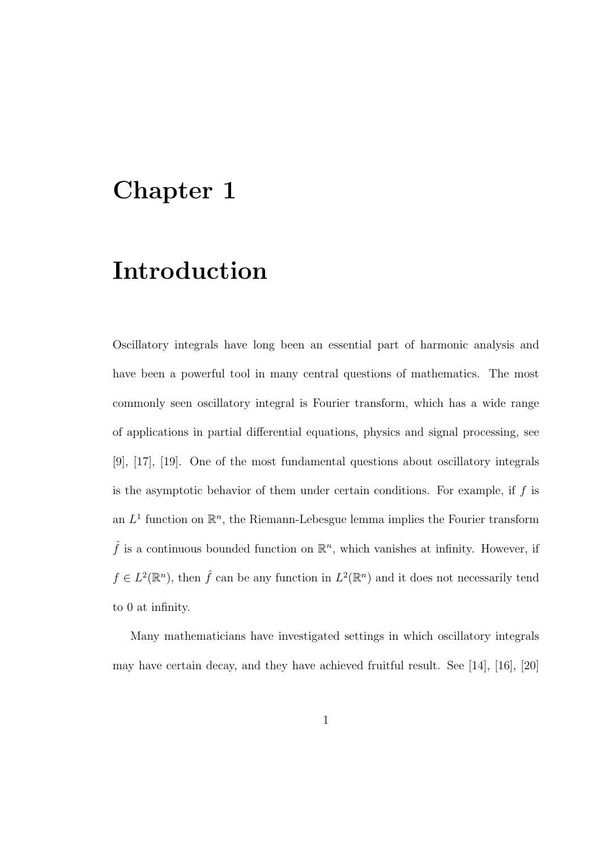## Chapter 1

# Introduction

Oscillatory integrals have long been an essential part of harmonic analysis and have been a powerful tool in many central questions of mathematics. The most commonly seen oscillatory integral is Fourier transform, which has a wide range of applications in partial differential equations, physics and signal processing, see [9], [17], [19]. One of the most fundamental questions about oscillatory integrals is the asymptotic behavior of them under certain conditions. For example, if  $f$  is an  $L^1$  function on  $\mathbb{R}^n$ , the Riemann-Lebesgue lemma implies the Fourier transform  $\hat{f}$  is a continuous bounded function on  $\mathbb{R}^n$ , which vanishes at infinity. However, if  $f \in L^2(\mathbb{R}^n)$ , then  $\hat{f}$  can be any function in  $L^2(\mathbb{R}^n)$  and it does not necessarily tend to 0 at infinity.

Many mathematicians have investigated settings in which oscillatory integrals may have certain decay, and they have achieved fruitful result. See [14], [16], [20]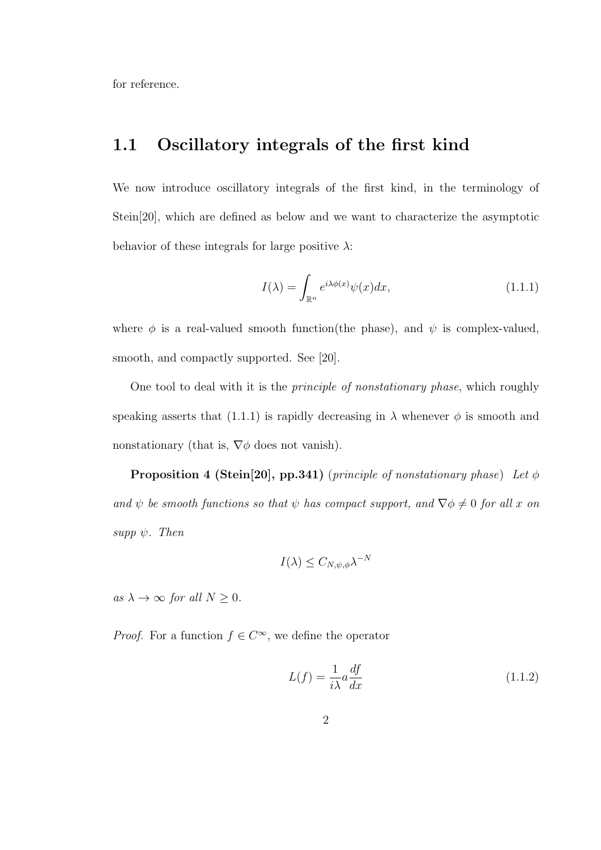for reference.

### 1.1 Oscillatory integrals of the first kind

We now introduce oscillatory integrals of the first kind, in the terminology of Stein[20], which are defined as below and we want to characterize the asymptotic behavior of these integrals for large positive  $\lambda$ :

$$
I(\lambda) = \int_{\mathbb{R}^n} e^{i\lambda \phi(x)} \psi(x) dx, \qquad (1.1.1)
$$

where  $\phi$  is a real-valued smooth function(the phase), and  $\psi$  is complex-valued, smooth, and compactly supported. See [20].

One tool to deal with it is the principle of nonstationary phase, which roughly speaking asserts that  $(1.1.1)$  is rapidly decreasing in  $\lambda$  whenever  $\phi$  is smooth and nonstationary (that is,  $\nabla \phi$  does not vanish).

**Proposition 4 (Stein[20], pp.341)** (principle of nonstationary phase) Let  $\phi$ and  $\psi$  be smooth functions so that  $\psi$  has compact support, and  $\nabla \phi \neq 0$  for all x on supp  $\psi$ . Then

$$
I(\lambda) \leq C_{N,\psi,\phi} \lambda^{-N}
$$

as  $\lambda \to \infty$  for all  $N \geq 0$ .

*Proof.* For a function  $f \in C^{\infty}$ , we define the operator

$$
L(f) = \frac{1}{i\lambda} a \frac{df}{dx}
$$
\n(1.1.2)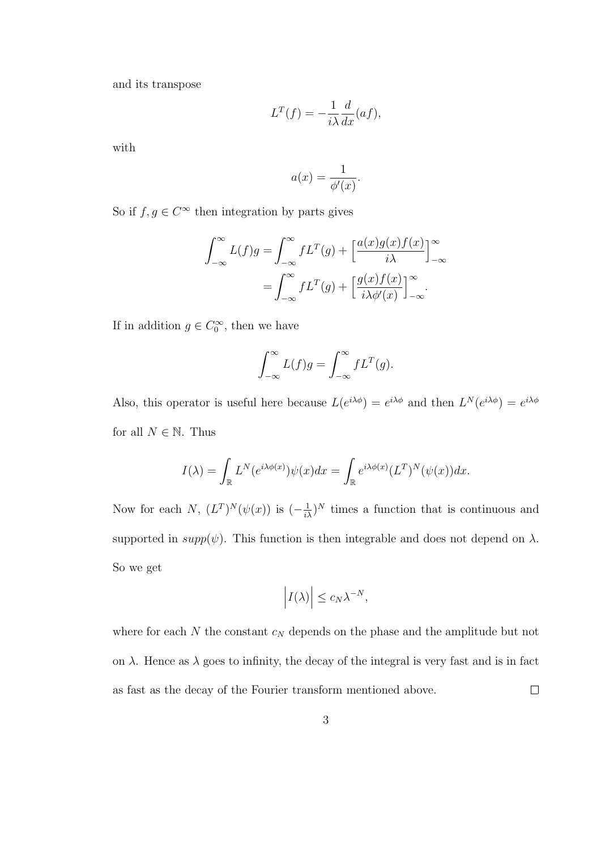and its transpose

$$
L^T(f) = -\frac{1}{i\lambda} \frac{d}{dx}(af),
$$

with

$$
a(x) = \frac{1}{\phi'(x)}.
$$

So if  $f, g \in C^{\infty}$  then integration by parts gives

$$
\int_{-\infty}^{\infty} L(f)g = \int_{-\infty}^{\infty} fL^{T}(g) + \left[\frac{a(x)g(x)f(x)}{i\lambda}\right]_{-\infty}^{\infty}
$$

$$
= \int_{-\infty}^{\infty} fL^{T}(g) + \left[\frac{g(x)f(x)}{i\lambda\phi'(x)}\right]_{-\infty}^{\infty}.
$$

If in addition  $g \in C_0^{\infty}$ , then we have

$$
\int_{-\infty}^{\infty} L(f)g = \int_{-\infty}^{\infty} fL^{T}(g).
$$

Also, this operator is useful here because  $L(e^{i\lambda\phi}) = e^{i\lambda\phi}$  and then  $L^N(e^{i\lambda\phi}) = e^{i\lambda\phi}$ for all  $N \in \mathbb{N}$ . Thus

$$
I(\lambda) = \int_{\mathbb{R}} L^N(e^{i\lambda \phi(x)}) \psi(x) dx = \int_{\mathbb{R}} e^{i\lambda \phi(x)} (L^T)^N(\psi(x)) dx.
$$

Now for each N,  $(L^T)^N(\psi(x))$  is  $\left(-\frac{1}{i\lambda}\right)^N$  times a function that is continuous and supported in  $supp(\psi)$ . This function is then integrable and does not depend on  $\lambda$ . So we get

$$
\left| I(\lambda) \right| \leq c_N \lambda^{-N},
$$

where for each  $N$  the constant  $c_N$  depends on the phase and the amplitude but not on  $\lambda$ . Hence as  $\lambda$  goes to infinity, the decay of the integral is very fast and is in fact as fast as the decay of the Fourier transform mentioned above.  $\Box$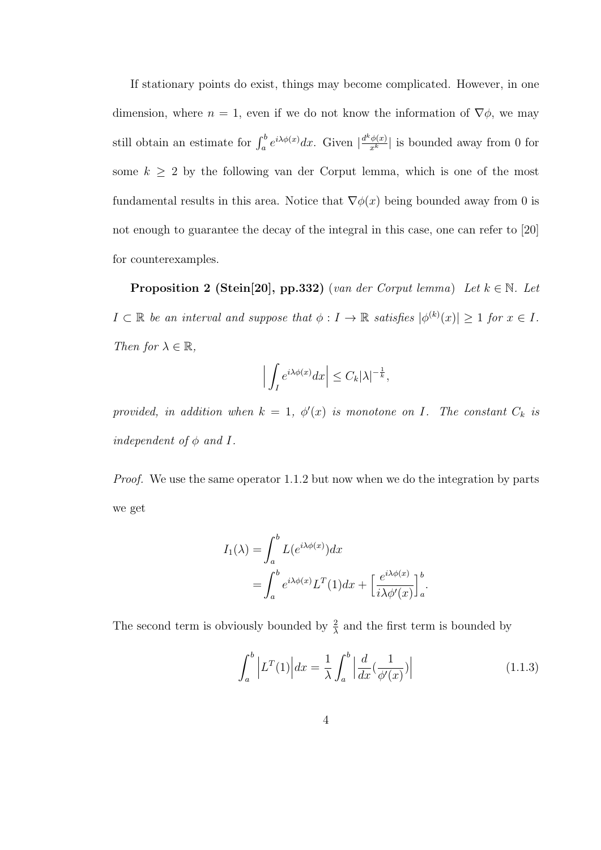If stationary points do exist, things may become complicated. However, in one dimension, where  $n = 1$ , even if we do not know the information of  $\nabla \phi$ , we may still obtain an estimate for  $\int_a^b e^{i\lambda \phi(x)} dx$ . Given  $\left| \frac{d^k \phi(x)}{x^k} \right|$  is bounded away from 0 for some  $k \geq 2$  by the following van der Corput lemma, which is one of the most fundamental results in this area. Notice that  $\nabla \phi(x)$  being bounded away from 0 is not enough to guarantee the decay of the integral in this case, one can refer to [20] for counterexamples.

**Proposition 2 (Stein[20], pp.332)** (van der Corput lemma) Let  $k \in \mathbb{N}$ . Let  $I \subset \mathbb{R}$  be an interval and suppose that  $\phi: I \to \mathbb{R}$  satisfies  $|\phi^{(k)}(x)| \geq 1$  for  $x \in I$ . Then for  $\lambda \in \mathbb{R}$ ,

$$
\left| \int_I e^{i\lambda \phi(x)} dx \right| \leq C_k |\lambda|^{-\frac{1}{k}},
$$

provided, in addition when  $k = 1$ ,  $\phi'(x)$  is monotone on I. The constant  $C_k$  is independent of  $\phi$  and I.

Proof. We use the same operator 1.1.2 but now when we do the integration by parts we get

$$
I_1(\lambda) = \int_a^b L(e^{i\lambda \phi(x)}) dx
$$
  
= 
$$
\int_a^b e^{i\lambda \phi(x)} L^T(1) dx + \left[ \frac{e^{i\lambda \phi(x)}}{i\lambda \phi'(x)} \right]_a^b
$$

The second term is obviously bounded by  $\frac{2}{\lambda}$  and the first term is bounded by

$$
\int_{a}^{b} \left| L^{T}(1) \right| dx = \frac{1}{\lambda} \int_{a}^{b} \left| \frac{d}{dx} \left( \frac{1}{\phi'(x)} \right) \right| \tag{1.1.3}
$$

.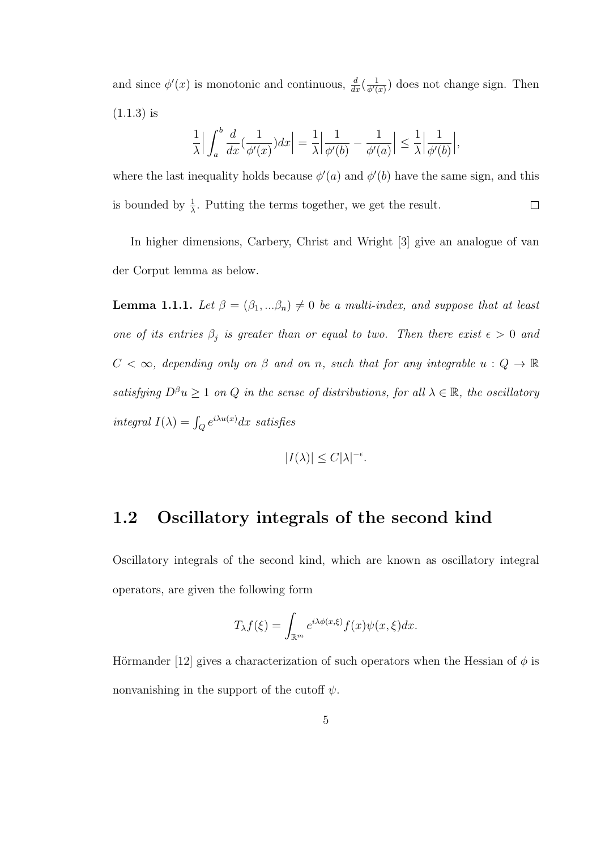and since  $\phi'(x)$  is monotonic and continuous,  $\frac{d}{dx}(\frac{1}{\phi'(x)})$  $\frac{1}{\phi'(x)}$  does not change sign. Then  $(1.1.3)$  is

$$
\frac{1}{\lambda} \Big| \int_a^b \frac{d}{dx} \left( \frac{1}{\phi'(x)} \right) dx \Big| = \frac{1}{\lambda} \Big| \frac{1}{\phi'(b)} - \frac{1}{\phi'(a)} \Big| \le \frac{1}{\lambda} \Big| \frac{1}{\phi'(b)} \Big|,
$$

where the last inequality holds because  $\phi'(a)$  and  $\phi'(b)$  have the same sign, and this is bounded by  $\frac{1}{\lambda}$ . Putting the terms together, we get the result.  $\Box$ 

In higher dimensions, Carbery, Christ and Wright [3] give an analogue of van der Corput lemma as below.

**Lemma 1.1.1.** Let  $\beta = (\beta_1, \ldots, \beta_n) \neq 0$  be a multi-index, and suppose that at least one of its entries  $\beta_j$  is greater than or equal to two. Then there exist  $\epsilon > 0$  and  $C < \infty$ , depending only on  $\beta$  and on n, such that for any integrable  $u: Q \to \mathbb{R}$ satisfying  $D^{\beta}u \geq 1$  on Q in the sense of distributions, for all  $\lambda \in \mathbb{R}$ , the oscillatory integral  $I(\lambda) = \int_Q e^{i\lambda u(x)} dx$  satisfies

$$
|I(\lambda)| \le C|\lambda|^{-\epsilon}.
$$

### 1.2 Oscillatory integrals of the second kind

Oscillatory integrals of the second kind, which are known as oscillatory integral operators, are given the following form

$$
T_{\lambda}f(\xi) = \int_{\mathbb{R}^m} e^{i\lambda \phi(x,\xi)} f(x) \psi(x,\xi) dx.
$$

Hörmander [12] gives a characterization of such operators when the Hessian of  $\phi$  is nonvanishing in the support of the cutoff  $\psi$ .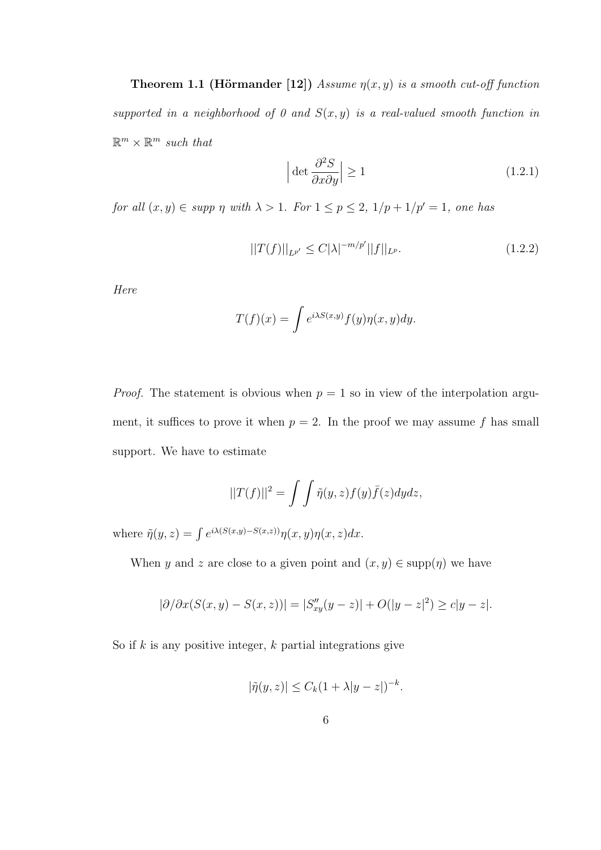**Theorem 1.1 (Hörmander [12])** Assume  $\eta(x, y)$  is a smooth cut-off function supported in a neighborhood of 0 and  $S(x, y)$  is a real-valued smooth function in  $\mathbb{R}^m \times \mathbb{R}^m$  such that

$$
\left| \det \frac{\partial^2 S}{\partial x \partial y} \right| \ge 1 \tag{1.2.1}
$$

for all  $(x, y) \in supp \eta$  with  $\lambda > 1$ . For  $1 \le p \le 2$ ,  $1/p + 1/p' = 1$ , one has

$$
||T(f)||_{L^{p'}} \le C|\lambda|^{-m/p'}||f||_{L^p}.\tag{1.2.2}
$$

Here

$$
T(f)(x) = \int e^{i\lambda S(x,y)} f(y) \eta(x,y) dy.
$$

*Proof.* The statement is obvious when  $p = 1$  so in view of the interpolation argument, it suffices to prove it when  $p = 2$ . In the proof we may assume f has small support. We have to estimate

$$
||T(f)||^2 = \int \int \tilde{\eta}(y, z) f(y) \bar{f}(z) dy dz,
$$

where  $\tilde{\eta}(y, z) = \int e^{i\lambda(S(x, y) - S(x, z))} \eta(x, y) \eta(x, z) dx$ .

When y and z are close to a given point and  $(x, y) \in \text{supp}(\eta)$  we have

$$
|\partial/\partial x(S(x,y) - S(x,z))| = |S''_{xy}(y-z)| + O(|y-z|^2) \ge c|y-z|.
$$

So if  $k$  is any positive integer,  $k$  partial integrations give

$$
|\tilde{\eta}(y,z)| \le C_k (1+\lambda |y-z|)^{-k}.
$$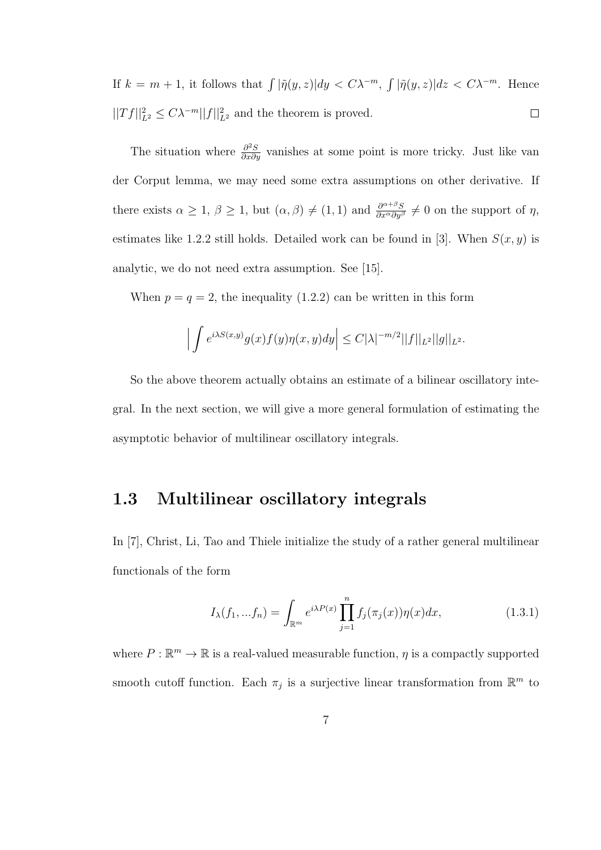If  $k = m + 1$ , it follows that  $\int |\tilde{\eta}(y, z)| dy < C \lambda^{-m}$ ,  $\int |\tilde{\eta}(y, z)| dz < C \lambda^{-m}$ . Hence  $||Tf||_{L^2}^2 \leq C\lambda^{-m}||f||_{L^2}^2$  and the theorem is proved.  $\Box$ 

The situation where  $\frac{\partial^2 S}{\partial x \partial y}$  vanishes at some point is more tricky. Just like van der Corput lemma, we may need some extra assumptions on other derivative. If there exists  $\alpha \geq 1$ ,  $\beta \geq 1$ , but  $(\alpha, \beta) \neq (1, 1)$  and  $\frac{\partial^{\alpha+\beta}S}{\partial x^{\alpha}\partial y^{\beta}} \neq 0$  on the support of  $\eta$ , estimates like 1.2.2 still holds. Detailed work can be found in [3]. When  $S(x, y)$  is analytic, we do not need extra assumption. See [15].

When  $p = q = 2$ , the inequality (1.2.2) can be written in this form

$$
\left| \int e^{i\lambda S(x,y)} g(x) f(y) \eta(x,y) dy \right| \leq C |\lambda|^{-m/2} ||f||_{L^2} ||g||_{L^2}.
$$

So the above theorem actually obtains an estimate of a bilinear oscillatory integral. In the next section, we will give a more general formulation of estimating the asymptotic behavior of multilinear oscillatory integrals.

#### 1.3 Multilinear oscillatory integrals

In [7], Christ, Li, Tao and Thiele initialize the study of a rather general multilinear functionals of the form

$$
I_{\lambda}(f_1, ... f_n) = \int_{\mathbb{R}^m} e^{i\lambda P(x)} \prod_{j=1}^n f_j(\pi_j(x)) \eta(x) dx, \qquad (1.3.1)
$$

where  $P : \mathbb{R}^m \to \mathbb{R}$  is a real-valued measurable function,  $\eta$  is a compactly supported smooth cutoff function. Each  $\pi_j$  is a surjective linear transformation from  $\mathbb{R}^m$  to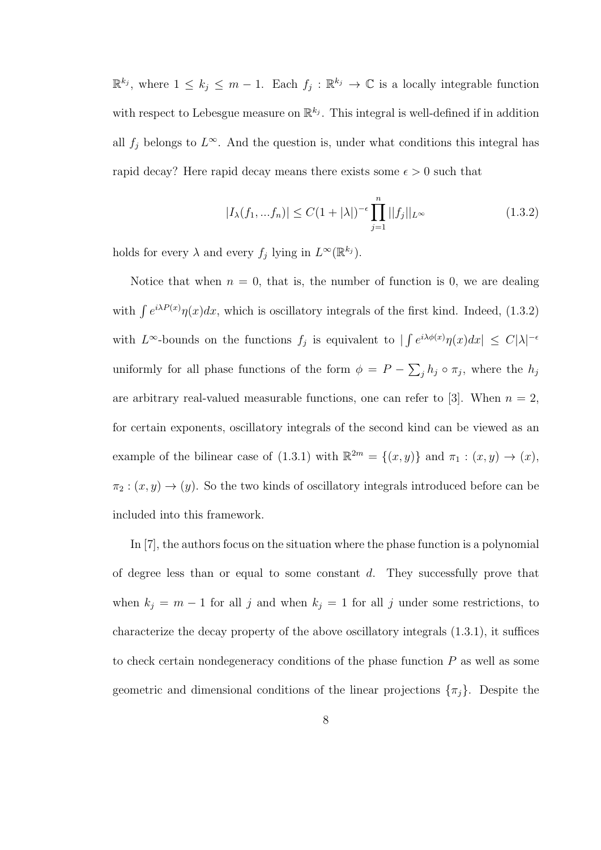$\mathbb{R}^{k_j}$ , where  $1 \leq k_j \leq m-1$ . Each  $f_j : \mathbb{R}^{k_j} \to \mathbb{C}$  is a locally integrable function with respect to Lebesgue measure on  $\mathbb{R}^{k_j}$ . This integral is well-defined if in addition all  $f_j$  belongs to  $L^{\infty}$ . And the question is, under what conditions this integral has rapid decay? Here rapid decay means there exists some  $\epsilon > 0$  such that

$$
|I_{\lambda}(f_1, ... f_n)| \le C(1 + |\lambda|)^{-\epsilon} \prod_{j=1}^n ||f_j||_{L^{\infty}}
$$
\n(1.3.2)

holds for every  $\lambda$  and every  $f_j$  lying in  $L^{\infty}(\mathbb{R}^{k_j})$ .

Notice that when  $n = 0$ , that is, the number of function is 0, we are dealing with  $\int e^{i\lambda P(x)} \eta(x) dx$ , which is oscillatory integrals of the first kind. Indeed, (1.3.2) with  $L^{\infty}$ -bounds on the functions  $f_j$  is equivalent to  $|\int e^{i\lambda \phi(x)} \eta(x) dx| \leq C |\lambda|^{-\epsilon}$ uniformly for all phase functions of the form  $\phi = P - \sum_j h_j \circ \pi_j$ , where the  $h_j$ are arbitrary real-valued measurable functions, one can refer to [3]. When  $n = 2$ , for certain exponents, oscillatory integrals of the second kind can be viewed as an example of the bilinear case of (1.3.1) with  $\mathbb{R}^{2m} = \{(x, y)\}\$  and  $\pi_1 : (x, y) \to (x)$ ,  $\pi_2 : (x, y) \to (y)$ . So the two kinds of oscillatory integrals introduced before can be included into this framework.

In [7], the authors focus on the situation where the phase function is a polynomial of degree less than or equal to some constant  $d$ . They successfully prove that when  $k_j = m - 1$  for all j and when  $k_j = 1$  for all j under some restrictions, to characterize the decay property of the above oscillatory integrals (1.3.1), it suffices to check certain nondegeneracy conditions of the phase function P as well as some geometric and dimensional conditions of the linear projections  $\{\pi_i\}$ . Despite the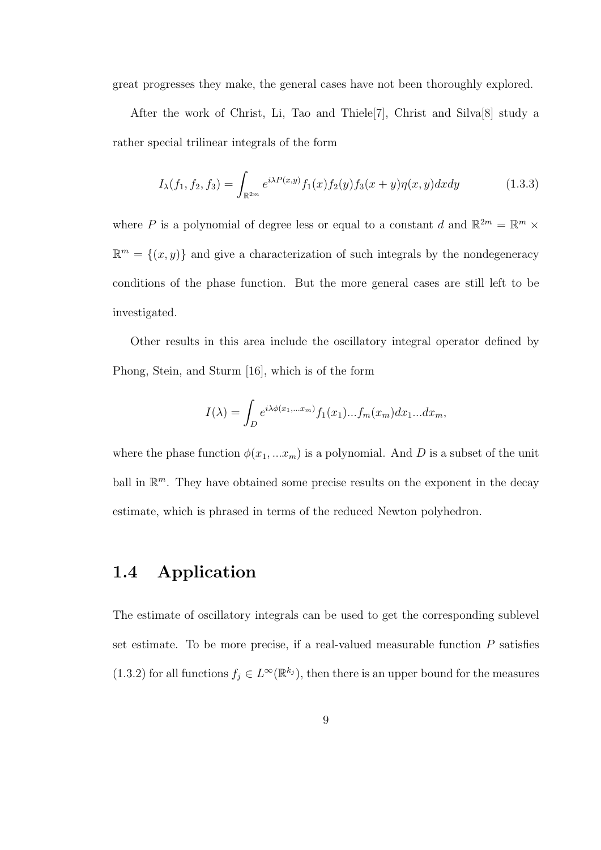great progresses they make, the general cases have not been thoroughly explored.

After the work of Christ, Li, Tao and Thiele[7], Christ and Silva[8] study a rather special trilinear integrals of the form

$$
I_{\lambda}(f_1, f_2, f_3) = \int_{\mathbb{R}^{2m}} e^{i\lambda P(x,y)} f_1(x) f_2(y) f_3(x+y) \eta(x,y) dx dy \qquad (1.3.3)
$$

where P is a polynomial of degree less or equal to a constant d and  $\mathbb{R}^{2m} = \mathbb{R}^m \times$  $\mathbb{R}^m = \{(x, y)\}\$ and give a characterization of such integrals by the nondegeneracy conditions of the phase function. But the more general cases are still left to be investigated.

Other results in this area include the oscillatory integral operator defined by Phong, Stein, and Sturm [16], which is of the form

$$
I(\lambda) = \int_D e^{i\lambda \phi(x_1, \dots, x_m)} f_1(x_1) \dots f_m(x_m) dx_1 \dots dx_m,
$$

where the phase function  $\phi(x_1, ... x_m)$  is a polynomial. And D is a subset of the unit ball in  $\mathbb{R}^m$ . They have obtained some precise results on the exponent in the decay estimate, which is phrased in terms of the reduced Newton polyhedron.

### 1.4 Application

The estimate of oscillatory integrals can be used to get the corresponding sublevel set estimate. To be more precise, if a real-valued measurable function  $P$  satisfies (1.3.2) for all functions  $f_j \in L^{\infty}(\mathbb{R}^{k_j})$ , then there is an upper bound for the measures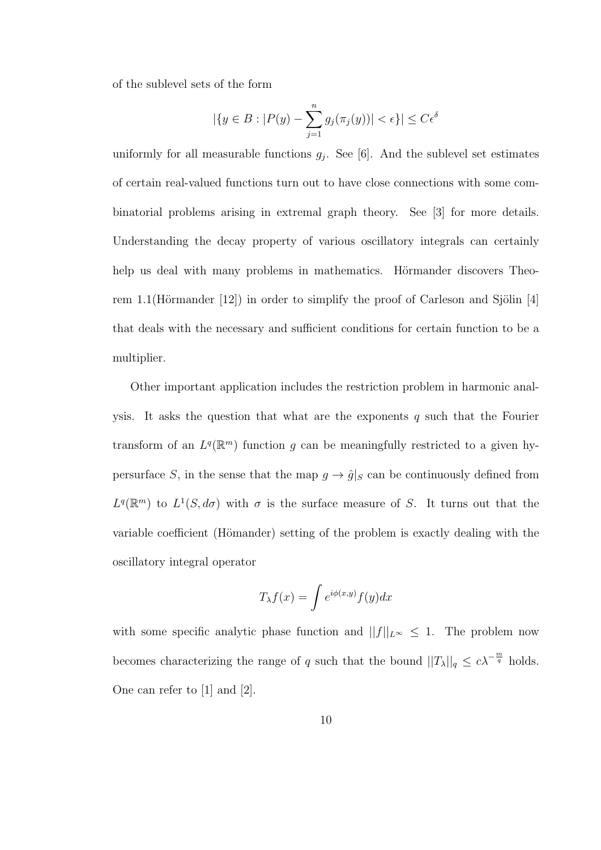of the sublevel sets of the form

$$
|\{y \in B : |P(y) - \sum_{j=1}^n g_j(\pi_j(y))| < \epsilon\}| \leq C\epsilon^{\delta}
$$

uniformly for all measurable functions  $g_j$ . See [6]. And the sublevel set estimates of certain real-valued functions turn out to have close connections with some combinatorial problems arising in extremal graph theory. See [3] for more details. Understanding the decay property of various oscillatory integrals can certainly help us deal with many problems in mathematics. Hörmander discovers Theorem 1.1(Hörmander [12]) in order to simplify the proof of Carleson and Sjölin [4] that deals with the necessary and sufficient conditions for certain function to be a multiplier.

Other important application includes the restriction problem in harmonic analysis. It asks the question that what are the exponents  $q$  such that the Fourier transform of an  $L^q(\mathbb{R}^m)$  function g can be meaningfully restricted to a given hypersurface S, in the sense that the map  $g \to \hat{g}|_S$  can be continuously defined from  $L^q(\mathbb{R}^m)$  to  $L^1(S, d\sigma)$  with  $\sigma$  is the surface measure of S. It turns out that the variable coefficient (Hömander) setting of the problem is exactly dealing with the oscillatory integral operator

$$
T_{\lambda}f(x) = \int e^{i\phi(x,y)} f(y) dx
$$

with some specific analytic phase function and  $||f||_{L^{\infty}} \leq 1$ . The problem now becomes characterizing the range of q such that the bound  $||T_\lambda||_q \leq c\lambda^{-\frac{m}{q}}$  holds. One can refer to [1] and [2].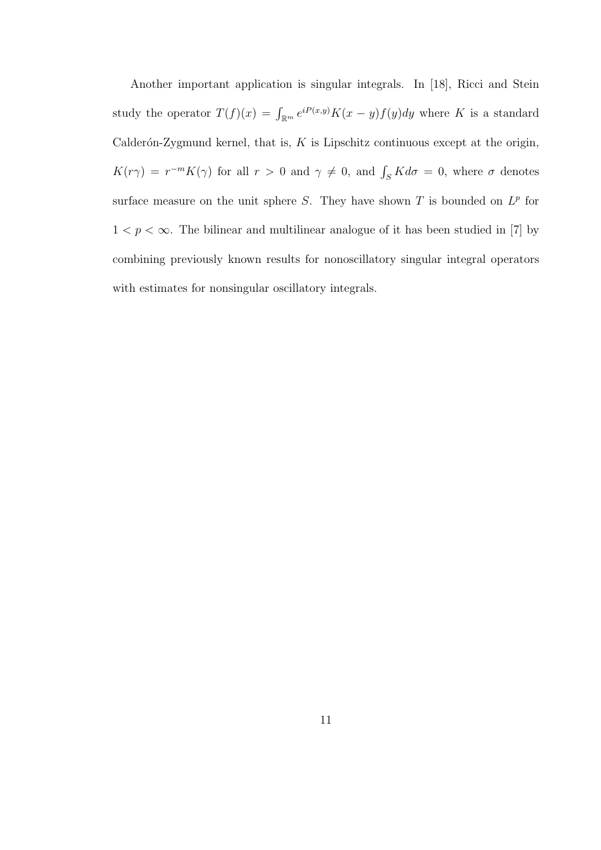Another important application is singular integrals. In [18], Ricci and Stein study the operator  $T(f)(x) = \int_{\mathbb{R}^m} e^{iP(x,y)} K(x-y)f(y)dy$  where K is a standard Calderón-Zygmund kernel, that is,  $K$  is Lipschitz continuous except at the origin,  $K(r\gamma) = r^{-m}K(\gamma)$  for all  $r > 0$  and  $\gamma \neq 0$ , and  $\int_S K d\sigma = 0$ , where  $\sigma$  denotes surface measure on the unit sphere S. They have shown T is bounded on  $L^p$  for  $1 < p < \infty.$  The bilinear and multilinear analogue of it has been studied in [7] by combining previously known results for nonoscillatory singular integral operators with estimates for nonsingular oscillatory integrals.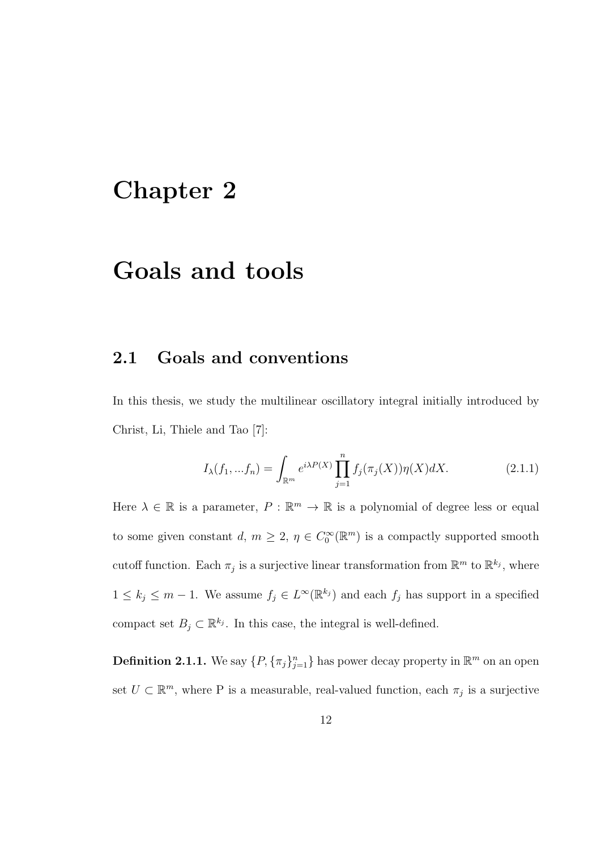## Chapter 2

### Goals and tools

### 2.1 Goals and conventions

In this thesis, we study the multilinear oscillatory integral initially introduced by Christ, Li, Thiele and Tao [7]:

$$
I_{\lambda}(f_1, ... f_n) = \int_{\mathbb{R}^m} e^{i\lambda P(X)} \prod_{j=1}^n f_j(\pi_j(X)) \eta(X) dX.
$$
 (2.1.1)

Here  $\lambda \in \mathbb{R}$  is a parameter,  $P : \mathbb{R}^m \to \mathbb{R}$  is a polynomial of degree less or equal to some given constant  $d, m \geq 2, \eta \in C_0^{\infty}(\mathbb{R}^m)$  is a compactly supported smooth cutoff function. Each  $\pi_j$  is a surjective linear transformation from  $\mathbb{R}^m$  to  $\mathbb{R}^{k_j}$ , where  $1 \leq k_j \leq m-1$ . We assume  $f_j \in L^{\infty}(\mathbb{R}^{k_j})$  and each  $f_j$  has support in a specified compact set  $B_j \subset \mathbb{R}^{k_j}$ . In this case, the integral is well-defined.

**Definition 2.1.1.** We say  $\{P, \{\pi_j\}_{j=1}^n\}$  has power decay property in  $\mathbb{R}^m$  on an open set  $U \subset \mathbb{R}^m$ , where P is a measurable, real-valued function, each  $\pi_j$  is a surjective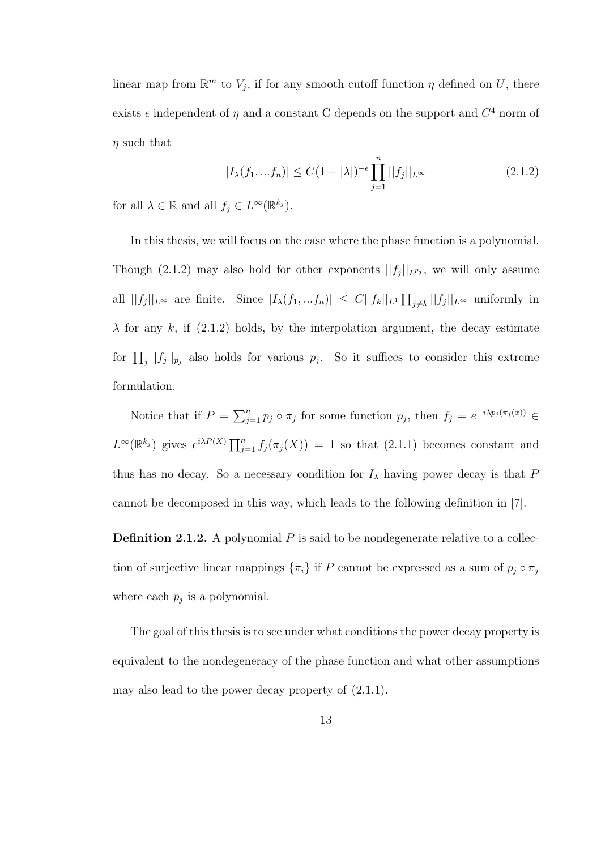linear map from  $\mathbb{R}^m$  to  $V_j$ , if for any smooth cutoff function  $\eta$  defined on U, there exists  $\epsilon$  independent of  $\eta$  and a constant C depends on the support and  $C^4$  norm of  $\eta$  such that

$$
|I_{\lambda}(f_1, ... f_n)| \le C(1+|\lambda|)^{-\epsilon} \prod_{j=1}^n ||f_j||_{L^{\infty}}
$$
\n(2.1.2)

for all  $\lambda \in \mathbb{R}$  and all  $f_j \in L^{\infty}(\mathbb{R}^{k_j})$ .

In this thesis, we will focus on the case where the phase function is a polynomial. Though (2.1.2) may also hold for other exponents  $||f_j||_{L^{p_j}}$ , we will only assume all  $||f_j||_{L^{\infty}}$  are finite. Since  $|I_{\lambda}(f_1, ... f_n)| \leq C ||f_k||_{L^1} \prod_{j \neq k} ||f_j||_{L^{\infty}}$  uniformly in  $\lambda$  for any k, if (2.1.2) holds, by the interpolation argument, the decay estimate for  $\prod_j ||f_j||_{p_j}$  also holds for various  $p_j$ . So it suffices to consider this extreme formulation.

Notice that if  $P = \sum_{j=1}^n p_j \circ \pi_j$  for some function  $p_j$ , then  $f_j = e^{-i\lambda p_j(\pi_j(x))} \in$  $L^{\infty}(\mathbb{R}^{k_j})$  gives  $e^{i\lambda P(X)} \prod_{j=1}^n f_j(\pi_j(X)) = 1$  so that  $(2.1.1)$  becomes constant and thus has no decay. So a necessary condition for  $I_\lambda$  having power decay is that P cannot be decomposed in this way, which leads to the following definition in [7].

**Definition 2.1.2.** A polynomial  $P$  is said to be nondegenerate relative to a collection of surjective linear mappings  $\{\pi_i\}$  if P cannot be expressed as a sum of  $p_j \circ \pi_j$ where each  $p_j$  is a polynomial.

The goal of this thesis is to see under what conditions the power decay property is equivalent to the nondegeneracy of the phase function and what other assumptions may also lead to the power decay property of (2.1.1).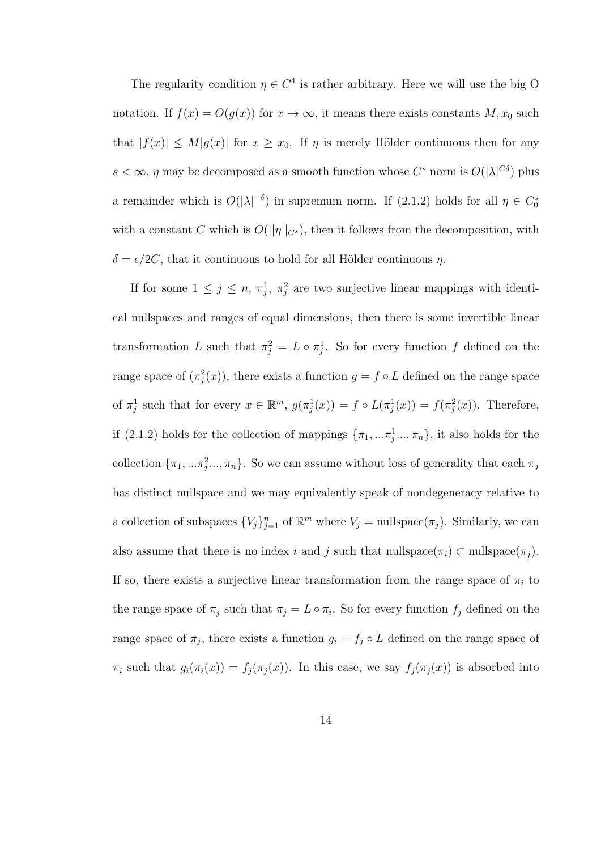The regularity condition  $\eta \in C^4$  is rather arbitrary. Here we will use the big O notation. If  $f(x) = O(g(x))$  for  $x \to \infty$ , it means there exists constants  $M, x_0$  such that  $|f(x)| \leq M|g(x)|$  for  $x \geq x_0$ . If  $\eta$  is merely Hölder continuous then for any  $s < \infty$ ,  $\eta$  may be decomposed as a smooth function whose  $C^s$  norm is  $O(|\lambda|^{C\delta})$  plus a remainder which is  $O(|\lambda|^{-\delta})$  in supremum norm. If (2.1.2) holds for all  $\eta \in C_0^s$ with a constant C which is  $O(||\eta||_{C^s})$ , then it follows from the decomposition, with  $\delta = \epsilon/2C$ , that it continuous to hold for all Hölder continuous  $\eta$ .

If for some  $1 \leq j \leq n$ ,  $\pi_j^1$ ,  $\pi_j^2$  are two surjective linear mappings with identical nullspaces and ranges of equal dimensions, then there is some invertible linear transformation L such that  $\pi_j^2 = L \circ \pi_j^1$ . So for every function f defined on the range space of  $(\pi_j^2(x))$ , there exists a function  $g = f \circ L$  defined on the range space of  $\pi_j^1$  such that for every  $x \in \mathbb{R}^m$ ,  $g(\pi_j^1(x)) = f \circ L(\pi_j^1(x)) = f(\pi_j^2(x))$ . Therefore, if (2.1.2) holds for the collection of mappings  $\{\pi_1, ..., \pi_j^1, ..., \pi_n\}$ , it also holds for the collection  $\{\pi_1, ..., \pi_j^2, ..., \pi_n\}$ . So we can assume without loss of generality that each  $\pi_j$ has distinct nullspace and we may equivalently speak of nondegeneracy relative to a collection of subspaces  ${V_j}_{j=1}^n$  of  $\mathbb{R}^m$  where  $V_j = \text{nullspace}(\pi_j)$ . Similarly, we can also assume that there is no index i and j such that nullspace( $\pi_i$ ) ⊂ nullspace( $\pi_j$ ). If so, there exists a surjective linear transformation from the range space of  $\pi_i$  to the range space of  $\pi_j$  such that  $\pi_j = L \circ \pi_i$ . So for every function  $f_j$  defined on the range space of  $\pi_j$ , there exists a function  $g_i = f_j \circ L$  defined on the range space of  $\pi_i$  such that  $g_i(\pi_i(x)) = f_j(\pi_j(x))$ . In this case, we say  $f_j(\pi_j(x))$  is absorbed into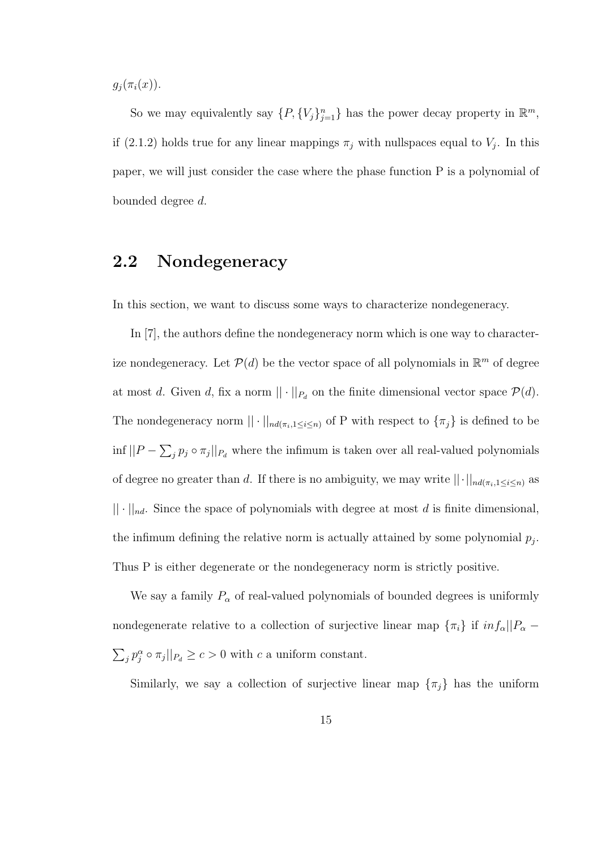$g_i(\pi_i(x)).$ 

So we may equivalently say  $\{P, \{V_j\}_{j=1}^n\}$  has the power decay property in  $\mathbb{R}^m$ , if (2.1.2) holds true for any linear mappings  $\pi_j$  with nullspaces equal to  $V_j$ . In this paper, we will just consider the case where the phase function P is a polynomial of bounded degree d.

### 2.2 Nondegeneracy

In this section, we want to discuss some ways to characterize nondegeneracy.

In [7], the authors define the nondegeneracy norm which is one way to characterize nondegeneracy. Let  $\mathcal{P}(d)$  be the vector space of all polynomials in  $\mathbb{R}^m$  of degree at most d. Given d, fix a norm  $|| \cdot ||_{P_d}$  on the finite dimensional vector space  $P(d)$ . The nondegeneracy norm  $|| \cdot ||_{nd(\pi_i, 1 \leq i \leq n)}$  of P with respect to  $\{\pi_j\}$  is defined to be  $\inf ||P - \sum_j p_j \circ \pi_j||_{P_d}$  where the infimum is taken over all real-valued polynomials of degree no greater than d. If there is no ambiguity, we may write  $||\cdot||_{nd(\pi_i,1\leq i\leq n)}$  as  $|| \cdot ||_{nd}$ . Since the space of polynomials with degree at most d is finite dimensional, the infimum defining the relative norm is actually attained by some polynomial  $p_j$ . Thus P is either degenerate or the nondegeneracy norm is strictly positive.

We say a family  $P_\alpha$  of real-valued polynomials of bounded degrees is uniformly nondegenerate relative to a collection of surjective linear map  $\{\pi_i\}$  if  $inf_{\alpha}$  ||P<sub> $\alpha$ </sub> −  $\sum_j p_j^{\alpha} \circ \pi_j ||_{P_d} \ge c > 0$  with c a uniform constant.

Similarly, we say a collection of surjective linear map  $\{\pi_j\}$  has the uniform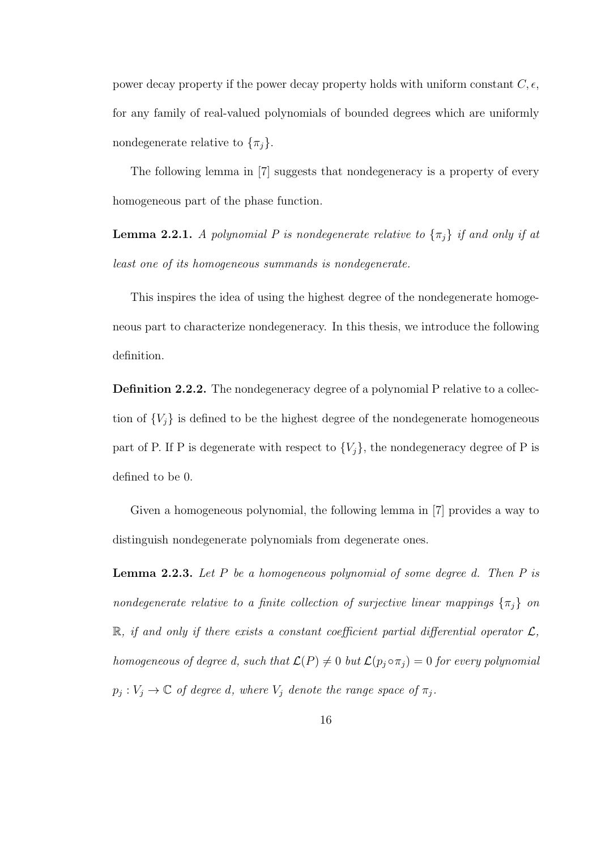power decay property if the power decay property holds with uniform constant  $C, \epsilon$ , for any family of real-valued polynomials of bounded degrees which are uniformly nondegenerate relative to  $\{\pi_j\}$ .

The following lemma in [7] suggests that nondegeneracy is a property of every homogeneous part of the phase function.

**Lemma 2.2.1.** A polynomial P is nondegenerate relative to  $\{\pi_j\}$  if and only if at least one of its homogeneous summands is nondegenerate.

This inspires the idea of using the highest degree of the nondegenerate homogeneous part to characterize nondegeneracy. In this thesis, we introduce the following definition.

Definition 2.2.2. The nondegeneracy degree of a polynomial P relative to a collection of  ${V_j}$  is defined to be the highest degree of the nondegenerate homogeneous part of P. If P is degenerate with respect to  $\{V_j\}$ , the nondegeneracy degree of P is defined to be 0.

Given a homogeneous polynomial, the following lemma in [7] provides a way to distinguish nondegenerate polynomials from degenerate ones.

**Lemma 2.2.3.** Let  $P$  be a homogeneous polynomial of some degree d. Then  $P$  is nondegenerate relative to a finite collection of surjective linear mappings  $\{\pi_j\}$  on  $\mathbb{R}$ , if and only if there exists a constant coefficient partial differential operator  $\mathcal{L}$ , homogeneous of degree d, such that  $\mathcal{L}(P) \neq 0$  but  $\mathcal{L}(p_j \circ \pi_j) = 0$  for every polynomial  $p_j: V_j \to \mathbb{C}$  of degree d, where  $V_j$  denote the range space of  $\pi_j$ .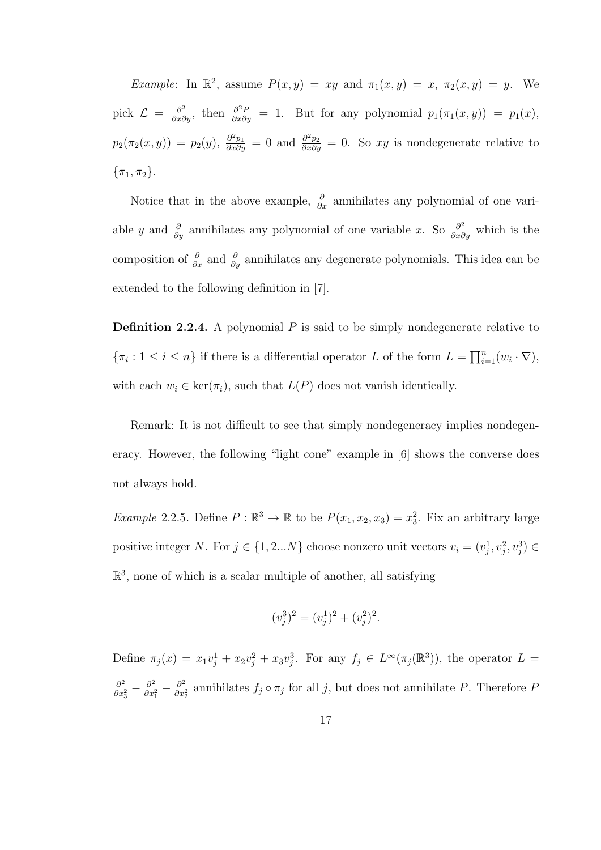Example: In  $\mathbb{R}^2$ , assume  $P(x, y) = xy$  and  $\pi_1(x, y) = x$ ,  $\pi_2(x, y) = y$ . We pick  $\mathcal{L} = \frac{\partial^2}{\partial x \partial y}$ , then  $\frac{\partial^2 P}{\partial x \partial y} = 1$ . But for any polynomial  $p_1(\pi_1(x, y)) = p_1(x)$ ,  $p_2(\pi_2(x, y)) = p_2(y), \frac{\partial^2 p_1}{\partial x \partial y} = 0$  and  $\frac{\partial^2 p_2}{\partial x \partial y} = 0$ . So xy is nondegenerate relative to  $\{\pi_1, \pi_2\}.$ 

Notice that in the above example,  $\frac{\partial}{\partial x}$  annihilates any polynomial of one variable y and  $\frac{\partial}{\partial y}$  annihilates any polynomial of one variable x. So  $\frac{\partial^2}{\partial x \partial y}$  which is the composition of  $\frac{\partial}{\partial x}$  and  $\frac{\partial}{\partial y}$  annihilates any degenerate polynomials. This idea can be extended to the following definition in [7].

**Definition 2.2.4.** A polynomial  $P$  is said to be simply nondegenerate relative to  $\{\pi_i: 1 \leq i \leq n\}$  if there is a differential operator L of the form  $L = \prod_{i=1}^n (w_i \cdot \nabla)$ , with each  $w_i \in \text{ker}(\pi_i)$ , such that  $L(P)$  does not vanish identically.

Remark: It is not difficult to see that simply nondegeneracy implies nondegeneracy. However, the following "light cone" example in [6] shows the converse does not always hold.

*Example* 2.2.5. Define  $P : \mathbb{R}^3 \to \mathbb{R}$  to be  $P(x_1, x_2, x_3) = x_3^2$ . Fix an arbitrary large positive integer N. For  $j \in \{1, 2...N\}$  choose nonzero unit vectors  $v_i = (v_j^1, v_j^2, v_j^3) \in$  $\mathbb{R}^3$ , none of which is a scalar multiple of another, all satisfying

$$
(v_j^3)^2 = (v_j^1)^2 + (v_j^2)^2.
$$

Define  $\pi_j(x) = x_1v_j^1 + x_2v_j^2 + x_3v_j^3$ . For any  $f_j \in L^\infty(\pi_j(\mathbb{R}^3))$ , the operator  $L =$  $\partial^2$  $\frac{\partial^2}{\partial x_3^2} - \frac{\partial^2}{\partial x_3^2}$  $\frac{\partial^2}{\partial x_1^2} - \frac{\partial^2}{\partial x_2^2}$  $\frac{\partial^2}{\partial x_2^2}$  annihilates  $f_j \circ \pi_j$  for all j, but does not annihilate P. Therefore F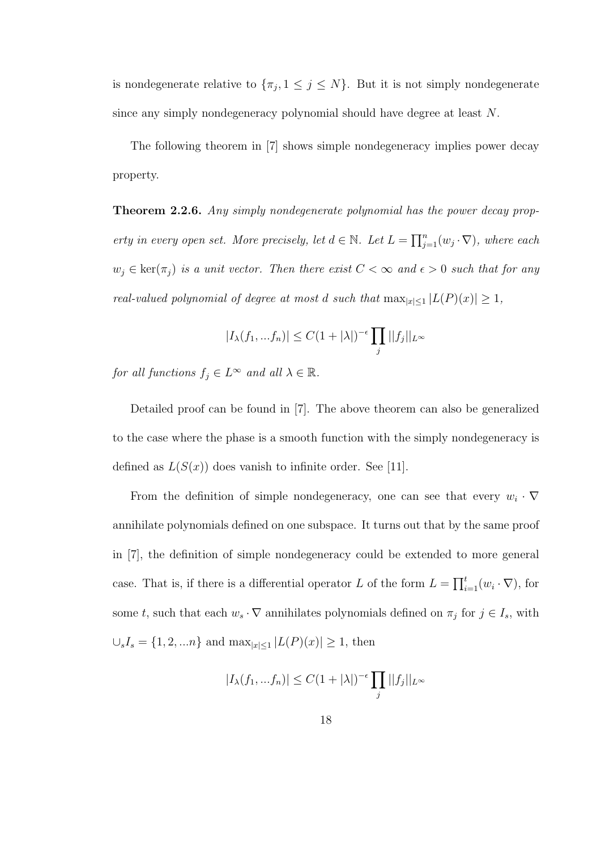is nondegenerate relative to  $\{\pi_j, 1 \leq j \leq N\}$ . But it is not simply nondegenerate since any simply nondegeneracy polynomial should have degree at least N.

The following theorem in [7] shows simple nondegeneracy implies power decay property.

**Theorem 2.2.6.** Any simply nondegenerate polynomial has the power decay property in every open set. More precisely, let  $d \in \mathbb{N}$ . Let  $L = \prod_{j=1}^{n} (w_j \cdot \nabla)$ , where each  $w_j \in \text{ker}(\pi_j)$  is a unit vector. Then there exist  $C < \infty$  and  $\epsilon > 0$  such that for any real-valued polynomial of degree at most d such that  $\max_{|x| \leq 1} |L(P)(x)| \geq 1$ ,

$$
|I_{\lambda}(f_1, ... f_n)| \le C(1+|\lambda|)^{-\epsilon} \prod_j ||f_j||_{L^{\infty}}
$$

for all functions  $f_j \in L^{\infty}$  and all  $\lambda \in \mathbb{R}$ .

Detailed proof can be found in [7]. The above theorem can also be generalized to the case where the phase is a smooth function with the simply nondegeneracy is defined as  $L(S(x))$  does vanish to infinite order. See [11].

From the definition of simple nondegeneracy, one can see that every  $w_i \cdot \nabla$ annihilate polynomials defined on one subspace. It turns out that by the same proof in [7], the definition of simple nondegeneracy could be extended to more general case. That is, if there is a differential operator L of the form  $L = \prod_{i=1}^{t} (w_i \cdot \nabla)$ , for some t, such that each  $w_s \cdot \nabla$  annihilates polynomials defined on  $\pi_j$  for  $j \in I_s$ , with  $\cup_{s} I_{s} = \{1, 2, ...n\}$  and  $\max_{|x| \leq 1} |L(P)(x)| \geq 1$ , then

$$
|I_{\lambda}(f_1, ... f_n)| \le C(1+|\lambda|)^{-\epsilon} \prod_j ||f_j||_{L^{\infty}}
$$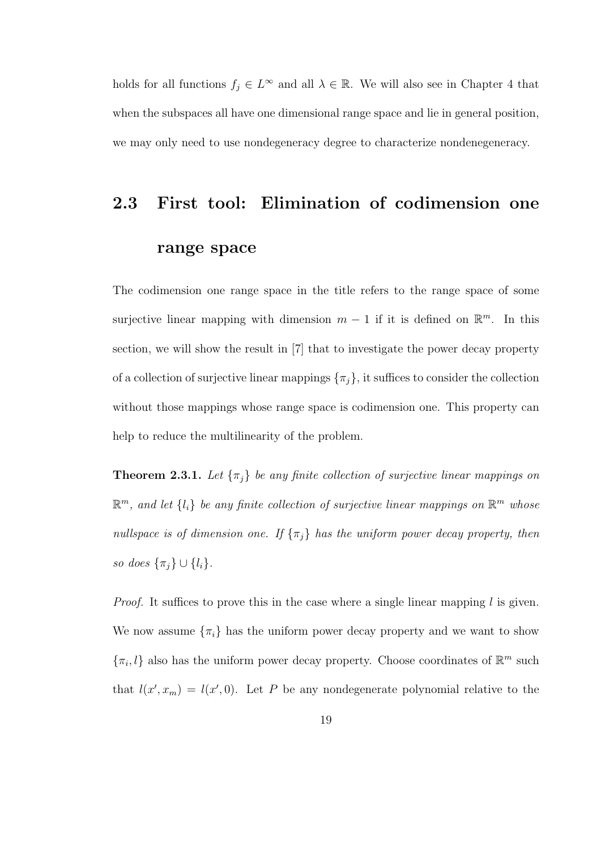holds for all functions  $f_j \in L^{\infty}$  and all  $\lambda \in \mathbb{R}$ . We will also see in Chapter 4 that when the subspaces all have one dimensional range space and lie in general position, we may only need to use nondegeneracy degree to characterize nondenegeneracy.

# 2.3 First tool: Elimination of codimension one range space

The codimension one range space in the title refers to the range space of some surjective linear mapping with dimension  $m-1$  if it is defined on  $\mathbb{R}^m$ . In this section, we will show the result in [7] that to investigate the power decay property of a collection of surjective linear mappings  $\{\pi_j\}$ , it suffices to consider the collection without those mappings whose range space is codimension one. This property can help to reduce the multilinearity of the problem.

**Theorem 2.3.1.** Let  $\{\pi_j\}$  be any finite collection of surjective linear mappings on  $\mathbb{R}^m$ , and let  $\{l_i\}$  be any finite collection of surjective linear mappings on  $\mathbb{R}^m$  whose nullspace is of dimension one. If  $\{\pi_j\}$  has the uniform power decay property, then so does  $\{\pi_j\} \cup \{l_i\}.$ 

*Proof.* It suffices to prove this in the case where a single linear mapping  $l$  is given. We now assume  $\{\pi_i\}$  has the uniform power decay property and we want to show  $\{\pi_i, l\}$  also has the uniform power decay property. Choose coordinates of  $\mathbb{R}^m$  such that  $l(x', x_m) = l(x', 0)$ . Let P be any nondegenerate polynomial relative to the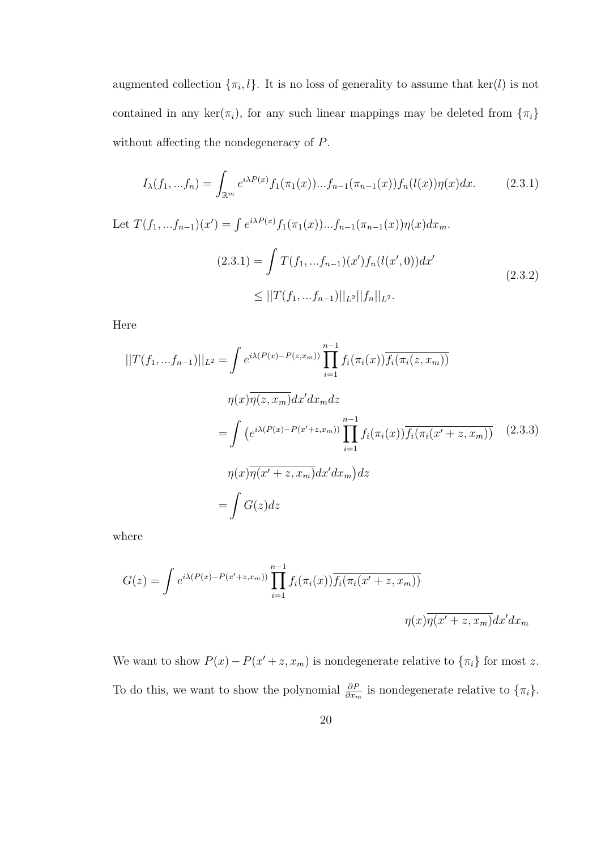augmented collection  $\{\pi_i, l\}$ . It is no loss of generality to assume that ker(l) is not contained in any ker( $\pi_i$ ), for any such linear mappings may be deleted from  $\{\pi_i\}$ without affecting the nondegeneracy of P.

$$
I_{\lambda}(f_1, ... f_n) = \int_{\mathbb{R}^m} e^{i\lambda P(x)} f_1(\pi_1(x)) ... f_{n-1}(\pi_{n-1}(x)) f_n(l(x)) \eta(x) dx.
$$
 (2.3.1)

Let  $T(f_1, ... f_{n-1})(x') = \int e^{i\lambda P(x)} f_1(\pi_1(x)) ... f_{n-1}(\pi_{n-1}(x)) \eta(x) dx_m$ .  $(2.3.1) = \int T(f_1, ... f_{n-1})(x') f_n(l(x', 0)) dx'$  $\leq$   $||T(f_1,...f_{n-1})||_{L^2}||f_n||_{L^2}.$ (2.3.2)

Here

$$
||T(f_1,...f_{n-1})||_{L^2} = \int e^{i\lambda(P(x)-P(z,x_m))} \prod_{i=1}^{n-1} f_i(\pi_i(x)) \overline{f_i(\pi_i(z,x_m))}
$$

$$
\eta(x)\overline{\eta(z,x_m)}dx'dx_m dz
$$

$$
= \int (e^{i\lambda(P(x)-P(x'+z,x_m))} \prod_{i=1}^{n-1} f_i(\pi_i(x)) \overline{f_i(\pi_i(x'+z,x_m))} \quad (2.3.3)
$$

$$
\eta(x)\overline{\eta(x'+z,x_m)}dx'dx_m dz
$$

$$
= \int G(z)dz
$$

where

$$
G(z) = \int e^{i\lambda(P(x) - P(x'+z,x_m))} \prod_{i=1}^{n-1} f_i(\pi_i(x)) \overline{f_i(\pi_i(x'+z,x_m))}
$$

$$
\eta(x) \overline{\eta(x'+z,x_m)} dx' dx_m
$$

We want to show  $P(x) - P(x' + z, x_m)$  is nondegenerate relative to  $\{\pi_i\}$  for most z. To do this, we want to show the polynomial  $\frac{\partial P}{\partial x_m}$  is nondegenerate relative to  $\{\pi_i\}$ .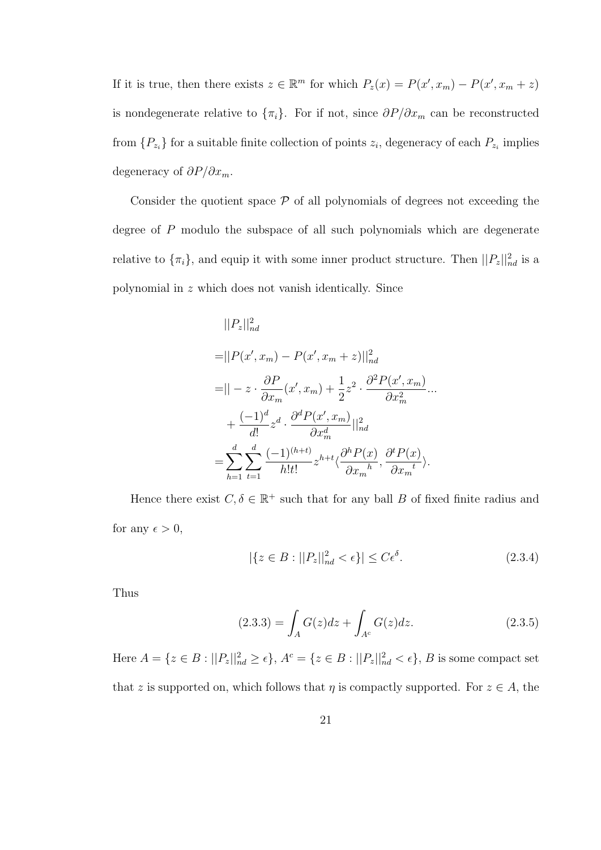If it is true, then there exists  $z \in \mathbb{R}^m$  for which  $P_z(x) = P(x', x_m) - P(x', x_m + z)$ is nondegenerate relative to  $\{\pi_i\}$ . For if not, since  $\partial P/\partial x_m$  can be reconstructed from  $\{P_{z_i}\}\$ for a suitable finite collection of points  $z_i$ , degeneracy of each  $P_{z_i}$  implies degeneracy of  $\partial P/\partial x_m$ .

Consider the quotient space  $P$  of all polynomials of degrees not exceeding the degree of P modulo the subspace of all such polynomials which are degenerate relative to  $\{\pi_i\}$ , and equip it with some inner product structure. Then  $\|P_z\|_{nd}^2$  is a polynomial in z which does not vanish identically. Since

$$
||P_z||_{nd}^2
$$
  
= $||P(x', x_m) - P(x', x_m + z)||_{nd}^2$   
= $||-z \cdot \frac{\partial P}{\partial x_m}(x', x_m) + \frac{1}{2}z^2 \cdot \frac{\partial^2 P(x', x_m)}{\partial x_m^2} ...$   
+ $\frac{(-1)^d}{d!}z^d \cdot \frac{\partial^d P(x', x_m)}{\partial x_m^d}||_{nd}^2$   
= $\sum_{h=1}^d \sum_{t=1}^d \frac{(-1)^{(h+t)}}{h!t!} z^{h+t} \langle \frac{\partial^h P(x)}{\partial x_m} , \frac{\partial^t P(x)}{\partial x_m^t} \rangle.$ 

Hence there exist  $C, \delta \in \mathbb{R}^+$  such that for any ball B of fixed finite radius and for any  $\epsilon > 0$ ,

$$
|\{z \in B : ||P_z||_{nd}^2 < \epsilon\}| \le C\epsilon^{\delta}.\tag{2.3.4}
$$

Thus

$$
(2.3.3) = \int_{A} G(z)dz + \int_{A^c} G(z)dz.
$$
 (2.3.5)

Here  $A = \{z \in B : ||P_z||_{nd}^2 \ge \epsilon\}, A^c = \{z \in B : ||P_z||_{nd}^2 < \epsilon\}, B$  is some compact set that z is supported on, which follows that  $\eta$  is compactly supported. For  $z \in A$ , the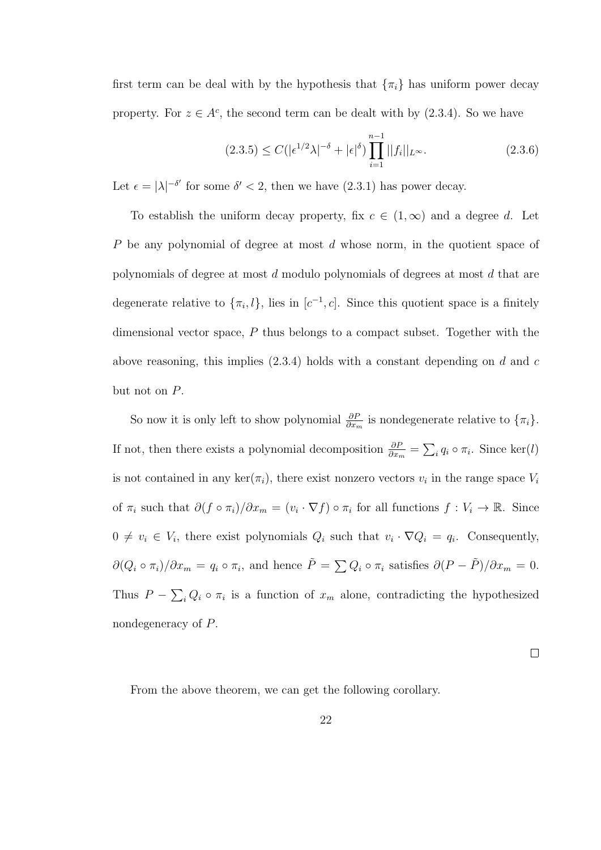first term can be deal with by the hypothesis that  $\{\pi_i\}$  has uniform power decay property. For  $z \in A^c$ , the second term can be dealt with by (2.3.4). So we have

$$
(2.3.5) \le C(|\epsilon^{1/2}\lambda|^{-\delta} + |\epsilon|^{\delta}) \prod_{i=1}^{n-1} ||f_i||_{L^{\infty}}.
$$
 (2.3.6)

Let  $\epsilon = |\lambda|^{-\delta'}$  for some  $\delta' < 2$ , then we have  $(2.3.1)$  has power decay.

To establish the uniform decay property, fix  $c \in (1,\infty)$  and a degree d. Let P be any polynomial of degree at most d whose norm, in the quotient space of polynomials of degree at most d modulo polynomials of degrees at most d that are degenerate relative to  $\{\pi_i, l\}$ , lies in  $[c^{-1}, c]$ . Since this quotient space is a finitely dimensional vector space, P thus belongs to a compact subset. Together with the above reasoning, this implies  $(2.3.4)$  holds with a constant depending on d and c but not on P.

So now it is only left to show polynomial  $\frac{\partial P}{\partial x_m}$  is nondegenerate relative to  $\{\pi_i\}$ . If not, then there exists a polynomial decomposition  $\frac{\partial P}{\partial x_m} = \sum_i q_i \circ \pi_i$ . Since ker(l) is not contained in any  $\ker(\pi_i)$ , there exist nonzero vectors  $v_i$  in the range space  $V_i$ of  $\pi_i$  such that  $\partial (f \circ \pi_i)/\partial x_m = (v_i \cdot \nabla f) \circ \pi_i$  for all functions  $f : V_i \to \mathbb{R}$ . Since  $0 \neq v_i \in V_i$ , there exist polynomials  $Q_i$  such that  $v_i \cdot \nabla Q_i = q_i$ . Consequently,  $\partial(Q_i \circ \pi_i)/\partial x_m = q_i \circ \pi_i$ , and hence  $\tilde{P} = \sum Q_i \circ \pi_i$  satisfies  $\partial(P - \tilde{P})/\partial x_m = 0$ . Thus  $P - \sum_i Q_i \circ \pi_i$  is a function of  $x_m$  alone, contradicting the hypothesized nondegeneracy of P.

 $\Box$ 

From the above theorem, we can get the following corollary.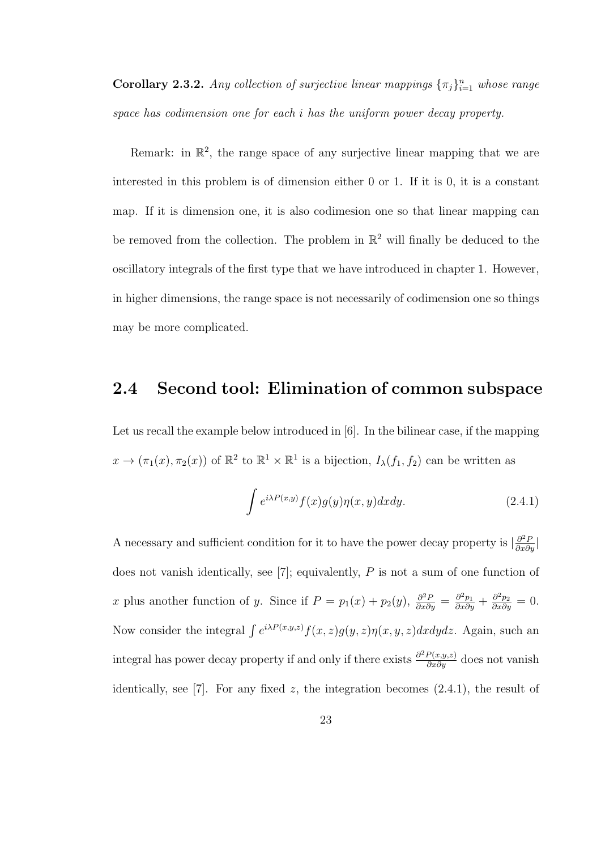**Corollary 2.3.2.** Any collection of surjective linear mappings  ${\{\pi_j\}}_{i=1}^n$  whose range space has codimension one for each i has the uniform power decay property.

Remark: in  $\mathbb{R}^2$ , the range space of any surjective linear mapping that we are interested in this problem is of dimension either 0 or 1. If it is 0, it is a constant map. If it is dimension one, it is also codimesion one so that linear mapping can be removed from the collection. The problem in  $\mathbb{R}^2$  will finally be deduced to the oscillatory integrals of the first type that we have introduced in chapter 1. However, in higher dimensions, the range space is not necessarily of codimension one so things may be more complicated.

### 2.4 Second tool: Elimination of common subspace

Let us recall the example below introduced in [6]. In the bilinear case, if the mapping  $x \to (\pi_1(x), \pi_2(x))$  of  $\mathbb{R}^2$  to  $\mathbb{R}^1 \times \mathbb{R}^1$  is a bijection,  $I_\lambda(f_1, f_2)$  can be written as

$$
\int e^{i\lambda P(x,y)} f(x)g(y)\eta(x,y)dxdy.
$$
 (2.4.1)

A necessary and sufficient condition for it to have the power decay property is  $\frac{\partial^2 P}{\partial x \partial y}$ does not vanish identically, see [7]; equivalently, P is not a sum of one function of x plus another function of y. Since if  $P = p_1(x) + p_2(y)$ ,  $\frac{\partial^2 P}{\partial x \partial y} = \frac{\partial^2 p_1}{\partial x \partial y} + \frac{\partial^2 p_2}{\partial x \partial y} = 0$ . Now consider the integral  $\int e^{i\lambda P(x,y,z)} f(x,z)g(y,z)\eta(x,y,z)dxdydz$ . Again, such an integral has power decay property if and only if there exists  $\frac{\partial^2 P(x,y,z)}{\partial x \partial y}$  does not vanish identically, see [7]. For any fixed  $z$ , the integration becomes  $(2.4.1)$ , the result of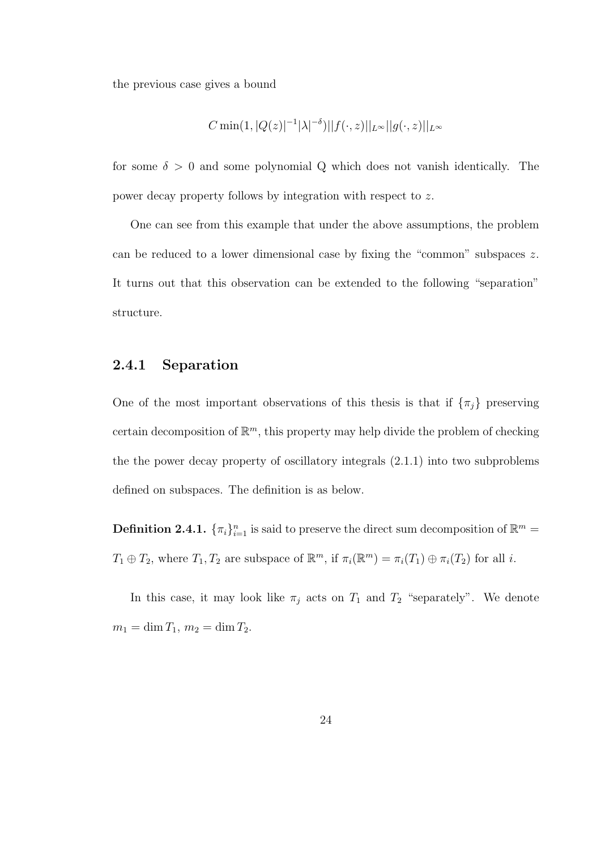the previous case gives a bound

$$
C \min(1, |Q(z)|^{-1}|\lambda|^{-\delta})||f(\cdot, z)||_{L^\infty}||g(\cdot, z)||_{L^\infty}
$$

for some  $\delta > 0$  and some polynomial Q which does not vanish identically. The power decay property follows by integration with respect to z.

One can see from this example that under the above assumptions, the problem can be reduced to a lower dimensional case by fixing the "common" subspaces z. It turns out that this observation can be extended to the following "separation" structure.

#### 2.4.1 Separation

One of the most important observations of this thesis is that if  $\{\pi_j\}$  preserving certain decomposition of  $\mathbb{R}^m$ , this property may help divide the problem of checking the the power decay property of oscillatory integrals (2.1.1) into two subproblems defined on subspaces. The definition is as below.

**Definition 2.4.1.**  $\{\pi_i\}_{i=1}^n$  is said to preserve the direct sum decomposition of  $\mathbb{R}^m$  =  $T_1 \oplus T_2$ , where  $T_1, T_2$  are subspace of  $\mathbb{R}^m$ , if  $\pi_i(\mathbb{R}^m) = \pi_i(T_1) \oplus \pi_i(T_2)$  for all i.

In this case, it may look like  $\pi_j$  acts on  $T_1$  and  $T_2$  "separately". We denote  $m_1 = \dim T_1, m_2 = \dim T_2.$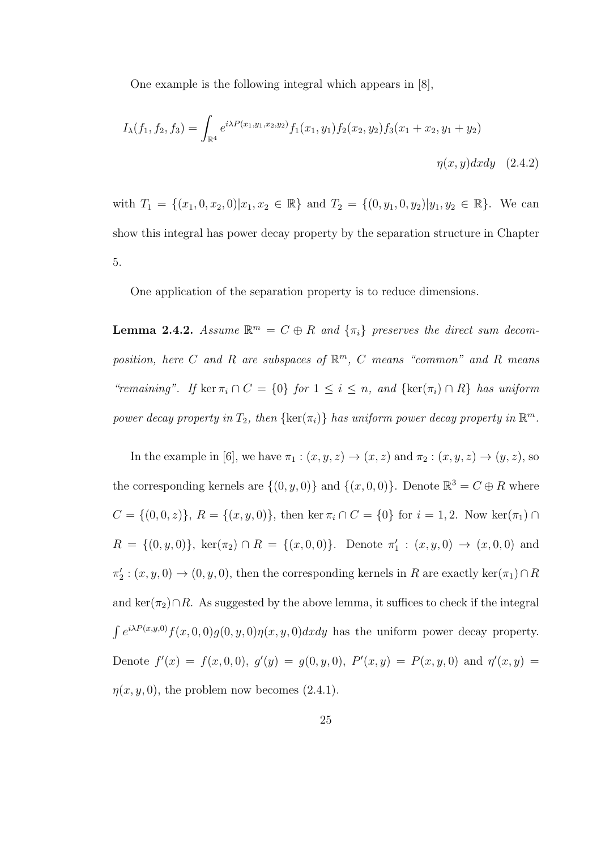One example is the following integral which appears in [8],

$$
I_{\lambda}(f_1, f_2, f_3) = \int_{\mathbb{R}^4} e^{i\lambda P(x_1, y_1, x_2, y_2)} f_1(x_1, y_1) f_2(x_2, y_2) f_3(x_1 + x_2, y_1 + y_2)
$$
  

$$
\eta(x, y) dx dy \quad (2.4.2)
$$

with  $T_1 = \{(x_1, 0, x_2, 0)|x_1, x_2 \in \mathbb{R}\}\$  and  $T_2 = \{(0, y_1, 0, y_2)|y_1, y_2 \in \mathbb{R}\}\.$  We can show this integral has power decay property by the separation structure in Chapter 5.

One application of the separation property is to reduce dimensions.

**Lemma 2.4.2.** Assume  $\mathbb{R}^m = C \oplus R$  and  $\{\pi_i\}$  preserves the direct sum decomposition, here C and R are subspaces of  $\mathbb{R}^m$ , C means "common" and R means "remaining". If ker  $\pi_i \cap C = \{0\}$  for  $1 \leq i \leq n$ , and  $\{\ker(\pi_i) \cap R\}$  has uniform power decay property in  $T_2$ , then  $\{\ker(\pi_i)\}\)$  has uniform power decay property in  $\mathbb{R}^m$ .

In the example in [6], we have  $\pi_1 : (x, y, z) \to (x, z)$  and  $\pi_2 : (x, y, z) \to (y, z)$ , so the corresponding kernels are  $\{(0, y, 0)\}\$  and  $\{(x, 0, 0)\}\$ . Denote  $\mathbb{R}^3 = C \oplus R$  where  $C = \{(0,0,z)\}, R = \{(x,y,0)\}, \text{ then } \ker \pi_i \cap C = \{0\} \text{ for } i = 1,2. \text{ Now } \ker(\pi_1) \cap C$  $R = \{(0, y, 0)\}, \text{ ker}(\pi_2) \cap R = \{(x, 0, 0)\}.$  Denote  $\pi'_1 : (x, y, 0) \to (x, 0, 0)$  and  $\pi'_2$ :  $(x, y, 0) \to (0, y, 0)$ , then the corresponding kernels in R are exactly ker $(\pi_1) \cap R$ and ker( $\pi_2$ )∩R. As suggested by the above lemma, it suffices to check if the integral  $\int e^{i\lambda P(x,y,0)} f(x,0,0) g(0,y,0) \eta(x,y,0) dx dy$  has the uniform power decay property. Denote  $f'(x) = f(x, 0, 0), g'(y) = g(0, y, 0), P'(x, y) = P(x, y, 0)$  and  $\eta'(x, y) =$  $\eta(x, y, 0)$ , the problem now becomes  $(2.4.1)$ .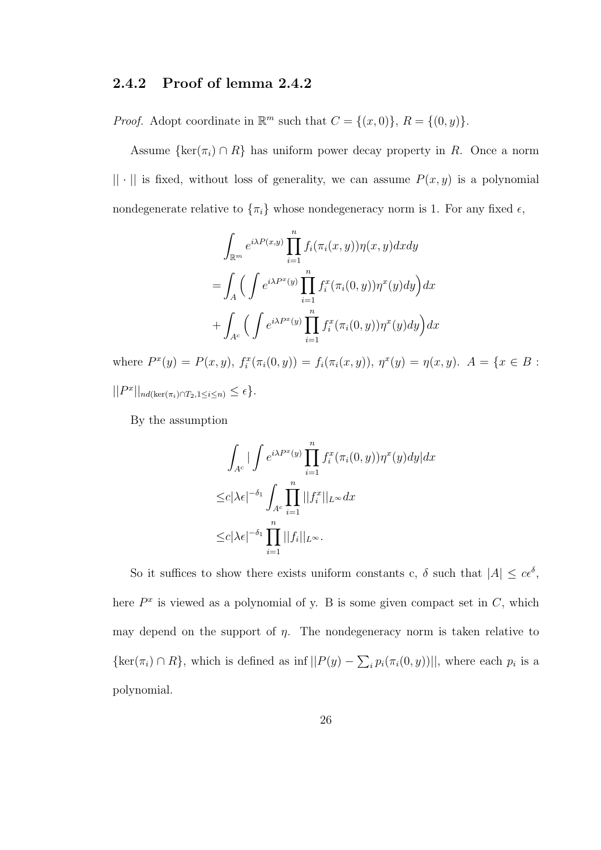#### 2.4.2 Proof of lemma 2.4.2

*Proof.* Adopt coordinate in  $\mathbb{R}^m$  such that  $C = \{(x, 0)\}, R = \{(0, y)\}.$ 

Assume  $\{\ker(\pi_i) \cap R\}$  has uniform power decay property in R. Once a norm  $|| \cdot ||$  is fixed, without loss of generality, we can assume  $P(x, y)$  is a polynomial nondegenerate relative to  $\{\pi_i\}$  whose nondegeneracy norm is 1. For any fixed  $\epsilon$ ,

$$
\int_{\mathbb{R}^m} e^{i\lambda P(x,y)} \prod_{i=1}^n f_i(\pi_i(x,y)) \eta(x,y) dx dy
$$
  
= 
$$
\int_A \Big( \int e^{i\lambda P^x(y)} \prod_{i=1}^n f_i^x(\pi_i(0,y)) \eta^x(y) dy \Big) dx
$$
  
+ 
$$
\int_{A^c} \Big( \int e^{i\lambda P^x(y)} \prod_{i=1}^n f_i^x(\pi_i(0,y)) \eta^x(y) dy \Big) dx
$$

where  $P^x(y) = P(x, y)$ ,  $f_i^x(\pi_i(0, y)) = f_i(\pi_i(x, y))$ ,  $\eta^x(y) = \eta(x, y)$ .  $A = \{x \in B :$  $||P^x||_{nd(\ker(\pi_i)\cap T_2,1\leq i\leq n)} \leq \epsilon$ .

By the assumption

$$
\int_{A^c} \left| \int e^{i\lambda P^x(y)} \prod_{i=1}^n f_i^x(\pi_i(0, y)) \eta^x(y) dy \right| dx
$$
  

$$
\leq c |\lambda \epsilon|^{-\delta_1} \int_{A^c} \prod_{i=1}^n ||f_i^x||_{L^\infty} dx
$$
  

$$
\leq c |\lambda \epsilon|^{-\delta_1} \prod_{i=1}^n ||f_i||_{L^\infty}.
$$

So it suffices to show there exists uniform constants c,  $\delta$  such that  $|A| \leq c\epsilon^{\delta}$ , here  $P^x$  is viewed as a polynomial of y. B is some given compact set in  $C$ , which may depend on the support of  $\eta$ . The nondegeneracy norm is taken relative to  $\{\ker(\pi_i) \cap R\}$ , which is defined as inf  $||P(y) - \sum_i p_i(\pi_i(0, y))||$ , where each  $p_i$  is a polynomial.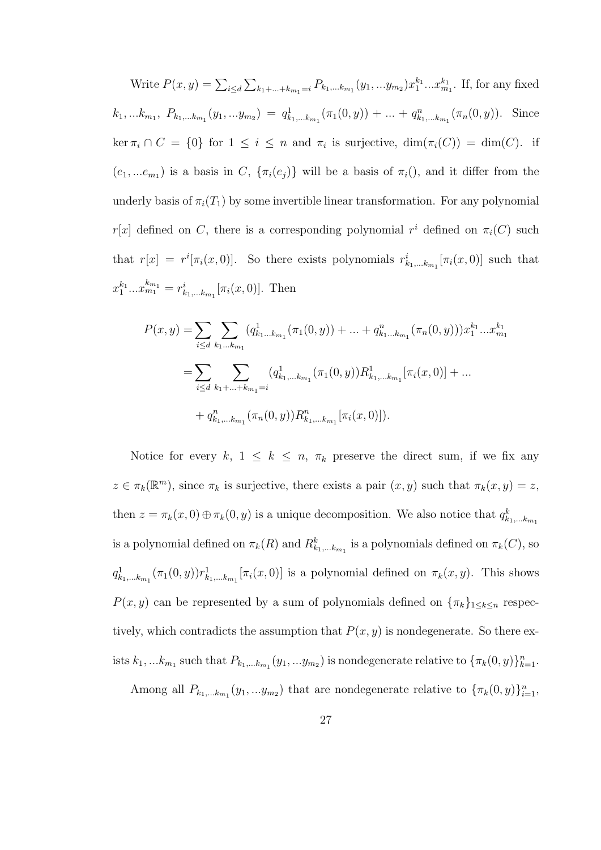Write  $P(x, y) = \sum_{i \le d} \sum_{k_1 + ... + k_{m_1} = i} P_{k_1, ... k_{m_1}}(y_1, ... y_{m_2}) x_1^{k_1} ... x_{m_1}^{k_1}$ . If, for any fixed  $k_1,...k_{m_1}, P_{k_1,...k_{m_1}}(y_1,...y_{m_2}) = q_{k_1,...k_{m_1}}^1(\pi_1(0,y)) + ... + q_{k_1,...k_{m_1}}^n(\pi_n(0,y)).$  Since  $\ker \pi_i \cap C = \{0\}$  for  $1 \leq i \leq n$  and  $\pi_i$  is surjective,  $\dim(\pi_i(C)) = \dim(C)$ . if  $(e_1, ... e_{m_1})$  is a basis in C,  $\{\pi_i(e_j)\}\$  will be a basis of  $\pi_i($ , and it differ from the underly basis of  $\pi_i(T_1)$  by some invertible linear transformation. For any polynomial r[x] defined on C, there is a corresponding polynomial  $r^i$  defined on  $\pi_i(C)$  such that  $r[x] = r^{i}[\pi_{i}(x, 0)].$  So there exists polynomials  $r_{k_{1},...,k_{m_{1}}}^{i}[\pi_{i}(x, 0)]$  such that  $x_1^{k_1}...x_{m_1}^{k_{m_1}} = r_{k_1,...k_{m_1}}^i[\pi_i(x,0)].$  Then

$$
P(x,y) = \sum_{i \le d} \sum_{k_1...k_{m_1}} (q_{k_1...k_{m_1}}^1(\pi_1(0,y)) + ... + q_{k_1...k_{m_1}}^n(\pi_n(0,y)))x_1^{k_1}...x_{m_1}^{k_1}
$$
  
= 
$$
\sum_{i \le d} \sum_{k_1+...+k_{m_1}=i} (q_{k_1,...k_{m_1}}^1(\pi_1(0,y))R_{k_1,...k_{m_1}}^1[\pi_i(x,0)] + ... + q_{k_1,...k_{m_1}}^n(\pi_n(0,y))R_{k_1,...k_{m_1}}^n[\pi_i(x,0)]
$$
.

Notice for every k,  $1 \leq k \leq n$ ,  $\pi_k$  preserve the direct sum, if we fix any  $z \in \pi_k(\mathbb{R}^m)$ , since  $\pi_k$  is surjective, there exists a pair  $(x, y)$  such that  $\pi_k(x, y) = z$ , then  $z = \pi_k(x,0) \oplus \pi_k(0,y)$  is a unique decomposition. We also notice that  $q_{k_1,...k_{m_1}}^k$ is a polynomial defined on  $\pi_k(R)$  and  $R^k_{k_1,\dots k_{m_1}}$  is a polynomials defined on  $\pi_k(C)$ , so  $q^1_{k_1,\dots,k_{m_1}}(\pi_1(0,y))r^1_{k_1,\dots,k_{m_1}}[\pi_i(x,0)]$  is a polynomial defined on  $\pi_k(x,y)$ . This shows  $P(x, y)$  can be represented by a sum of polynomials defined on  $\{\pi_k\}_{1 \leq k \leq n}$  respectively, which contradicts the assumption that  $P(x, y)$  is nondegenerate. So there exists  $k_1,...k_{m_1}$  such that  $P_{k_1,...k_{m_1}}(y_1,...y_{m_2})$  is nondegenerate relative to  $\{\pi_k(0,y)\}_{k=1}^n$ .

Among all  $P_{k_1,...k_{m_1}}(y_1,...y_{m_2})$  that are nondegenerate relative to  $\{\pi_k(0,y)\}_{i=1}^n$ ,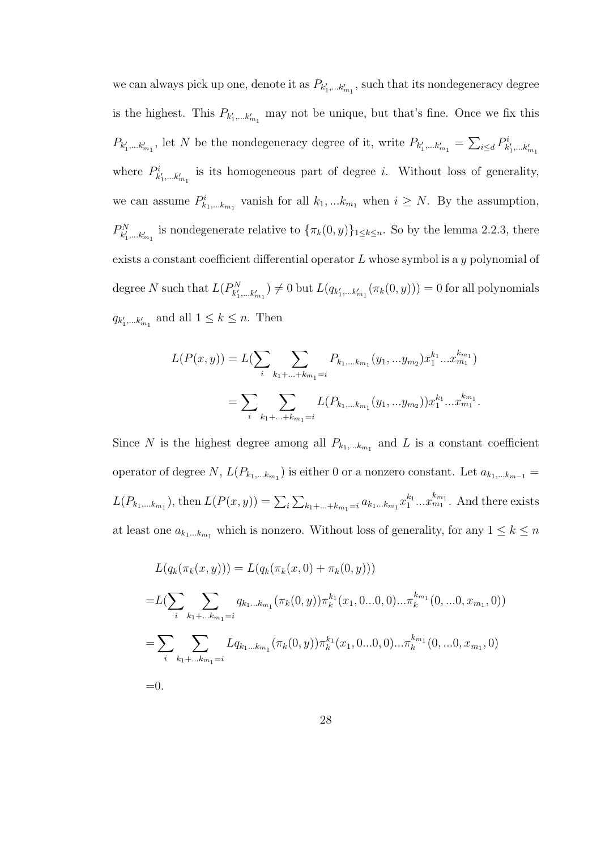we can always pick up one, denote it as  $P_{k'_1,\dots k'_{m_1}}$ , such that its nondegeneracy degree is the highest. This  $P_{k'_1,\dots k'_{m_1}}$  may not be unique, but that's fine. Once we fix this  $P_{k'_1,\dots k'_{m_1}}$ , let N be the nondegeneracy degree of it, write  $P_{k'_1,\dots k'_{m_1}} = \sum_{i\leq d} P^i_{k'_1,\dots k'_{m_1}}$ where  $P^i_{k'_1,\dots k'_{m_1}}$  is its homogeneous part of degree *i*. Without loss of generality, we can assume  $P_{k_1,...k_{m_1}}^i$  vanish for all  $k_1,...k_{m_1}$  when  $i \geq N$ . By the assumption,  $P_{k'_1,\dots k'_{m_1}}^N$  is nondegenerate relative to  $\{\pi_k(0, y)\}_{1 \leq k \leq n}$ . So by the lemma 2.2.3, there exists a constant coefficient differential operator  $L$  whose symbol is a  $y$  polynomial of degree N such that  $L(P^N_{k'_1,\dots k'_{m_1}}) \neq 0$  but  $L(q_{k'_1,\dots k'_{m_1}}(\pi_k(0,y))) = 0$  for all polynomials  $q_{k'_1,\dots k'_{m_1}}$  and all  $1 \leq k \leq n$ . Then

$$
L(P(x, y)) = L(\sum_{i} \sum_{k_1 + \dots + k_{m_1} = i} P_{k_1, \dots, k_{m_1}}(y_1, \dots y_{m_2}) x_1^{k_1} \dots x_{m_1}^{k_{m_1}})
$$
  
= 
$$
\sum_{i} \sum_{k_1 + \dots + k_{m_1} = i} L(P_{k_1, \dots, k_{m_1}}(y_1, \dots y_{m_2})) x_1^{k_1} \dots x_{m_1}^{k_{m_1}}.
$$

Since N is the highest degree among all  $P_{k_1,...k_{m_1}}$  and L is a constant coefficient operator of degree N,  $L(P_{k_1,...k_{m_1}})$  is either 0 or a nonzero constant. Let  $a_{k_1,...k_{m-1}} =$  $L(P_{k_1,...k_{m_1}})$ , then  $L(P(x,y)) = \sum_i \sum_{k_1+...+k_{m_1}=i} a_{k_1...k_{m_1}} x_1^{k_1}...x_{m_1}^{k_{m_1}}$ . And there exists at least one  $a_{k_1...k_{m_1}}$  which is nonzero. Without loss of generality, for any  $1 \leq k \leq n$ 

$$
L(q_k(\pi_k(x, y))) = L(q_k(\pi_k(x, 0) + \pi_k(0, y)))
$$
  
\n
$$
= L(\sum_i \sum_{k_1 + \dots k_{m_1} = i} q_{k_1 \dots k_{m_1}}(\pi_k(0, y)) \pi_k^{k_1}(x_1, 0 \dots 0, 0) \dots \pi_k^{k_{m_1}}(0, \dots 0, x_{m_1}, 0))
$$
  
\n
$$
= \sum_i \sum_{k_1 + \dots k_{m_1} = i} Lq_{k_1 \dots k_{m_1}}(\pi_k(0, y)) \pi_k^{k_1}(x_1, 0 \dots 0, 0) \dots \pi_k^{k_{m_1}}(0, \dots 0, x_{m_1}, 0)
$$
  
\n
$$
= 0.
$$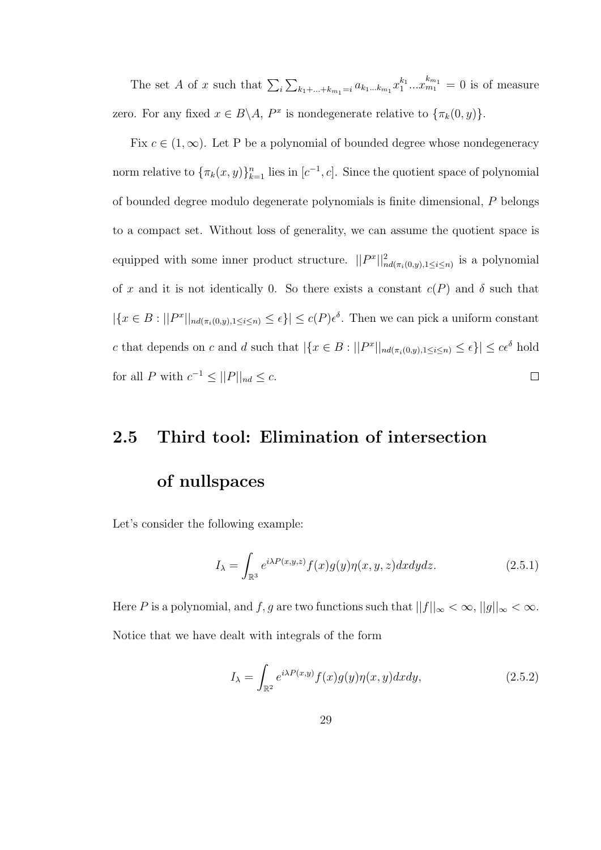The set A of x such that  $\sum_i \sum_{k_1+\ldots+k_{m_1}=i} a_{k_1\ldots k_{m_1}} x_1^{k_1} \ldots x_{m_1}^{k_{m_1}} = 0$  is of measure zero. For any fixed  $x \in B \backslash A$ ,  $P^x$  is nondegenerate relative to  $\{\pi_k(0, y)\}.$ 

Fix  $c \in (1,\infty)$ . Let P be a polynomial of bounded degree whose nondegeneracy norm relative to  ${\lbrace \pi_k(x,y) \rbrace_{k=1}^n}$  lies in  $[c^{-1},c]$ . Since the quotient space of polynomial of bounded degree modulo degenerate polynomials is finite dimensional, P belongs to a compact set. Without loss of generality, we can assume the quotient space is equipped with some inner product structure.  $||P^x||^2_{nd(\pi_i(0,y),1\leq i\leq n)}$  is a polynomial of x and it is not identically 0. So there exists a constant  $c(P)$  and  $\delta$  such that  $|\{x \in B : ||P^x||_{nd(\pi_i(0,y),1\leq i\leq n)} \leq \epsilon\}| \leq c(P)\epsilon^{\delta}$ . Then we can pick a uniform constant c that depends on c and d such that  $|\{x \in B : ||P^x||_{nd(\pi_i(0,y),1 \leq i \leq n)} \leq \epsilon\}| \leq c\epsilon^{\delta}$  hold for all P with  $c^{-1} \leq ||P||_{nd} \leq c$ .  $\Box$ 

### 2.5 Third tool: Elimination of intersection

#### of nullspaces

Let's consider the following example:

$$
I_{\lambda} = \int_{\mathbb{R}^3} e^{i\lambda P(x,y,z)} f(x)g(y)\eta(x,y,z)dxdydz.
$$
 (2.5.1)

Here P is a polynomial, and f, g are two functions such that  $||f||_{\infty} < \infty$ ,  $||g||_{\infty} < \infty$ . Notice that we have dealt with integrals of the form

$$
I_{\lambda} = \int_{\mathbb{R}^2} e^{i\lambda P(x,y)} f(x)g(y)\eta(x,y)dxdy,
$$
 (2.5.2)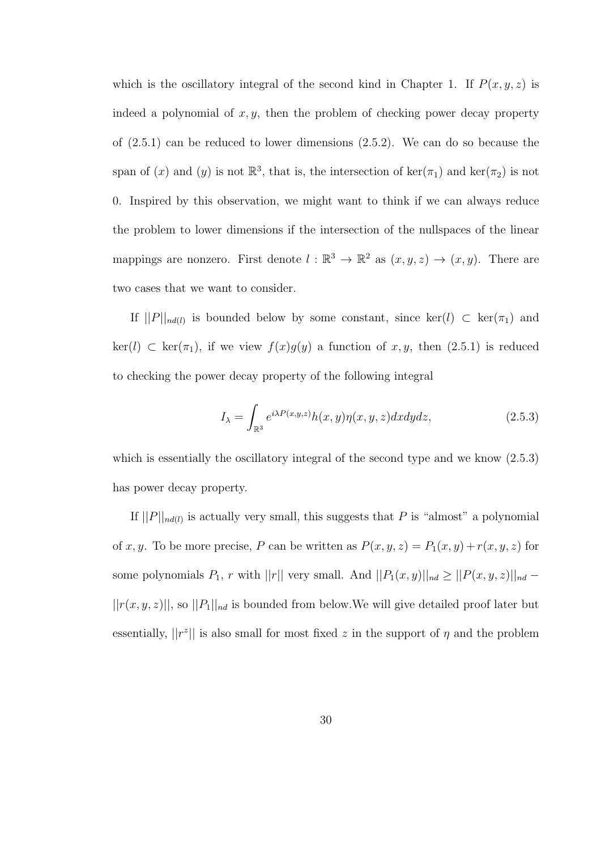which is the oscillatory integral of the second kind in Chapter 1. If  $P(x, y, z)$  is indeed a polynomial of  $x, y$ , then the problem of checking power decay property of (2.5.1) can be reduced to lower dimensions (2.5.2). We can do so because the span of (x) and (y) is not  $\mathbb{R}^3$ , that is, the intersection of  $\ker(\pi_1)$  and  $\ker(\pi_2)$  is not 0. Inspired by this observation, we might want to think if we can always reduce the problem to lower dimensions if the intersection of the nullspaces of the linear mappings are nonzero. First denote  $l : \mathbb{R}^3 \to \mathbb{R}^2$  as  $(x, y, z) \to (x, y)$ . There are two cases that we want to consider.

If  $||P||_{nd(l)}$  is bounded below by some constant, since  $\ker(l) \subset \ker(\pi_1)$  and  $\ker(l) \subset \ker(\pi_1)$ , if we view  $f(x)g(y)$  a function of x, y, then  $(2.5.1)$  is reduced to checking the power decay property of the following integral

$$
I_{\lambda} = \int_{\mathbb{R}^3} e^{i\lambda P(x,y,z)} h(x,y)\eta(x,y,z) dx dy dz, \qquad (2.5.3)
$$

which is essentially the oscillatory integral of the second type and we know  $(2.5.3)$ has power decay property.

If  $||P||_{nd(l)}$  is actually very small, this suggests that P is "almost" a polynomial of x, y. To be more precise, P can be written as  $P(x, y, z) = P_1(x, y) + r(x, y, z)$  for some polynomials  $P_1$ , r with  $||r||$  very small. And  $||P_1(x,y)||_{nd} \geq ||P(x,y,z)||_{nd}$  $||r(x, y, z)||$ , so  $||P_1||_{nd}$  is bounded from below. We will give detailed proof later but essentially,  $||r^z||$  is also small for most fixed z in the support of  $\eta$  and the problem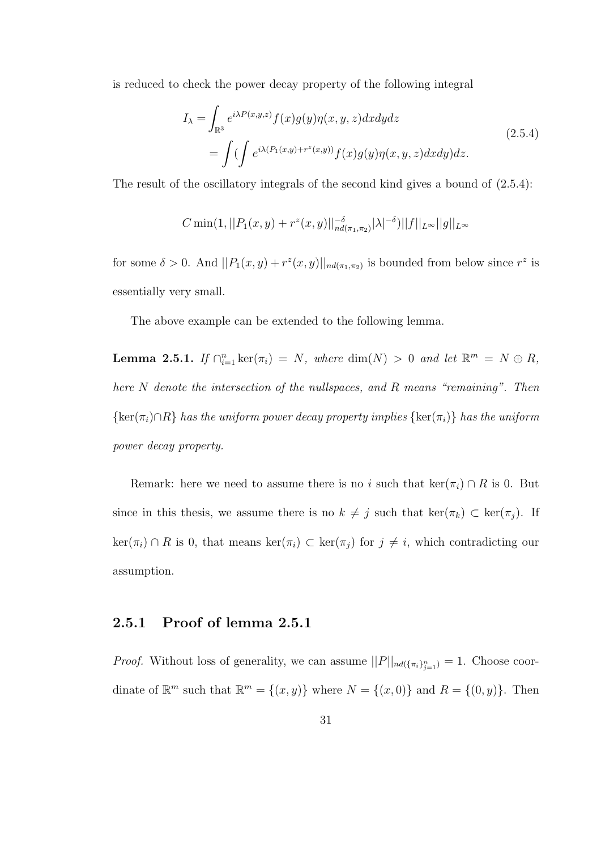is reduced to check the power decay property of the following integral

$$
I_{\lambda} = \int_{\mathbb{R}^3} e^{i\lambda P(x,y,z)} f(x)g(y)\eta(x,y,z)dxdydz
$$
  
= 
$$
\int \left( \int e^{i\lambda (P_1(x,y) + r^z(x,y))} f(x)g(y)\eta(x,y,z)dxdy \right)dz.
$$
 (2.5.4)

The result of the oscillatory integrals of the second kind gives a bound of  $(2.5.4)$ :

$$
C \min(1, ||P_1(x, y) + r^z(x, y)||_{nd(\pi_1, \pi_2)}^{-\delta} |\lambda|^{-\delta}) ||f||_{L^{\infty}} ||g||_{L^{\infty}}
$$

for some  $\delta > 0$ . And  $||P_1(x, y) + r^z(x, y)||_{nd(\pi_1, \pi_2)}$  is bounded from below since  $r^z$  is essentially very small.

The above example can be extended to the following lemma.

**Lemma 2.5.1.** If  $\bigcap_{i=1}^n \ker(\pi_i) = N$ , where  $\dim(N) > 0$  and let  $\mathbb{R}^m = N \oplus R$ , here N denote the intersection of the nullspaces, and R means "remaining". Then  ${\rm ker}(\pi_i) \cap R$  has the uniform power decay property implies  ${\rm ker}(\pi_i)$  has the uniform power decay property.

Remark: here we need to assume there is no i such that ker( $\pi_i$ ) ∩ R is 0. But since in this thesis, we assume there is no  $k \neq j$  such that  $\ker(\pi_k) \subset \ker(\pi_j)$ . If  $\ker(\pi_i) \cap R$  is 0, that means  $\ker(\pi_i) \subset \ker(\pi_j)$  for  $j \neq i$ , which contradicting our assumption.

#### 2.5.1 Proof of lemma 2.5.1

*Proof.* Without loss of generality, we can assume  $||P||_{nd(\{\pi_i\}_{j=1}^n)} = 1$ . Choose coordinate of  $\mathbb{R}^m$  such that  $\mathbb{R}^m = \{(x, y)\}\$  where  $N = \{(x, 0)\}\$  and  $R = \{(0, y)\}\$ . Then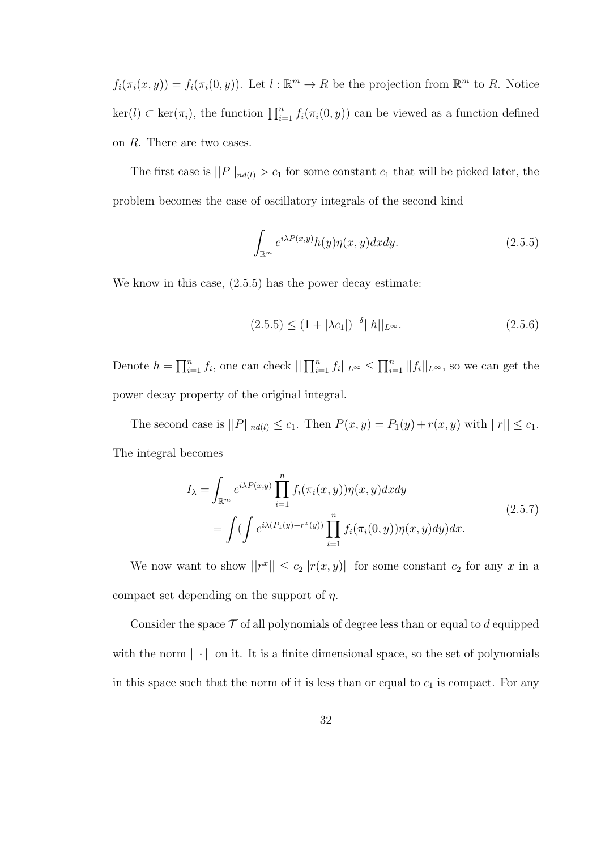$f_i(\pi_i(x, y)) = f_i(\pi_i(0, y))$ . Let  $l : \mathbb{R}^m \to R$  be the projection from  $\mathbb{R}^m$  to R. Notice  $\ker(l) \subset \ker(\pi_i)$ , the function  $\prod_{i=1}^n f_i(\pi_i(0, y))$  can be viewed as a function defined on R. There are two cases.

The first case is  $||P||_{nd(l)} > c_1$  for some constant  $c_1$  that will be picked later, the problem becomes the case of oscillatory integrals of the second kind

$$
\int_{\mathbb{R}^m} e^{i\lambda P(x,y)} h(y) \eta(x,y) dx dy.
$$
 (2.5.5)

We know in this case,  $(2.5.5)$  has the power decay estimate:

$$
(2.5.5) \le (1 + |\lambda c_1|)^{-\delta} ||h||_{L^{\infty}}.
$$
\n(2.5.6)

Denote  $h = \prod_{i=1}^n f_i$ , one can check  $\prod_{i=1}^n f_i \mid_{L^\infty} \leq \prod_{i=1}^n ||f_i||_{L^\infty}$ , so we can get the power decay property of the original integral.

The second case is  $||P||_{nd(l)} \le c_1$ . Then  $P(x, y) = P_1(y) + r(x, y)$  with  $||r|| \le c_1$ . The integral becomes

$$
I_{\lambda} = \int_{\mathbb{R}^m} e^{i\lambda P(x,y)} \prod_{i=1}^n f_i(\pi_i(x,y)) \eta(x,y) dx dy
$$
  
= 
$$
\int \left( \int e^{i\lambda (P_1(y) + r^x(y))} \prod_{i=1}^n f_i(\pi_i(0,y)) \eta(x,y) dy \right) dx.
$$
 (2.5.7)

We now want to show  $||r^x|| \leq c_2 ||r(x,y)||$  for some constant  $c_2$  for any x in a compact set depending on the support of  $\eta$ .

Consider the space  $\mathcal T$  of all polynomials of degree less than or equal to d equipped with the norm  $|| \cdot ||$  on it. It is a finite dimensional space, so the set of polynomials in this space such that the norm of it is less than or equal to  $c_1$  is compact. For any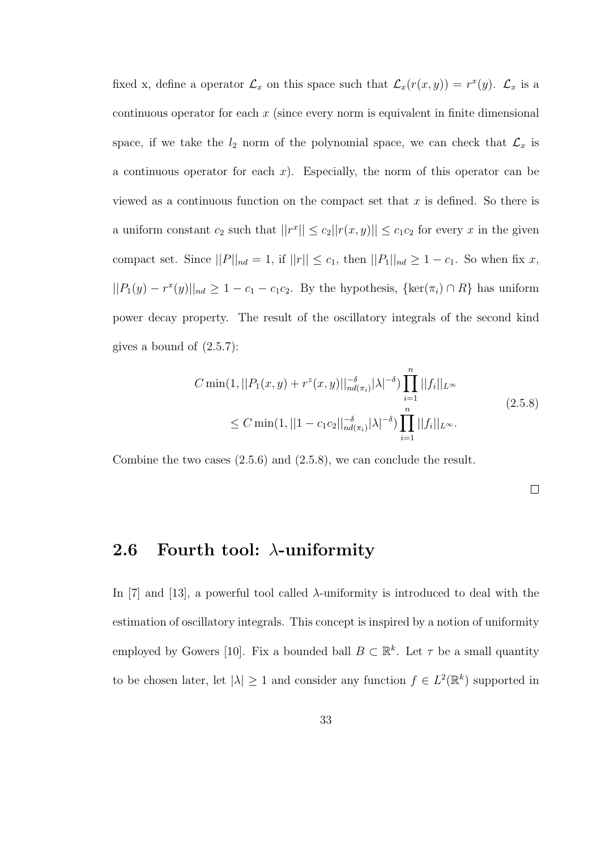fixed x, define a operator  $\mathcal{L}_x$  on this space such that  $\mathcal{L}_x(r(x,y)) = r^x(y)$ .  $\mathcal{L}_x$  is a continuous operator for each  $x$  (since every norm is equivalent in finite dimensional space, if we take the  $l_2$  norm of the polynomial space, we can check that  $\mathcal{L}_x$  is a continuous operator for each  $x$ ). Especially, the norm of this operator can be viewed as a continuous function on the compact set that x is defined. So there is a uniform constant  $c_2$  such that  $||r^x|| \leq c_2||r(x,y)|| \leq c_1c_2$  for every x in the given compact set. Since  $||P||_{nd} = 1$ , if  $||r|| \le c_1$ , then  $||P_1||_{nd} \ge 1 - c_1$ . So when fix x,  $||P_1(y) - r^x(y)||_{nd} \ge 1 - c_1 - c_1c_2$ . By the hypothesis,  $\{\ker(\pi_i) \cap R\}$  has uniform power decay property. The result of the oscillatory integrals of the second kind gives a bound of (2.5.7):

$$
C \min(1, ||P_1(x, y) + r^z(x, y)||_{nd(\pi_i)}^{-\delta} |\lambda|^{-\delta}) \prod_{i=1}^n ||f_i||_{L^{\infty}}
$$
  
\n
$$
\leq C \min(1, ||1 - c_1 c_2||_{nd(\pi_i)}^{-\delta} |\lambda|^{-\delta}) \prod_{i=1}^n ||f_i||_{L^{\infty}}.
$$
\n(2.5.8)

Combine the two cases (2.5.6) and (2.5.8), we can conclude the result.

 $\Box$ 

#### 2.6 Fourth tool:  $\lambda$ -uniformity

In [7] and [13], a powerful tool called  $\lambda$ -uniformity is introduced to deal with the estimation of oscillatory integrals. This concept is inspired by a notion of uniformity employed by Gowers [10]. Fix a bounded ball  $B \subset \mathbb{R}^k$ . Let  $\tau$  be a small quantity to be chosen later, let  $|\lambda| \geq 1$  and consider any function  $f \in L^2(\mathbb{R}^k)$  supported in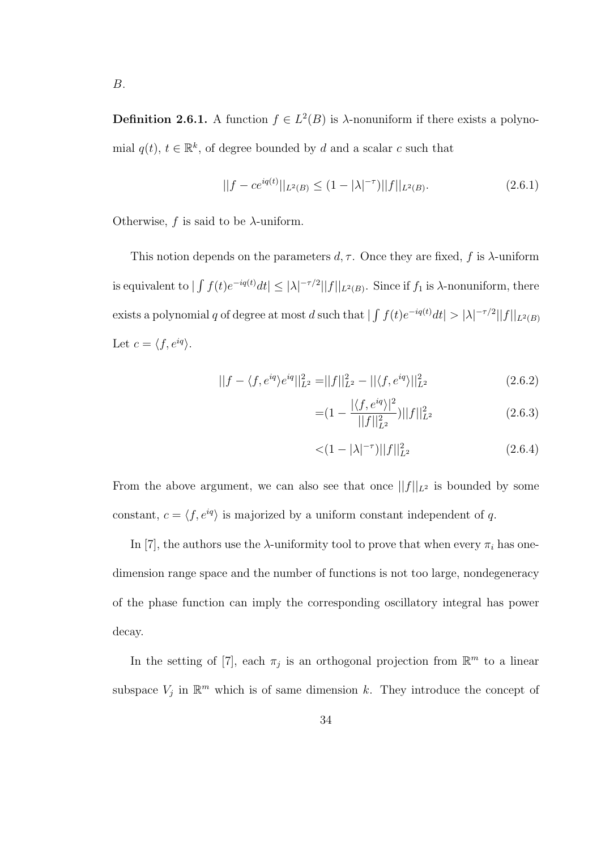**Definition 2.6.1.** A function  $f \in L^2(B)$  is  $\lambda$ -nonuniform if there exists a polynomial  $q(t)$ ,  $t \in \mathbb{R}^k$ , of degree bounded by d and a scalar c such that

$$
||f - ce^{iq(t)}||_{L^{2}(B)} \le (1 - |\lambda|^{-\tau})||f||_{L^{2}(B)}.
$$
\n(2.6.1)

Otherwise,  $f$  is said to be  $\lambda$ -uniform.

This notion depends on the parameters  $d, \tau$ . Once they are fixed, f is  $\lambda$ -uniform is equivalent to  $|\int f(t)e^{-iq(t)}dt| \leq |\lambda|^{-\tau/2}||f||_{L^2(B)}$ . Since if  $f_1$  is  $\lambda$ -nonuniform, there exists a polynomial q of degree at most d such that  $|\int f(t)e^{-iq(t)}dt| > |\lambda|^{-\tau/2}||f||_{L^2(B)}$ Let  $c = \langle f, e^{iq} \rangle$ .

$$
||f - \langle f, e^{iq} \rangle e^{iq}||_{L^2}^2 = ||f||_{L^2}^2 - ||\langle f, e^{iq} \rangle||_{L^2}^2 \tag{2.6.2}
$$

$$
= (1 - \frac{|\langle f, e^{iq} \rangle|^2}{||f||_{L^2}^2}) ||f||_{L^2}^2
$$
 (2.6.3)

$$
\langle (1 - |\lambda|^{-\tau}) ||f||_{L^2}^2 \tag{2.6.4}
$$

From the above argument, we can also see that once  $||f||_{L^2}$  is bounded by some constant,  $c = \langle f, e^{iq} \rangle$  is majorized by a uniform constant independent of q.

In [7], the authors use the  $\lambda$ -uniformity tool to prove that when every  $\pi_i$  has onedimension range space and the number of functions is not too large, nondegeneracy of the phase function can imply the corresponding oscillatory integral has power decay.

In the setting of [7], each  $\pi_j$  is an orthogonal projection from  $\mathbb{R}^m$  to a linear subspace  $V_j$  in  $\mathbb{R}^m$  which is of same dimension k. They introduce the concept of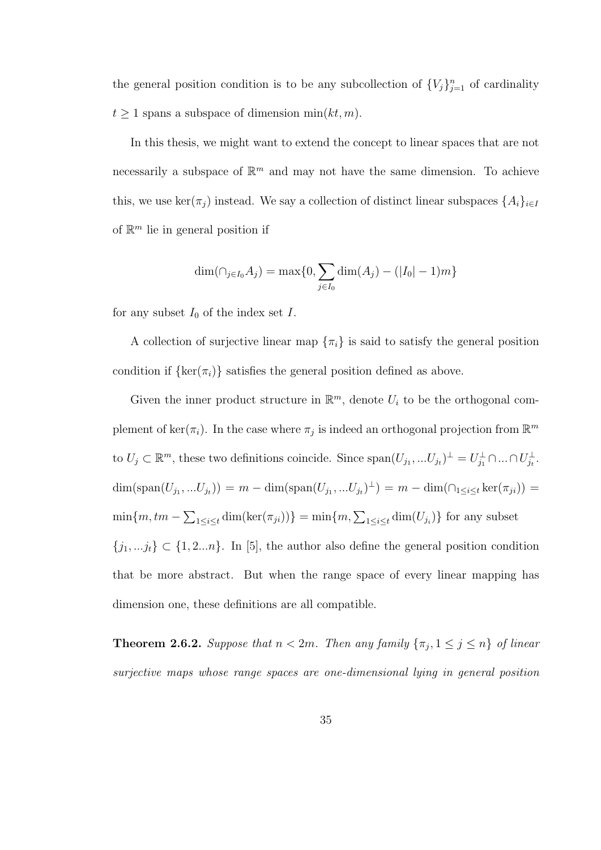the general position condition is to be any subcollection of  ${V_j}_{j=1}^n$  of cardinality  $t \geq 1$  spans a subspace of dimension min $(kt, m)$ .

In this thesis, we might want to extend the concept to linear spaces that are not necessarily a subspace of  $\mathbb{R}^m$  and may not have the same dimension. To achieve this, we use ker( $\pi_j$ ) instead. We say a collection of distinct linear subspaces  $\{A_i\}_{i\in I}$ of  $\mathbb{R}^m$  lie in general position if

$$
\dim(\cap_{j\in I_0} A_j) = \max\{0, \sum_{j\in I_0} \dim(A_j) - (|I_0| - 1)m\}
$$

for any subset  $I_0$  of the index set I.

A collection of surjective linear map  $\{\pi_i\}$  is said to satisfy the general position condition if  $\{\ker(\pi_i)\}\$  satisfies the general position defined as above.

Given the inner product structure in  $\mathbb{R}^m$ , denote  $U_i$  to be the orthogonal complement of ker( $\pi_i$ ). In the case where  $\pi_j$  is indeed an orthogonal projection from  $\mathbb{R}^m$ to  $U_j \subset \mathbb{R}^m$ , these two definitions coincide. Since  $\text{span}(U_{j_1},...U_{j_t})^{\perp} = U_{j_1}^{\perp} \cap ... \cap U_{j_t}^{\perp}$ .  $\dim(\text{span}(U_{j_1},...U_{j_t})) = m - \dim(\text{span}(U_{j_1},...U_{j_t})^{\perp}) = m - \dim(\cap_{1 \leq i \leq t} \ker(\pi_{ji})) =$  $\min\{m, tm - \sum_{1 \leq i \leq t} \dim(\ker(\pi_{ji}))\} = \min\{m, \sum_{1 \leq i \leq t} \dim(U_{j_i})\}$  for any subset  $\{j_1, \ldots j_t\} \subset \{1, 2...n\}$ . In [5], the author also define the general position condition that be more abstract. But when the range space of every linear mapping has dimension one, these definitions are all compatible.

**Theorem 2.6.2.** Suppose that  $n < 2m$ . Then any family  $\{\pi_j, 1 \leq j \leq n\}$  of linear surjective maps whose range spaces are one-dimensional lying in general position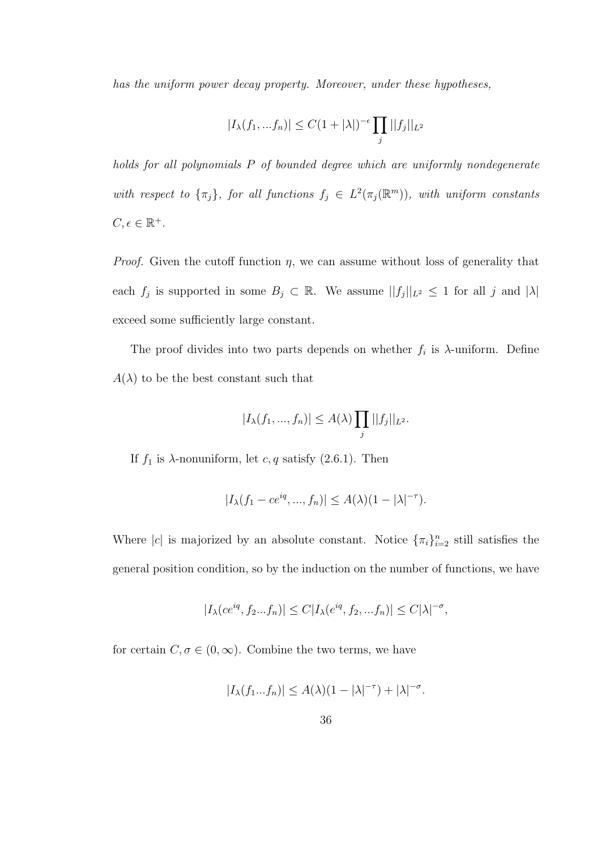has the uniform power decay property. Moreover, under these hypotheses,

$$
|I_{\lambda}(f_1, ... f_n)| \le C(1+|\lambda|)^{-\epsilon} \prod_j ||f_j||_{L^2}
$$

holds for all polynomials P of bounded degree which are uniformly nondegenerate with respect to  $\{\pi_j\}$ , for all functions  $f_j \in L^2(\pi_j(\mathbb{R}^m))$ , with uniform constants  $C, \epsilon \in \mathbb{R}^+$ .

*Proof.* Given the cutoff function  $\eta$ , we can assume without loss of generality that each  $f_j$  is supported in some  $B_j \subset \mathbb{R}$ . We assume  $||f_j||_{L^2} \leq 1$  for all j and  $|\lambda|$ exceed some sufficiently large constant.

The proof divides into two parts depends on whether  $f_i$  is  $\lambda$ -uniform. Define  $A(\lambda)$  to be the best constant such that

$$
|I_{\lambda}(f_1,...,f_n)| \leq A(\lambda) \prod_j ||f_j||_{L^2}.
$$

If  $f_1$  is  $\lambda$ -nonuniform, let  $c, q$  satisfy (2.6.1). Then

$$
|I_{\lambda}(f_1 - ce^{iq}, ..., f_n)| \leq A(\lambda)(1 - |\lambda|^{-\tau}).
$$

Where |c| is majorized by an absolute constant. Notice  $\{\pi_i\}_{i=2}^n$  still satisfies the general position condition, so by the induction on the number of functions, we have

$$
|I_{\lambda}(ce^{iq}, f_2...f_n)| \leq C|I_{\lambda}(e^{iq}, f_2,...f_n)| \leq C|\lambda|^{-\sigma},
$$

for certain  $C, \sigma \in (0, \infty)$ . Combine the two terms, we have

$$
|I_{\lambda}(f_1...f_n)| \leq A(\lambda)(1-|\lambda|^{-\tau}) + |\lambda|^{-\sigma}.
$$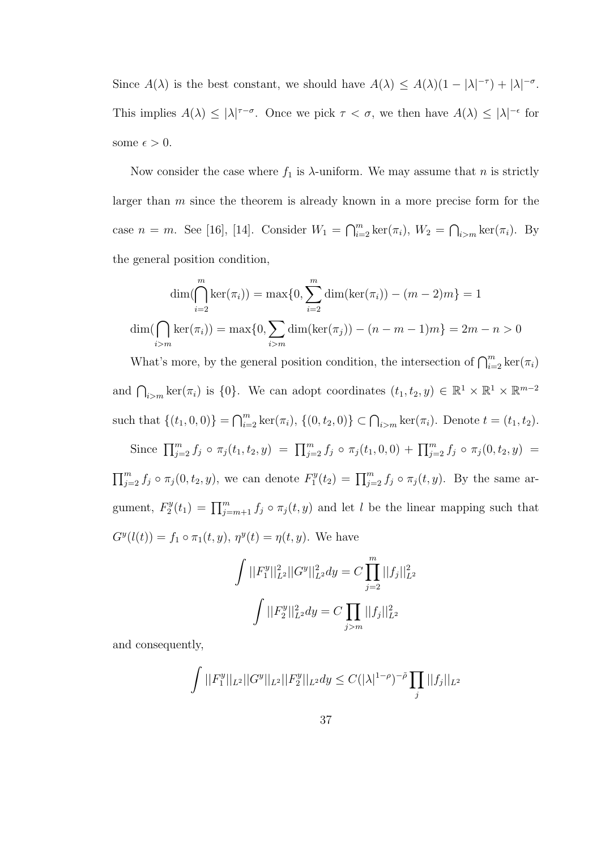Since  $A(\lambda)$  is the best constant, we should have  $A(\lambda) \leq A(\lambda)(1 - |\lambda|^{-\tau}) + |\lambda|^{-\sigma}$ . This implies  $A(\lambda) \leq |\lambda|^{\tau-\sigma}$ . Once we pick  $\tau < \sigma$ , we then have  $A(\lambda) \leq |\lambda|^{-\epsilon}$  for some  $\epsilon > 0$ .

Now consider the case where  $f_1$  is  $\lambda$ -uniform. We may assume that n is strictly larger than  $m$  since the theorem is already known in a more precise form for the case  $n = m$ . See [16], [14]. Consider  $W_1 = \bigcap_{i=2}^m \ker(\pi_i)$ ,  $W_2 = \bigcap_{i>m} \ker(\pi_i)$ . By the general position condition,

$$
\dim(\bigcap_{i=2}^{m} \ker(\pi_i)) = \max\{0, \sum_{i=2}^{m} \dim(\ker(\pi_i)) - (m-2)m\} = 1
$$
  

$$
\dim(\bigcap_{i>m} \ker(\pi_i)) = \max\{0, \sum_{i>m} \dim(\ker(\pi_j)) - (n-m-1)m\} = 2m - n > 0
$$

What's more, by the general position condition, the intersection of  $\bigcap_{i=2}^{m} \ker(\pi_i)$ and  $\bigcap_{i>m} \ker(\pi_i)$  is  $\{0\}$ . We can adopt coordinates  $(t_1, t_2, y) \in \mathbb{R}^1 \times \mathbb{R}^1 \times \mathbb{R}^{m-2}$ such that  $\{(t_1, 0, 0)\} = \bigcap_{i=2}^m \ker(\pi_i), \{(0, t_2, 0)\} \subset \bigcap_{i > m} \ker(\pi_i).$  Denote  $t = (t_1, t_2).$ 

Since  $\prod_{j=2}^m f_j \circ \pi_j(t_1, t_2, y) = \prod_{j=2}^m f_j \circ \pi_j(t_1, 0, 0) + \prod_{j=2}^m f_j \circ \pi_j(0, t_2, y) =$  $\prod_{j=2}^m f_j \circ \pi_j(0, t_2, y)$ , we can denote  $F_1^y$  $T_1^y(t_2) = \prod_{j=2}^m f_j \circ \pi_j(t, y)$ . By the same argument,  $F_2^y$  $\Gamma_2^{y}(t_1) = \prod_{j=m+1}^m f_j \circ \pi_j(t, y)$  and let l be the linear mapping such that  $G^{y}(l(t)) = f_1 \circ \pi_1(t, y), \eta^{y}(t) = \eta(t, y).$  We have

$$
\int ||F_1^y||_{L^2}^2 ||G^y||_{L^2}^2 dy = C \prod_{j=2}^m ||f_j||_{L^2}^2
$$

$$
\int ||F_2^y||_{L^2}^2 dy = C \prod_{j>m} ||f_j||_{L^2}^2
$$

and consequently,

$$
\int ||F_1^y||_{L^2}||G^y||_{L^2}||F_2^y||_{L^2}dy \leq C(|\lambda|^{1-\rho})^{-\tilde{\rho}}\prod_j||f_j||_{L^2}
$$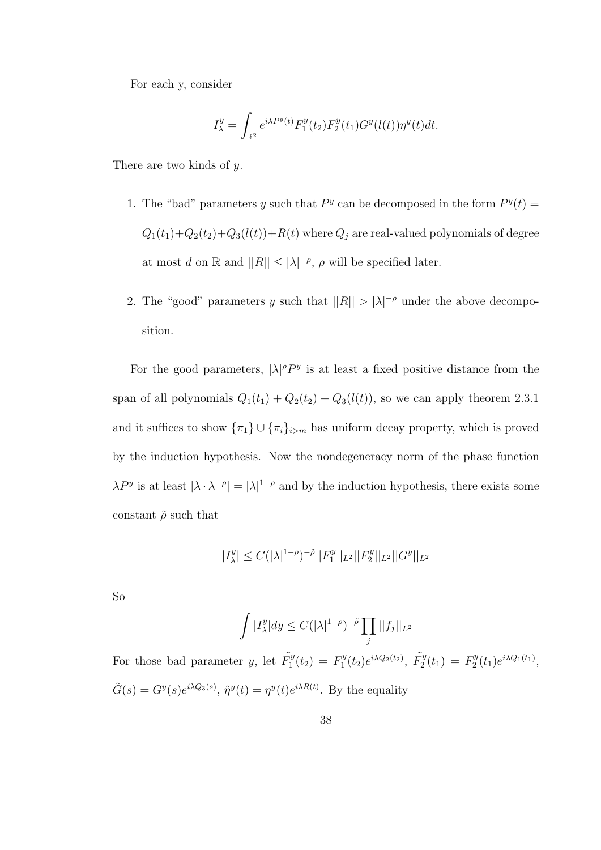For each y, consider

$$
I^y_\lambda=\int_{\mathbb{R}^2}e^{i\lambda P^y(t)}F^y_1(t_2)F^y_2(t_1)G^y(l(t))\eta^y(t)dt.
$$

There are two kinds of y.

- 1. The "bad" parameters y such that  $P<sup>y</sup>$  can be decomposed in the form  $P<sup>y</sup>(t)$  =  $Q_1(t_1)+Q_2(t_2)+Q_3(l(t))+R(t)$  where  $Q_j$  are real-valued polynomials of degree at most d on  $\mathbb R$  and  $||R|| \leq |\lambda|^{-\rho}$ ,  $\rho$  will be specified later.
- 2. The "good" parameters y such that  $||R|| > |\lambda|^{-\rho}$  under the above decomposition.

For the good parameters,  $|\lambda|^{\rho} P^y$  is at least a fixed positive distance from the span of all polynomials  $Q_1(t_1) + Q_2(t_2) + Q_3(l(t))$ , so we can apply theorem 2.3.1 and it suffices to show  $\{\pi_1\} \cup \{\pi_i\}_{i>m}$  has uniform decay property, which is proved by the induction hypothesis. Now the nondegeneracy norm of the phase function  $\lambda P^y$  is at least  $|\lambda \cdot \lambda^{-\rho}| = |\lambda|^{1-\rho}$  and by the induction hypothesis, there exists some constant  $\tilde{\rho}$  such that

$$
|I_{\lambda}^y| \le C (|\lambda|^{1-\rho})^{-\tilde{\rho}} ||F_1^y||_{L^2} ||F_2^y||_{L^2} ||G^y||_{L^2}
$$

So

$$
\int |I_{\lambda}^{y}| dy \leq C(|\lambda|^{1-\rho})^{-\tilde{\rho}} \prod_{j} ||f_{j}||_{L^{2}}
$$

For those bad parameter y, let  $\tilde{F}_1^y$  $I_1^y(t_2) = F_1^y$  $\tilde{F}_1^y(t_2)e^{i\lambda Q_2(t_2)}, \ \tilde{F}_2^y$  $\tilde{F}_2^y(t_1) = F_2^y$  $T_2^y(t_1)e^{i\lambda Q_1(t_1)},$  $\tilde{G}(s) = G^y(s)e^{i\lambda Q_3(s)}, \tilde{\eta}^y(t) = \eta^y(t)e^{i\lambda R(t)}$ . By the equality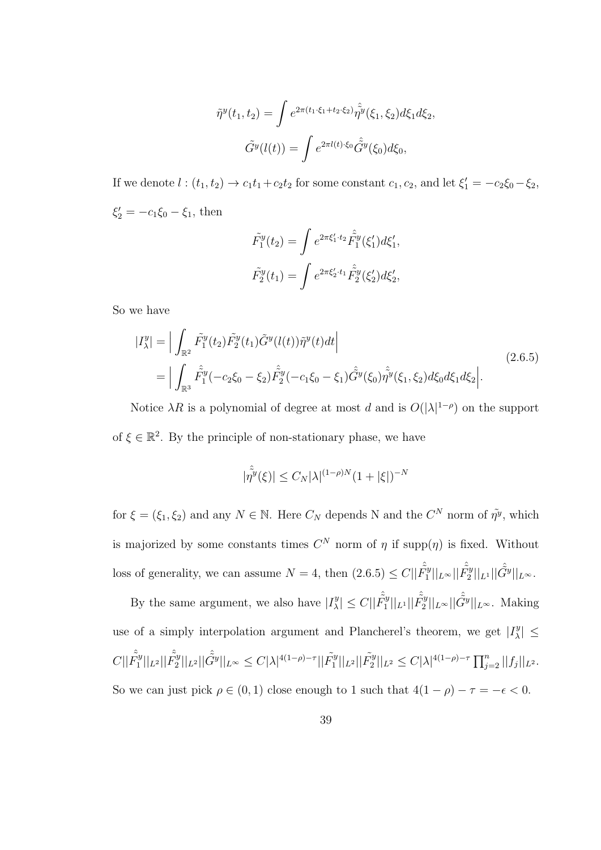$$
\tilde{\eta}^{y}(t_1, t_2) = \int e^{2\pi(t_1 \cdot \xi_1 + t_2 \cdot \xi_2)} \hat{\eta^{y}}(\xi_1, \xi_2) d\xi_1 d\xi_2,
$$

$$
\tilde{G}^{y}(l(t)) = \int e^{2\pi l(t) \cdot \xi_0} \hat{G}^{y}(\xi_0) d\xi_0,
$$

If we denote  $l:(t_1,t_2)\to c_1t_1+c_2t_2$  for some constant  $c_1, c_2$ , and let  $\xi_1'=-c_2\xi_0-\xi_2$ ,  $\xi_2' = -c_1\xi_0 - \xi_1$ , then

$$
\tilde{F}_1^y(t_2) = \int e^{2\pi\xi_1' \cdot t_2} \tilde{F}_1^y(\xi_1') d\xi_1',
$$
  

$$
\tilde{F}_2^y(t_1) = \int e^{2\pi\xi_2' \cdot t_1} \tilde{F}_2^y(\xi_2') d\xi_2',
$$

So we have

$$
|I_{\lambda}^{y}| = \Big| \int_{\mathbb{R}^{2}} \tilde{F}_{1}^{y}(t_{2}) \tilde{F}_{2}^{y}(t_{1}) \tilde{G}^{y}(l(t)) \tilde{\eta}^{y}(t) dt \Big|
$$
\n
$$
= \Big| \int_{\mathbb{R}^{3}} \tilde{F}_{1}^{y}(-c_{2}\xi_{0} - \xi_{2}) \tilde{F}_{2}^{y}(-c_{1}\xi_{0} - \xi_{1}) \tilde{G}^{y}(\xi_{0}) \tilde{\eta}^{y}(\xi_{1}, \xi_{2}) d\xi_{0} d\xi_{1} d\xi_{2} \Big|.
$$
\n(2.6.5)

Notice  $\lambda R$  is a polynomial of degree at most d and is  $O(|\lambda|^{1-\rho})$  on the support of  $\xi \in \mathbb{R}^2$ . By the principle of non-stationary phase, we have

$$
|\hat{\tilde{\eta}^{y}}(\xi)| \leq C_{N} |\lambda|^{(1-\rho)N} (1+|\xi|)^{-N}
$$

for  $\xi = (\xi_1, \xi_2)$  and any  $N \in \mathbb{N}$ . Here  $C_N$  depends N and the  $C^N$  norm of  $\tilde{\eta}^y$ , which is majorized by some constants times  $C^N$  norm of  $\eta$  if supp $(\eta)$  is fixed. Without loss of generality, we can assume  $N = 4$ , then  $(2.6.5) \leq C || \hat{F}_1^{\hat{y}}$  $\hat{\tilde{F}_2^y} ||_{L^\infty} || \hat{\tilde{F}_2^y}$  $\hat{\tilde{G}^{y}}||_{L^{1}}||\hat{\tilde{G}^{y}}||_{L^{\infty}}.$ 

By the same argument, we also have  $|I_{\lambda}^{y}|$  $|\hat{\tilde{F}}_1^y| \leq C ||\hat{\tilde{F}_1^y}|$  $\frac{\hat{\tilde{r}}_y}{1}||_{L^1} ||\hat{\tilde{F}_2^y}$  $\frac{\hat{\tilde{C}}_y}{2}||_{L^{\infty}}||\hat{\tilde{G}^y}||_{L^{\infty}}$ . Making use of a simply interpolation argument and Plancherel's theorem, we get  $|I_{\lambda}^{y}|$  $\left|\frac{y}{\lambda}\right| \leq$  $C||\hat{\tilde{F_1^y}}$  $\frac{\hat{\tilde{r}}_y}{1}||_{L^2}||\hat{\tilde{F}_2^y}$  $\|\tilde{\hat{G}}^{y}\|_{L^{2}}\|\hat{\tilde{G}}^{y}\|_{L^{\infty}}\leq C|\lambda|^{4(1-\rho)-\tau}\|\tilde{F}^{y}_{1}\|_{L^{2}}$  $\tilde{F}_1^y||_{L^2}||\tilde{F}_2^y$  $\sum_{i=2}^{\infty}||z_i|^2 \leq C|\lambda|^{4(1-\rho)-\tau}\prod_{j=2}^n||f_j||_{L^2}.$ So we can just pick  $\rho \in (0, 1)$  close enough to 1 such that  $4(1 - \rho) - \tau = -\epsilon < 0$ .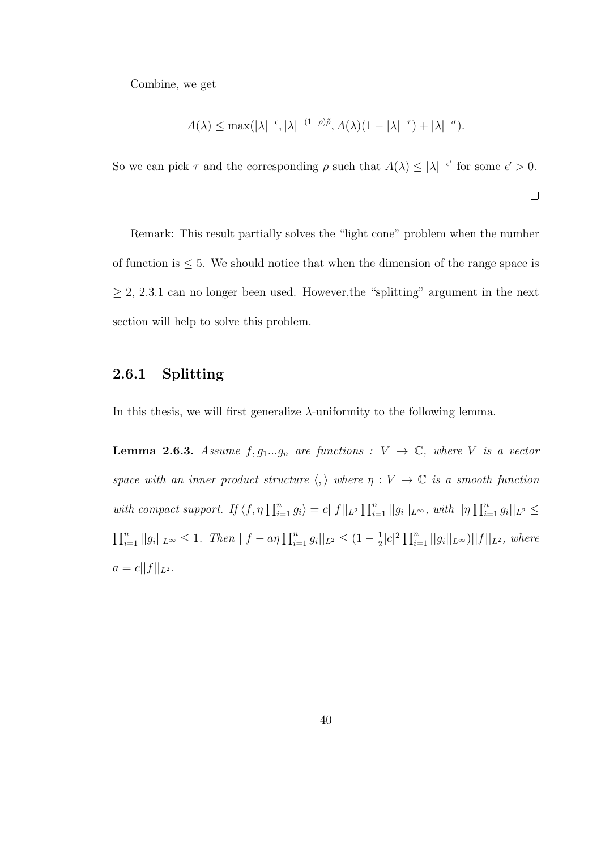Combine, we get

$$
A(\lambda) \le \max(|\lambda|^{-\epsilon}, |\lambda|^{-(1-\rho)\tilde{\rho}}, A(\lambda)(1-|\lambda|^{-\tau}) + |\lambda|^{-\sigma}).
$$

So we can pick  $\tau$  and the corresponding  $\rho$  such that  $A(\lambda) \leq |\lambda|^{-\epsilon'}$  for some  $\epsilon' > 0$ .

 $\Box$ 

Remark: This result partially solves the "light cone" problem when the number of function is  $\leq$  5. We should notice that when the dimension of the range space is  $\geq 2, 2.3.1$  can no longer been used. However, the "splitting" argument in the next section will help to solve this problem.

#### 2.6.1 Splitting

In this thesis, we will first generalize  $\lambda$ -uniformity to the following lemma.

**Lemma 2.6.3.** Assume  $f, g_1...g_n$  are functions :  $V \rightarrow \mathbb{C}$ , where V is a vector space with an inner product structure  $\langle , \rangle$  where  $\eta : V \to \mathbb{C}$  is a smooth function with compact support. If  $\langle f, \eta \prod_{i=1}^n g_i \rangle = c||f||_{L^2} \prod_{i=1}^n ||g_i||_{L^{\infty}},$  with  $||\eta \prod_{i=1}^n g_i||_{L^2} \le$  $\prod_{i=1}^n ||g_i||_{L^{\infty}} \leq 1$ . Then  $||f - a\eta \prod_{i=1}^n g_i||_{L^2} \leq (1 - \frac{1}{2})$  $\frac{1}{2}|c|^2 \prod_{i=1}^n ||g_i||_{L^{\infty}})||f||_{L^2}$ , where  $a = c||f||_{L^2}.$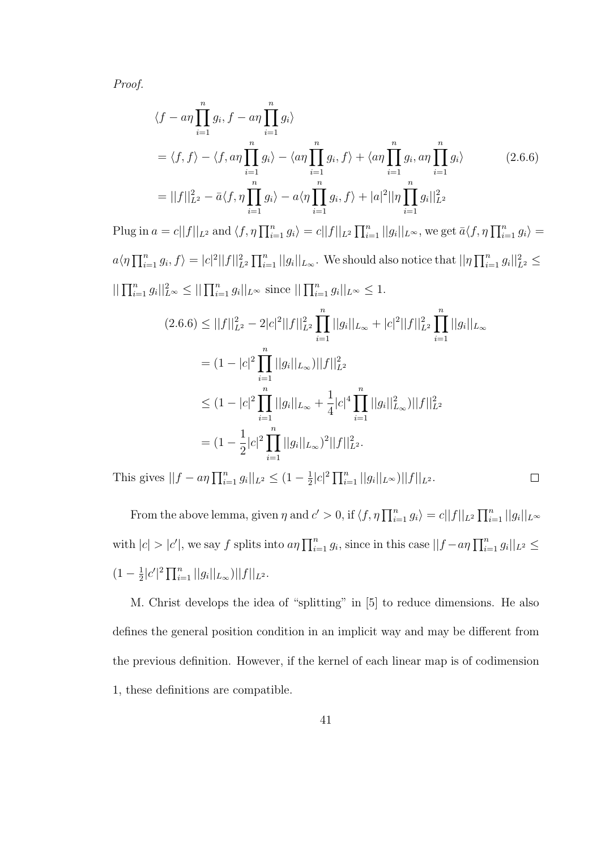Proof.

$$
\langle f - a\eta \prod_{i=1}^{n} g_i, f - a\eta \prod_{i=1}^{n} g_i \rangle
$$
  
\n
$$
= \langle f, f \rangle - \langle f, a\eta \prod_{i=1}^{n} g_i \rangle - \langle a\eta \prod_{i=1}^{n} g_i, f \rangle + \langle a\eta \prod_{i=1}^{n} g_i, a\eta \prod_{i=1}^{n} g_i \rangle \qquad (2.6.6)
$$
  
\n
$$
= ||f||_{L^2}^2 - \bar{a} \langle f, \eta \prod_{i=1}^{n} g_i \rangle - a \langle \eta \prod_{i=1}^{n} g_i, f \rangle + |a|^2 ||\eta \prod_{i=1}^{n} g_i||_{L^2}^2
$$
  
\n
$$
a = c||f||_{L^2} \text{ and } \langle f, \eta \prod_{i=1}^{n} g_i \rangle = c||f||_{L^2} \prod_{i=1}^{n} ||g_i||_{L^{\infty}} \text{ we get } \bar{a} \langle f, \eta \prod_{i=1}^{n} g_i \rangle = c||f||_{L^2} \prod_{i=1}^{n} ||g_i||_{L^{\infty}} \text{ we get } \bar{a} \langle f, \eta \prod_{i=1}^{n} g_i \rangle = c||f||_{L^2} \langle g, \eta \rangle = c||f||_{L^2} \langle g, \eta \rangle = c||f||_{L^2} \langle g, \eta \rangle = c||f||_{L^2} \langle g, \eta \rangle = c||f||_{L^2} \langle g, \eta \rangle = c||f||_{L^2} \langle g, \eta \rangle = c||f||_{L^2} \langle g, \eta \rangle = c||f||_{L^2} \langle g, \eta \rangle = c||f||_{L^2} \langle g, \eta \rangle = c||f||_{L^2} \langle g, \eta \rangle = c||f||_{L^2} \langle g, \eta \rangle = c||f||_{L^2} \langle g, \eta \rangle = c||f||_{L^2} \langle g, \eta \rangle = c||f||_{L^2} \langle g, \eta \rangle = c||f||_{L^2} \langle g, \eta \rangle = c||f||_{L^2} \langle g, \eta \rangle = c||f||_{L^2} \langle g, \eta \rangle = c||f||_{L^2} \langle g, \eta \rangle = c||f||_{L^2} \langle g, \eta \
$$

Plug in  $a = c||f||_{L^2}$  and  $\langle f, \eta \prod_{i=1}^n g_i \rangle = c||f||_{L^2} \prod_{i=1}^n ||g_i||_{L^\infty}$ , we get  $\bar{a} \langle f, \eta \prod_{i=1}^n g_i \rangle =$  $a\langle \eta \prod_{i=1}^n g_i, f \rangle = |c|^2 ||f||^2_{L^2} \prod_{i=1}^n ||g_i||_{L_{\infty}}$ . We should also notice that  $||\eta \prod_{i=1}^n g_i||^2_{L^2} \le$  $||\prod_{i=1}^n g_i||_{L^{\infty}}^2 \le ||\prod_{i=1}^n g_i||_{L^{\infty}} \text{ since } ||\prod_{i=1}^n g_i||_{L^{\infty}} \le 1.$  $(2.6.6) \leq ||f||_{L^2}^2 - 2|c|^2||f||_{L^2}^2 \prod$  $i=1$  $||g_i||_{L_{\infty}} + |c|^2 ||f||_{L^2}^2 \prod^n$  $i=1$  $||g_i||_{L_{\infty}}$  $= (1 - |c|^2) \prod_{n=1}^{\infty}$  $i=1$  $||g_i||_{L_{\infty}}|||f||_{L^2}^2$  $\leq (1-|c|^2)\prod^n$  $i=1$  $||g_i||_{L_{\infty}} + \frac{1}{4}$ 4  $|c|^4 \prod^n$  $i=1$  $||g_i||_{L_{\infty}}^2)||f||_{L^2}^2$  $=(1-\frac{1}{2})$ 2  $|c|^2 \prod_{i=1}^n ||g_i||_{L_\infty}$ <sup>2</sup> $||f||_{L^2}^2$ .  $i=1$ 

This gives  $||f - a\eta \prod_{i=1}^{n} g_i||_{L^2} \leq (1 - \frac{1}{2})$  $\frac{1}{2}|c|^2 \prod_{i=1}^n ||g_i||_{L^{\infty}})||f||_{L^2}.$ 

From the above lemma, given  $\eta$  and  $c' > 0$ , if  $\langle f, \eta \prod_{i=1}^n g_i \rangle = c||f||_{L^2} \prod_{i=1}^n ||g_i||_{L^{\infty}}$ with  $|c| > |c'|$ , we say f splits into  $a\eta \prod_{i=1}^n g_i$ , since in this case  $||f - a\eta \prod_{i=1}^n g_i||_{L^2} \le$  $(1-\frac{1}{2})$  $\frac{1}{2}|c'|^2 \prod_{i=1}^n ||g_i||_{L_{\infty}}|||f||_{L^2}.$ 

 $\Box$ 

M. Christ develops the idea of "splitting" in [5] to reduce dimensions. He also defines the general position condition in an implicit way and may be different from the previous definition. However, if the kernel of each linear map is of codimension 1, these definitions are compatible.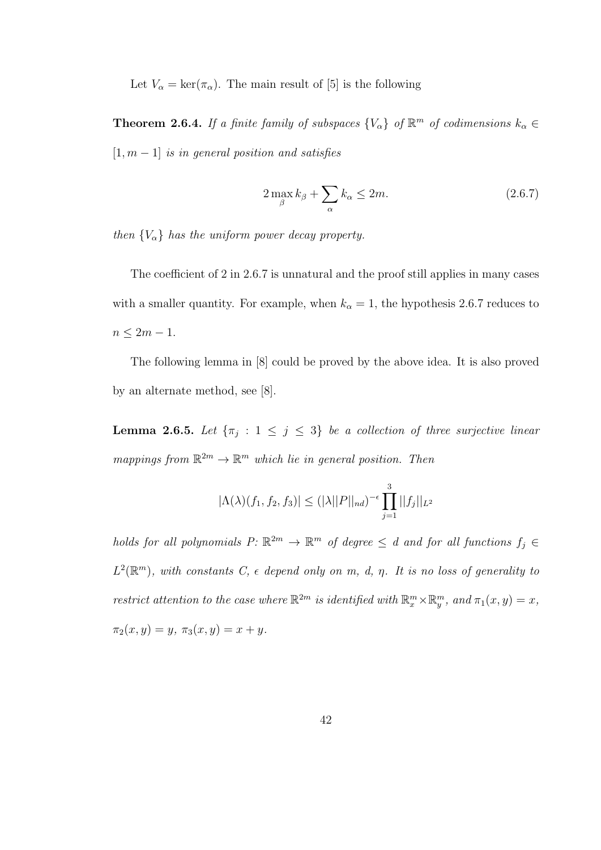Let  $V_{\alpha} = \ker(\pi_{\alpha})$ . The main result of [5] is the following

**Theorem 2.6.4.** If a finite family of subspaces  $\{V_{\alpha}\}\$  of  $\mathbb{R}^m$  of codimensions  $k_{\alpha} \in$  $[1, m - 1]$  is in general position and satisfies

$$
2\max_{\beta} k_{\beta} + \sum_{\alpha} k_{\alpha} \le 2m. \tag{2.6.7}
$$

then  ${V_\alpha}$  has the uniform power decay property.

The coefficient of 2 in 2.6.7 is unnatural and the proof still applies in many cases with a smaller quantity. For example, when  $k_{\alpha} = 1$ , the hypothesis 2.6.7 reduces to  $n \leq 2m-1$ .

The following lemma in [8] could be proved by the above idea. It is also proved by an alternate method, see [8].

**Lemma 2.6.5.** Let  $\{\pi_j : 1 \leq j \leq 3\}$  be a collection of three surjective linear mappings from  $\mathbb{R}^{2m} \to \mathbb{R}^m$  which lie in general position. Then

$$
|\Lambda(\lambda)(f_1, f_2, f_3)| \leq (|\lambda||P||_{nd})^{-\epsilon} \prod_{j=1}^3 ||f_j||_{L^2}
$$

holds for all polynomials  $P: \mathbb{R}^{2m} \to \mathbb{R}^m$  of degree  $\leq d$  and for all functions  $f_j \in$  $L^2(\mathbb{R}^m)$ , with constants C,  $\epsilon$  depend only on m, d,  $\eta$ . It is no loss of generality to restrict attention to the case where  $\mathbb{R}^{2m}$  is identified with  $\mathbb{R}_{x}^{m}\times\mathbb{R}_{y}^{m}$ , and  $\pi_{1}(x, y) = x$ ,  $\pi_2(x, y) = y, \ \pi_3(x, y) = x + y.$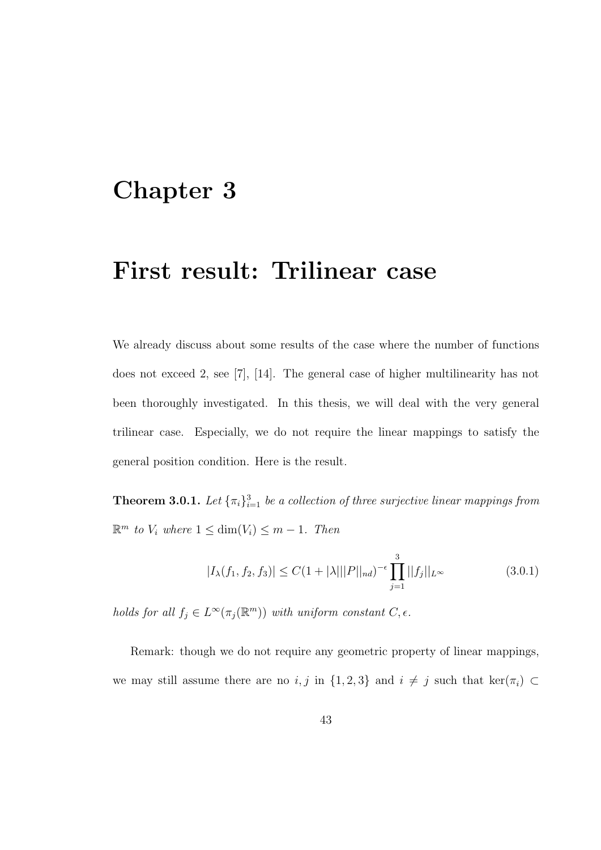## Chapter 3

## First result: Trilinear case

We already discuss about some results of the case where the number of functions does not exceed 2, see [7], [14]. The general case of higher multilinearity has not been thoroughly investigated. In this thesis, we will deal with the very general trilinear case. Especially, we do not require the linear mappings to satisfy the general position condition. Here is the result.

**Theorem 3.0.1.** Let  ${\lbrace \pi_i \rbrace}_{i=1}^3$  be a collection of three surjective linear mappings from  $\mathbb{R}^m$  to  $V_i$  where  $1 \leq \dim(V_i) \leq m-1$ . Then

$$
|I_{\lambda}(f_1, f_2, f_3)| \le C(1 + |\lambda| ||P||_{nd})^{-\epsilon} \prod_{j=1}^3 ||f_j||_{L^{\infty}}
$$
\n(3.0.1)

holds for all  $f_j \in L^{\infty}(\pi_j(\mathbb{R}^m))$  with uniform constant  $C, \epsilon$ .

Remark: though we do not require any geometric property of linear mappings, we may still assume there are no i, j in  $\{1,2,3\}$  and  $i \neq j$  such that ker( $\pi_i$ ) ⊂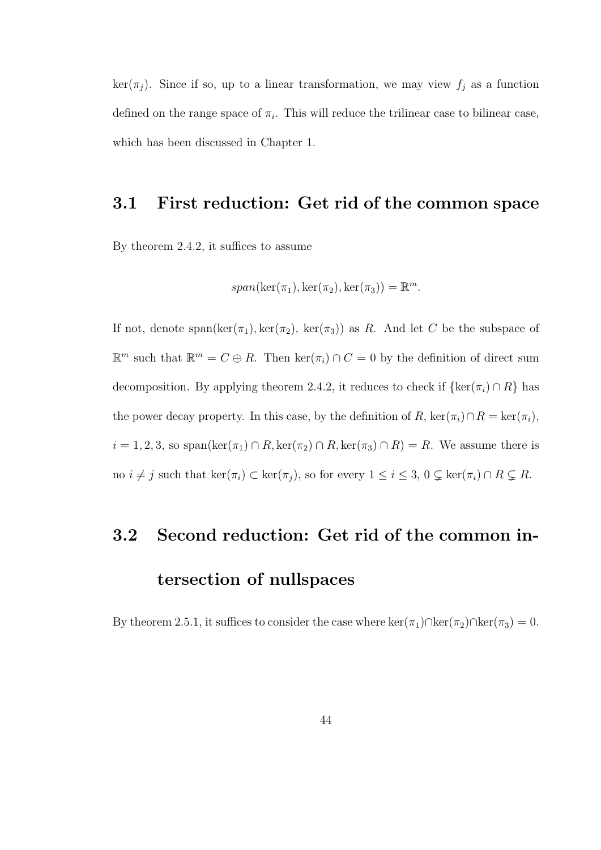$\ker(\pi_j)$ . Since if so, up to a linear transformation, we may view  $f_j$  as a function defined on the range space of  $\pi_i$ . This will reduce the trilinear case to bilinear case, which has been discussed in Chapter 1.

#### 3.1 First reduction: Get rid of the common space

By theorem 2.4.2, it suffices to assume

$$
span(\ker(\pi_1), \ker(\pi_2), \ker(\pi_3)) = \mathbb{R}^m.
$$

If not, denote span(ker( $\pi_1$ ), ker( $\pi_2$ ), ker( $\pi_3$ )) as R. And let C be the subspace of  $\mathbb{R}^m$  such that  $\mathbb{R}^m = C \oplus R$ . Then  $\ker(\pi_i) \cap C = 0$  by the definition of direct sum decomposition. By applying theorem 2.4.2, it reduces to check if  $\{\ker(\pi_i) \cap R\}$  has the power decay property. In this case, by the definition of R, ker( $\pi_i$ )∩R = ker( $\pi_i$ ),  $i = 1, 2, 3$ , so span(ker( $\pi_1$ ) ∩ R, ker( $\pi_2$ ) ∩ R, ker( $\pi_3$ ) ∩ R) = R. We assume there is no  $i \neq j$  such that  $\ker(\pi_i) \subset \ker(\pi_j)$ , so for every  $1 \leq i \leq 3$ ,  $0 \subsetneq \ker(\pi_i) \cap R \subsetneq R$ .

# 3.2 Second reduction: Get rid of the common intersection of nullspaces

By theorem 2.5.1, it suffices to consider the case where ker( $\pi_1$ )∩ker( $\pi_2$ )∩ker( $\pi_3$ ) = 0.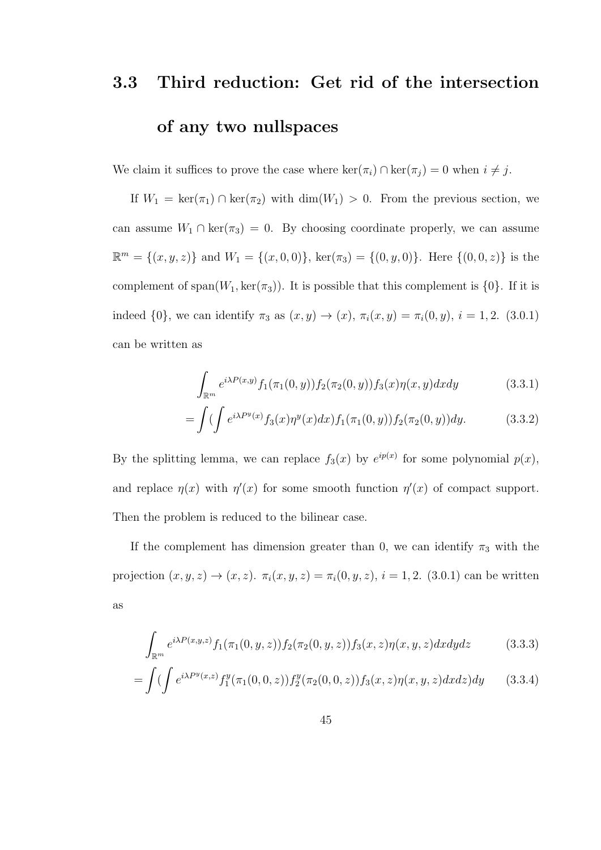# 3.3 Third reduction: Get rid of the intersection of any two nullspaces

We claim it suffices to prove the case where  $\ker(\pi_i) \cap \ker(\pi_j) = 0$  when  $i \neq j$ .

If  $W_1 = \ker(\pi_1) \cap \ker(\pi_2)$  with  $\dim(W_1) > 0$ . From the previous section, we can assume  $W_1 \cap \text{ker}(\pi_3) = 0$ . By choosing coordinate properly, we can assume  $\mathbb{R}^m = \{(x, y, z)\}\$ and  $W_1 = \{(x, 0, 0)\}\$ , ker $(\pi_3) = \{(0, y, 0)\}\$ . Here  $\{(0, 0, z)\}\$ is the complement of span $(W_1, \text{ker}(\pi_3))$ . It is possible that this complement is  $\{0\}$ . If it is indeed  $\{0\}$ , we can identify  $\pi_3$  as  $(x, y) \to (x)$ ,  $\pi_i(x, y) = \pi_i(0, y)$ ,  $i = 1, 2$ . (3.0.1) can be written as

$$
\int_{\mathbb{R}^m} e^{i\lambda P(x,y)} f_1(\pi_1(0,y)) f_2(\pi_2(0,y)) f_3(x) \eta(x,y) dx dy \qquad (3.3.1)
$$

$$
= \int \left( \int e^{i\lambda P^y(x)} f_3(x) \eta^y(x) dx \right) f_1(\pi_1(0, y)) f_2(\pi_2(0, y)) dy. \tag{3.3.2}
$$

By the splitting lemma, we can replace  $f_3(x)$  by  $e^{ip(x)}$  for some polynomial  $p(x)$ , and replace  $\eta(x)$  with  $\eta'(x)$  for some smooth function  $\eta'(x)$  of compact support. Then the problem is reduced to the bilinear case.

If the complement has dimension greater than 0, we can identify  $\pi_3$  with the projection  $(x, y, z) \to (x, z)$ .  $\pi_i(x, y, z) = \pi_i(0, y, z)$ ,  $i = 1, 2$ . (3.0.1) can be written as

$$
\int_{\mathbb{R}^m} e^{i\lambda P(x,y,z)} f_1(\pi_1(0,y,z)) f_2(\pi_2(0,y,z)) f_3(x,z) \eta(x,y,z) dx dy dz \qquad (3.3.3)
$$

$$
= \int \left( \int e^{i\lambda P^y(x,z)} f_1^y(\pi_1(0,0,z)) f_2^y(\pi_2(0,0,z)) f_3(x,z) \eta(x,y,z) dx dz \right) dy \tag{3.3.4}
$$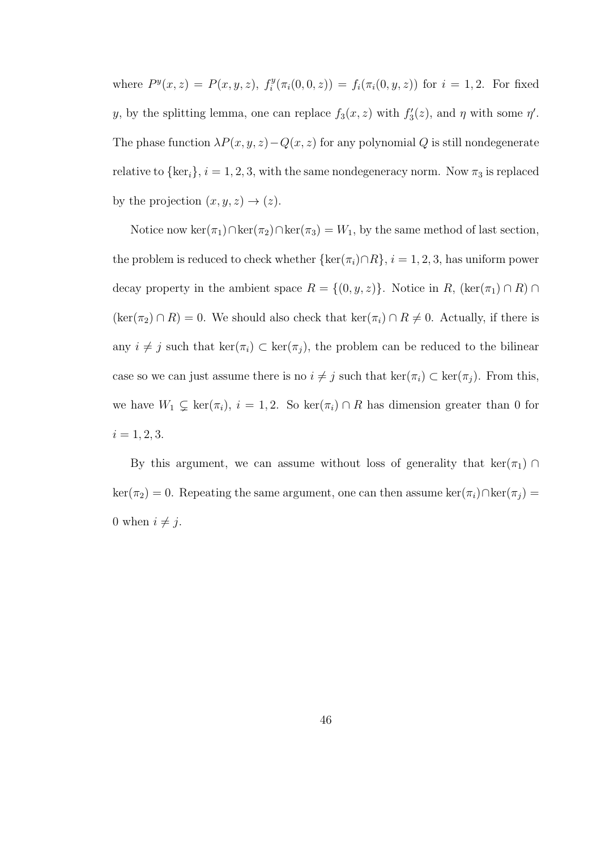where  $P^y(x, z) = P(x, y, z)$ ,  $f_i^y$  $f_i^y(\pi_i(0,0,z)) = f_i(\pi_i(0,y,z))$  for  $i = 1,2$ . For fixed y, by the splitting lemma, one can replace  $f_3(x, z)$  with  $f'_3(z)$ , and  $\eta$  with some  $\eta'$ . The phase function  $\lambda P(x, y, z) - Q(x, z)$  for any polynomial Q is still nondegenerate relative to  $\{\ker_i\}, i = 1, 2, 3$ , with the same nondegeneracy norm. Now  $\pi_3$  is replaced by the projection  $(x, y, z) \rightarrow (z)$ .

Notice now ker( $\pi_1$ )∩ker( $\pi_2$ )∩ker( $\pi_3$ ) =  $W_1$ , by the same method of last section, the problem is reduced to check whether  $\{\ker(\pi_i) \cap R\}$ ,  $i = 1, 2, 3$ , has uniform power decay property in the ambient space  $R = \{(0, y, z)\}\.$  Notice in  $R$ ,  $(\ker(\pi_1) \cap R) \cap R$  $(\ker(\pi_2) \cap R) = 0$ . We should also check that  $\ker(\pi_i) \cap R \neq 0$ . Actually, if there is any  $i \neq j$  such that  $\ker(\pi_i) \subset \ker(\pi_j)$ , the problem can be reduced to the bilinear case so we can just assume there is no  $i \neq j$  such that  $\ker(\pi_i) \subset \ker(\pi_j)$ . From this, we have  $W_1 \subsetneq \text{ker}(\pi_i), i = 1, 2$ . So  $\text{ker}(\pi_i) \cap R$  has dimension greater than 0 for  $i = 1, 2, 3.$ 

By this argument, we can assume without loss of generality that  $\ker(\pi_1) \cap$  $\ker(\pi_2) = 0$ . Repeating the same argument, one can then assume  $\ker(\pi_i) \cap \ker(\pi_j) =$ 0 when  $i \neq j$ .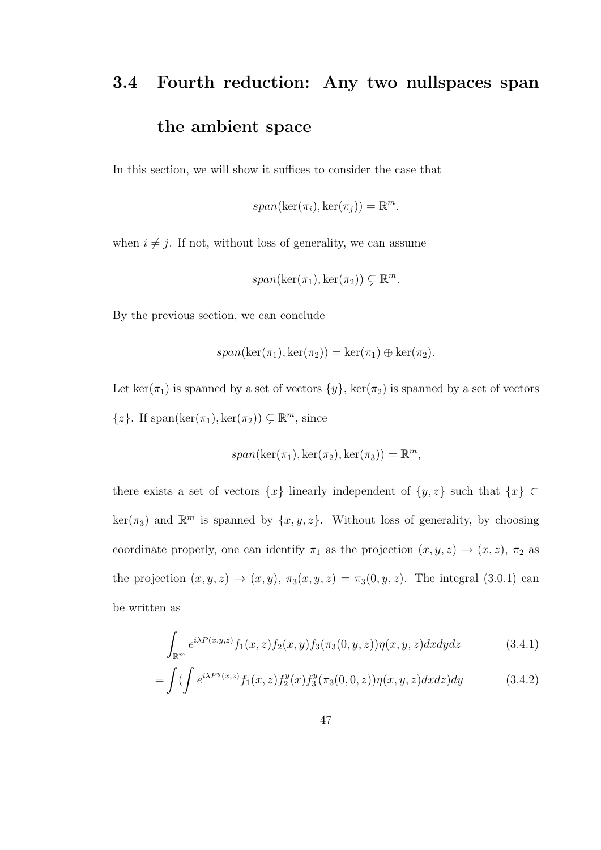## 3.4 Fourth reduction: Any two nullspaces span the ambient space

In this section, we will show it suffices to consider the case that

$$
span(\ker(\pi_i), \ker(\pi_j)) = \mathbb{R}^m.
$$

when  $i \neq j$ . If not, without loss of generality, we can assume

$$
span(\ker(\pi_1), \ker(\pi_2)) \subsetneq \mathbb{R}^m
$$

By the previous section, we can conclude

$$
span(\ker(\pi_1), \ker(\pi_2)) = \ker(\pi_1) \oplus \ker(\pi_2).
$$

Let ker( $\pi_1$ ) is spanned by a set of vectors  $\{y\}$ , ker( $\pi_2$ ) is spanned by a set of vectors  $\{z\}$ . If span(ker( $\pi_1$ ), ker( $\pi_2$ ))  $\subsetneq \mathbb{R}^m$ , since

$$
span(\ker(\pi_1), \ker(\pi_2), \ker(\pi_3)) = \mathbb{R}^m,
$$

there exists a set of vectors  $\{x\}$  linearly independent of  $\{y, z\}$  such that  $\{x\}$  ⊂  $\ker(\pi_3)$  and  $\mathbb{R}^m$  is spanned by  $\{x, y, z\}$ . Without loss of generality, by choosing coordinate properly, one can identify  $\pi_1$  as the projection  $(x, y, z) \rightarrow (x, z)$ ,  $\pi_2$  as the projection  $(x, y, z) \rightarrow (x, y)$ ,  $\pi_3(x, y, z) = \pi_3(0, y, z)$ . The integral (3.0.1) can be written as

$$
\int_{\mathbb{R}^m} e^{i\lambda P(x,y,z)} f_1(x,z) f_2(x,y) f_3(\pi_3(0,y,z)) \eta(x,y,z) dx dy dz \qquad (3.4.1)
$$

$$
= \int \left( \int e^{i\lambda P^y(x,z)} f_1(x,z) f_2^y(x) f_3^y(\pi_3(0,0,z)) \eta(x,y,z) dx dz \right) dy \tag{3.4.2}
$$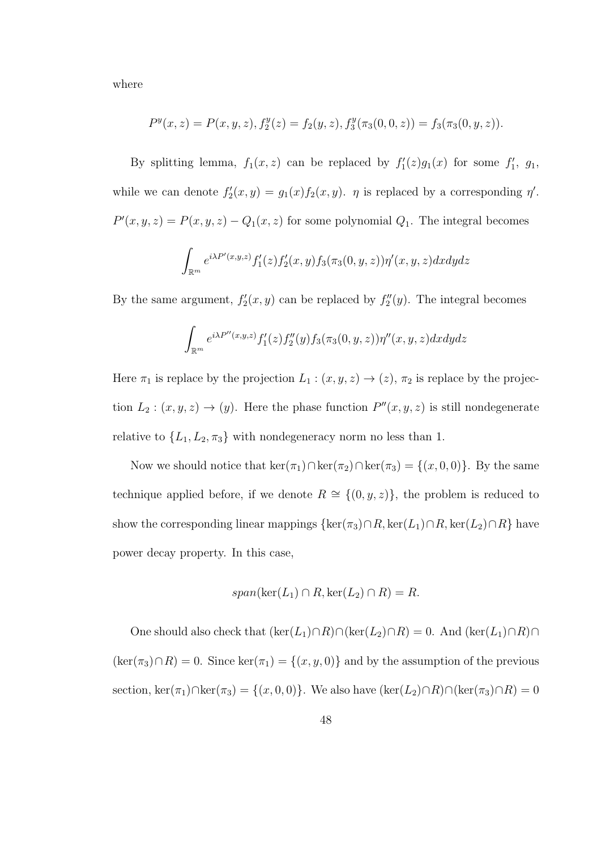where

$$
P^{y}(x, z) = P(x, y, z), f_2^{y}(z) = f_2(y, z), f_3^{y}(\pi_3(0, 0, z)) = f_3(\pi_3(0, y, z)).
$$

By splitting lemma,  $f_1(x, z)$  can be replaced by  $f'_1(z)g_1(x)$  for some  $f'_1$ ,  $g_1$ , while we can denote  $f_2'(x, y) = g_1(x) f_2(x, y)$ .  $\eta$  is replaced by a corresponding  $\eta'$ .  $P'(x, y, z) = P(x, y, z) - Q_1(x, z)$  for some polynomial  $Q_1$ . The integral becomes

$$
\int_{\mathbb{R}^m} e^{i\lambda P'(x,y,z)} f_1'(z) f_2'(x,y) f_3(\pi_3(0,y,z)) \eta'(x,y,z) dx dy dz
$$

By the same argument,  $f_2'(x, y)$  can be replaced by  $f_2''(y)$ . The integral becomes

$$
\int_{\mathbb{R}^m} e^{i\lambda P''(x,y,z)} f_1'(z) f_2''(y) f_3(\pi_3(0,y,z)) \eta''(x,y,z) dx dy dz
$$

Here  $\pi_1$  is replace by the projection  $L_1 : (x, y, z) \to (z)$ ,  $\pi_2$  is replace by the projection  $L_2: (x, y, z) \to (y)$ . Here the phase function  $P''(x, y, z)$  is still nondegenerate relative to  $\{L_1, L_2, \pi_3\}$  with nondegeneracy norm no less than 1.

Now we should notice that  $\ker(\pi_1) \cap \ker(\pi_2) \cap \ker(\pi_3) = \{(x, 0, 0)\}\.$  By the same technique applied before, if we denote  $R \cong \{(0, y, z)\}\$ , the problem is reduced to show the corresponding linear mappings  $\{\ker(\pi_3) \cap R, \ker(L_1) \cap R, \ker(L_2) \cap R\}$  have power decay property. In this case,

$$
span(\ker(L_1) \cap R, \ker(L_2) \cap R) = R.
$$

One should also check that  $(\ker(L_1) \cap R) \cap (\ker(L_2) \cap R) = 0$ . And  $(\ker(L_1) \cap R) \cap$  $(\ker(\pi_3) \cap R) = 0$ . Since  $\ker(\pi_1) = \{(x, y, 0)\}\$ and by the assumption of the previous section, ker( $\pi_1$ )∩ker( $\pi_3$ ) = {(x, 0, 0)}. We also have (ker(L<sub>2</sub>)∩R)∩(ker( $\pi_3$ )∩R) = 0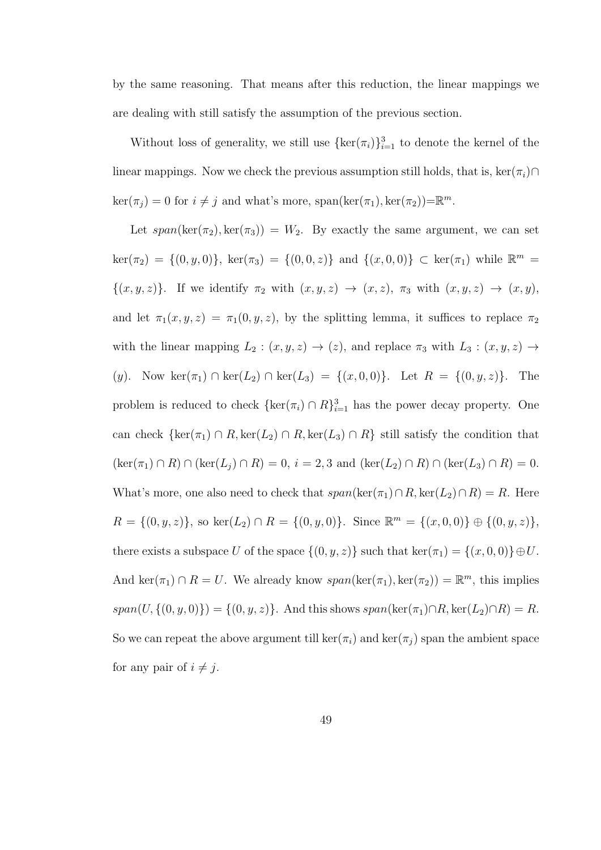by the same reasoning. That means after this reduction, the linear mappings we are dealing with still satisfy the assumption of the previous section.

Without loss of generality, we still use  $\{\ker(\pi_i)\}_{i=1}^3$  to denote the kernel of the linear mappings. Now we check the previous assumption still holds, that is, ker( $\pi_i$ )∩  $\ker(\pi_j) = 0$  for  $i \neq j$  and what's more, span( $\ker(\pi_1)$ ,  $\ker(\pi_2)$ )= $\mathbb{R}^m$ .

Let  $span(\ker(\pi_2), \ker(\pi_3)) = W_2$ . By exactly the same argument, we can set  $\ker(\pi_2) = \{(0, y, 0)\}, \ker(\pi_3) = \{(0, 0, z)\} \text{ and } \{(x, 0, 0)\} \subset \ker(\pi_1) \text{ while } \mathbb{R}^m =$  $\{(x, y, z)\}\.$  If we identify  $\pi_2$  with  $(x, y, z) \rightarrow (x, z)$ ,  $\pi_3$  with  $(x, y, z) \rightarrow (x, y)$ , and let  $\pi_1(x, y, z) = \pi_1(0, y, z)$ , by the splitting lemma, it suffices to replace  $\pi_2$ with the linear mapping  $L_2 : (x, y, z) \rightarrow (z)$ , and replace  $\pi_3$  with  $L_3 : (x, y, z) \rightarrow$ (y). Now ker( $\pi_1$ ) ∩ ker( $L_2$ ) ∩ ker( $L_3$ ) = {(x, 0, 0)}. Let  $R = \{(0, y, z)\}$ . The problem is reduced to check  $\{\ker(\pi_i) \cap R\}_{i=1}^3$  has the power decay property. One can check  $\{\ker(\pi_1) \cap R, \ker(L_2) \cap R, \ker(L_3) \cap R\}$  still satisfy the condition that  $(\ker(\pi_1) \cap R) \cap (\ker(L_j) \cap R) = 0, i = 2, 3 \text{ and } (\ker(L_2) \cap R) \cap (\ker(L_3) \cap R) = 0.$ What's more, one also need to check that  $span(\ker(\pi_1) \cap R, \ker(L_2) \cap R) = R$ . Here  $R = \{(0, y, z)\}\,$  so ker $(L_2) \cap R = \{(0, y, 0)\}\.$  Since  $\mathbb{R}^m = \{(x, 0, 0)\} \oplus \{(0, y, z)\}\,$ there exists a subspace U of the space  $\{(0, y, z)\}$  such that ker $(\pi_1) = \{(x, 0, 0)\} \oplus U$ . And ker( $\pi_1$ )  $\cap$   $R = U$ . We already know  $span(\ker(\pi_1), \ker(\pi_2)) = \mathbb{R}^m$ , this implies span(U, {(0, y, 0)}) = {(0, y, z)}. And this shows span(ker( $\pi_1$ )∩R, ker( $L_2$ )∩R) = R. So we can repeat the above argument till  $\ker(\pi_i)$  and  $\ker(\pi_j)$  span the ambient space for any pair of  $i \neq j$ .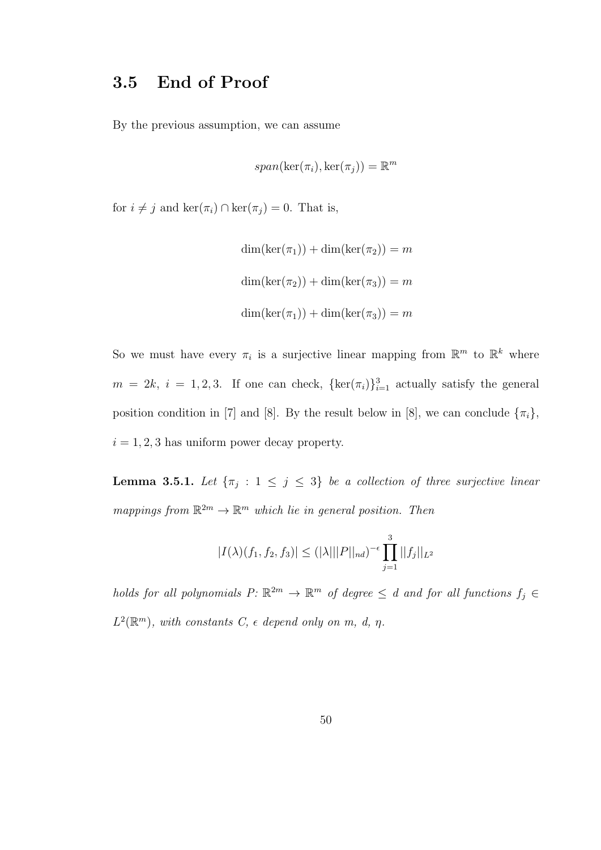#### 3.5 End of Proof

By the previous assumption, we can assume

$$
span(\ker(\pi_i), \ker(\pi_j)) = \mathbb{R}^m
$$

for  $i \neq j$  and ker $(\pi_i) \cap \text{ker}(\pi_j) = 0$ . That is,

$$
\dim(\ker(\pi_1)) + \dim(\ker(\pi_2)) = m
$$
  

$$
\dim(\ker(\pi_2)) + \dim(\ker(\pi_3)) = m
$$
  

$$
\dim(\ker(\pi_1)) + \dim(\ker(\pi_3)) = m
$$

So we must have every  $\pi_i$  is a surjective linear mapping from  $\mathbb{R}^m$  to  $\mathbb{R}^k$  where  $m = 2k, i = 1, 2, 3$ . If one can check,  $\{\ker(\pi_i)\}_{i=1}^3$  actually satisfy the general position condition in [7] and [8]. By the result below in [8], we can conclude  $\{\pi_i\}$ ,  $i = 1, 2, 3$  has uniform power decay property.

**Lemma 3.5.1.** Let  $\{\pi_j : 1 \leq j \leq 3\}$  be a collection of three surjective linear mappings from  $\mathbb{R}^{2m} \to \mathbb{R}^m$  which lie in general position. Then

$$
|I(\lambda)(f_1, f_2, f_3)| \leq (|\lambda| ||P||_{nd})^{-\epsilon} \prod_{j=1}^3 ||f_j||_{L^2}
$$

holds for all polynomials  $P: \mathbb{R}^{2m} \to \mathbb{R}^m$  of degree  $\leq d$  and for all functions  $f_j \in$  $L^2(\mathbb{R}^m)$ , with constants  $C$ ,  $\epsilon$  depend only on m, d,  $\eta$ .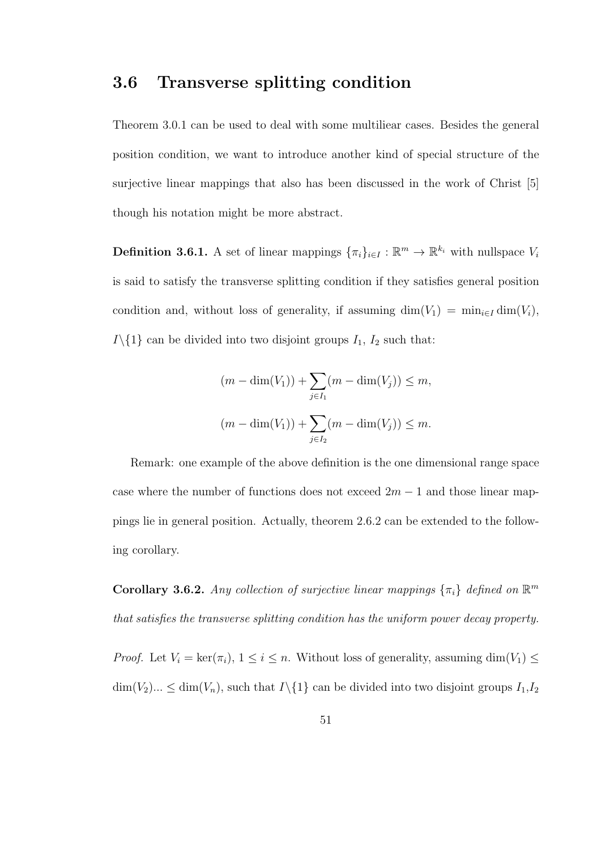#### 3.6 Transverse splitting condition

Theorem 3.0.1 can be used to deal with some multiliear cases. Besides the general position condition, we want to introduce another kind of special structure of the surjective linear mappings that also has been discussed in the work of Christ [5] though his notation might be more abstract.

**Definition 3.6.1.** A set of linear mappings  ${\{\pi_i\}}_{i\in I}: \mathbb{R}^m \to \mathbb{R}^{k_i}$  with nullspace  $V_i$ is said to satisfy the transverse splitting condition if they satisfies general position condition and, without loss of generality, if assuming  $\dim(V_1) = \min_{i \in I} \dim(V_i)$ ,  $I\setminus\{1\}$  can be divided into two disjoint groups  $I_1$ ,  $I_2$  such that:

$$
(m - \dim(V_1)) + \sum_{j \in I_1} (m - \dim(V_j)) \le m,
$$
  

$$
(m - \dim(V_1)) + \sum_{j \in I_2} (m - \dim(V_j)) \le m.
$$

Remark: one example of the above definition is the one dimensional range space case where the number of functions does not exceed  $2m - 1$  and those linear mappings lie in general position. Actually, theorem 2.6.2 can be extended to the following corollary.

**Corollary 3.6.2.** Any collection of surjective linear mappings  $\{\pi_i\}$  defined on  $\mathbb{R}^m$ that satisfies the transverse splitting condition has the uniform power decay property.

*Proof.* Let  $V_i = \ker(\pi_i)$ ,  $1 \leq i \leq n$ . Without loss of generality, assuming  $\dim(V_1) \leq$  $\dim(V_2)...\leq \dim(V_n)$ , such that  $I\setminus\{1\}$  can be divided into two disjoint groups  $I_1,I_2$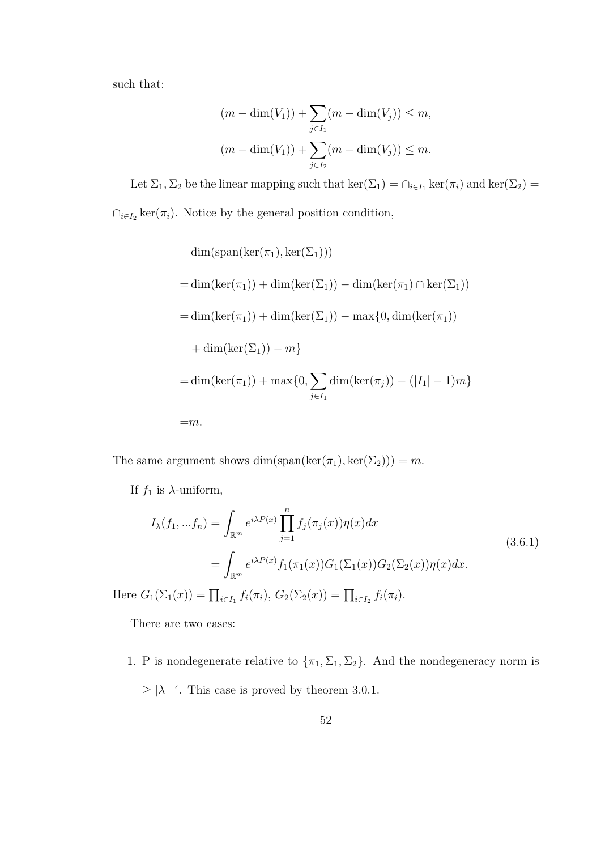such that:

$$
(m - \dim(V_1)) + \sum_{j \in I_1} (m - \dim(V_j)) \le m,
$$
  

$$
(m - \dim(V_1)) + \sum_{j \in I_2} (m - \dim(V_j)) \le m.
$$

Let  $\Sigma_1, \Sigma_2$  be the linear mapping such that  $\ker(\Sigma_1) = \cap_{i \in I_1} \ker(\pi_i)$  and  $\ker(\Sigma_2) =$  $\cap_{i\in I_2} \ker(\pi_i)$ . Notice by the general position condition,

$$
\dim(\text{span}(\ker(\pi_1), \ker(\Sigma_1)))
$$
\n
$$
= \dim(\ker(\pi_1)) + \dim(\ker(\Sigma_1)) - \dim(\ker(\pi_1) \cap \ker(\Sigma_1))
$$
\n
$$
= \dim(\ker(\pi_1)) + \dim(\ker(\Sigma_1)) - \max\{0, \dim(\ker(\pi_1))
$$
\n
$$
+ \dim(\ker(\Sigma_1)) - m\}
$$
\n
$$
= \dim(\ker(\pi_1)) + \max\{0, \sum_{j \in I_1} \dim(\ker(\pi_j)) - (|I_1| - 1)m\}
$$
\n
$$
= m.
$$

The same argument shows  $\dim(\text{span}(\ker(\pi_1), \ker(\Sigma_2))) = m$ .

If  $f_1$  is  $\lambda$ -uniform,

$$
I_{\lambda}(f_1, ... f_n) = \int_{\mathbb{R}^m} e^{i\lambda P(x)} \prod_{j=1}^n f_j(\pi_j(x)) \eta(x) dx
$$
  
= 
$$
\int_{\mathbb{R}^m} e^{i\lambda P(x)} f_1(\pi_1(x)) G_1(\Sigma_1(x)) G_2(\Sigma_2(x)) \eta(x) dx.
$$
 (3.6.1)

Here  $G_1(\Sigma_1(x)) = \prod_{i \in I_1} f_i(\pi_i), G_2(\Sigma_2(x)) = \prod_{i \in I_2} f_i(\pi_i).$ 

There are two cases:

1. P is nondegenerate relative to  $\{\pi_1, \Sigma_1, \Sigma_2\}$ . And the nondegeneracy norm is  $\geq |\lambda|^{-\epsilon}$ . This case is proved by theorem 3.0.1.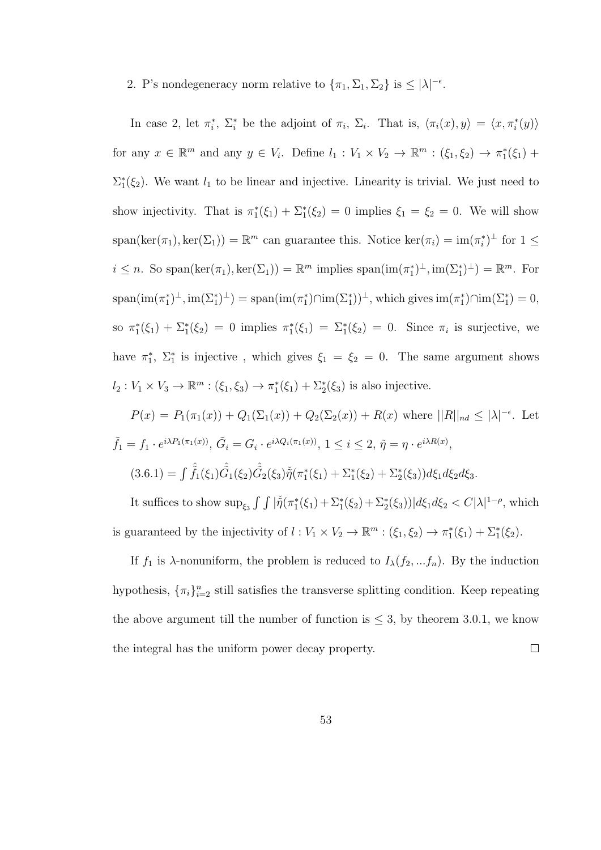#### 2. P's nondegeneracy norm relative to  $\{\pi_1, \Sigma_1, \Sigma_2\}$  is  $\leq |\lambda|^{-\epsilon}$ .

In case 2, let  $\pi_i^*, \Sigma_i^*$  be the adjoint of  $\pi_i, \Sigma_i$ . That is,  $\langle \pi_i(x), y \rangle = \langle x, \pi_i^*(y) \rangle$ for any  $x \in \mathbb{R}^m$  and any  $y \in V_i$ . Define  $l_1 : V_1 \times V_2 \to \mathbb{R}^m : (\xi_1, \xi_2) \to \pi_1^*(\xi_1) +$  $\Sigma_1^*(\xi_2)$ . We want  $l_1$  to be linear and injective. Linearity is trivial. We just need to show injectivity. That is  $\pi_1^*(\xi_1) + \Sigma_1^*(\xi_2) = 0$  implies  $\xi_1 = \xi_2 = 0$ . We will show  $span(\ker(\pi_1), \ker(\Sigma_1)) = \mathbb{R}^m$  can guarantee this. Notice  $\ker(\pi_i) = \text{im}(\pi_i^*)^{\perp}$  for  $1 \leq$  $i \leq n$ . So span(ker $(\pi_1)$ , ker $(\Sigma_1)$ ) =  $\mathbb{R}^m$  implies span(im $(\pi_1^*)^{\perp}$ , im $(\Sigma_1^*)^{\perp}$ ) =  $\mathbb{R}^m$ . For  $\text{span}(\text{im}(\pi_1^*)^{\perp}, \text{im}(\Sigma_1^*)^{\perp}) = \text{span}(\text{im}(\pi_1^*) \cap \text{im}(\Sigma_1^*))^{\perp}$ , which gives  $\text{im}(\pi_1^*) \cap \text{im}(\Sigma_1^*) = 0$ , so  $\pi_1^*(\xi_1) + \Sigma_1^*(\xi_2) = 0$  implies  $\pi_1^*(\xi_1) = \Sigma_1^*(\xi_2) = 0$ . Since  $\pi_i$  is surjective, we have  $\pi_1^*$ ,  $\Sigma_1^*$  is injective, which gives  $\xi_1 = \xi_2 = 0$ . The same argument shows  $l_2: V_1 \times V_3 \to \mathbb{R}^m : (\xi_1, \xi_3) \to \pi_1^*(\xi_1) + \Sigma_2^*(\xi_3)$  is also injective.

$$
P(x) = P_1(\pi_1(x)) + Q_1(\Sigma_1(x)) + Q_2(\Sigma_2(x)) + R(x) \text{ where } ||R||_{nd} \le |\lambda|^{-\epsilon}. \text{ Let }
$$
  

$$
\tilde{f}_1 = f_1 \cdot e^{i\lambda P_1(\pi_1(x))}, \tilde{G}_i = G_i \cdot e^{i\lambda Q_i(\pi_1(x))}, 1 \le i \le 2, \tilde{\eta} = \eta \cdot e^{i\lambda R(x)},
$$
  

$$
(3.6.1) = \int \hat{f}_1(\xi_1) \hat{G}_1(\xi_2) \hat{G}_2(\xi_3) \check{\eta}(\pi_1^*(\xi_1) + \Sigma_1^*(\xi_2) + \Sigma_2^*(\xi_3)) d\xi_1 d\xi_2 d\xi_3.
$$

It suffices to show  $\sup_{\xi_3} \int \int |\check{\tilde{\eta}}(\pi_1^*(\xi_1) + \Sigma_1^*(\xi_2) + \Sigma_2^*(\xi_3))| d\xi_1 d\xi_2 < C|\lambda|^{1-\rho}$ , which is guaranteed by the injectivity of  $l: V_1 \times V_2 \to \mathbb{R}^m : (\xi_1, \xi_2) \to \pi_1^*(\xi_1) + \Sigma_1^*(\xi_2)$ .

If  $f_1$  is  $\lambda$ -nonuniform, the problem is reduced to  $I_{\lambda}(f_2, \ldots, f_n)$ . By the induction hypothesis,  $\{\pi_i\}_{i=2}^n$  still satisfies the transverse splitting condition. Keep repeating the above argument till the number of function is  $\leq$  3, by theorem 3.0.1, we know the integral has the uniform power decay property.  $\Box$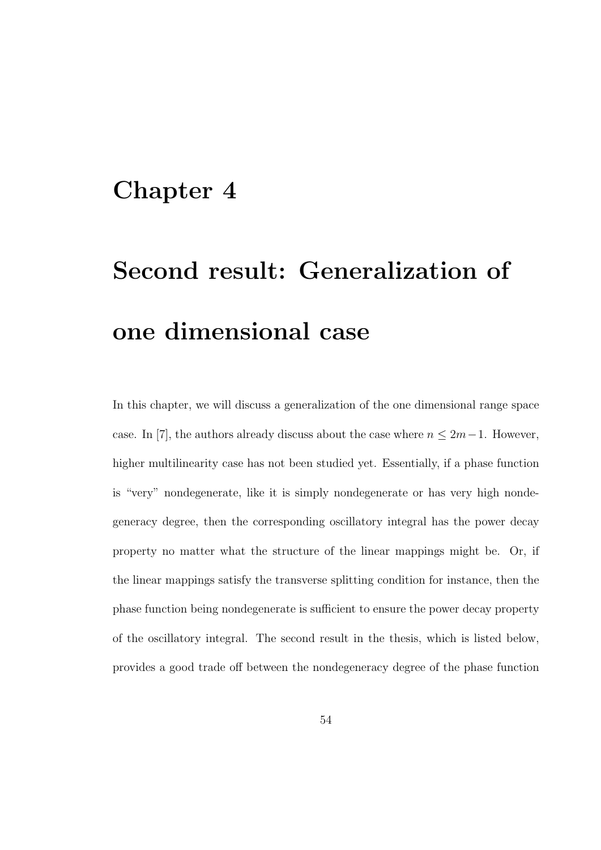### Chapter 4

# Second result: Generalization of one dimensional case

In this chapter, we will discuss a generalization of the one dimensional range space case. In [7], the authors already discuss about the case where  $n \leq 2m-1$ . However, higher multilinearity case has not been studied yet. Essentially, if a phase function is "very" nondegenerate, like it is simply nondegenerate or has very high nondegeneracy degree, then the corresponding oscillatory integral has the power decay property no matter what the structure of the linear mappings might be. Or, if the linear mappings satisfy the transverse splitting condition for instance, then the phase function being nondegenerate is sufficient to ensure the power decay property of the oscillatory integral. The second result in the thesis, which is listed below, provides a good trade off between the nondegeneracy degree of the phase function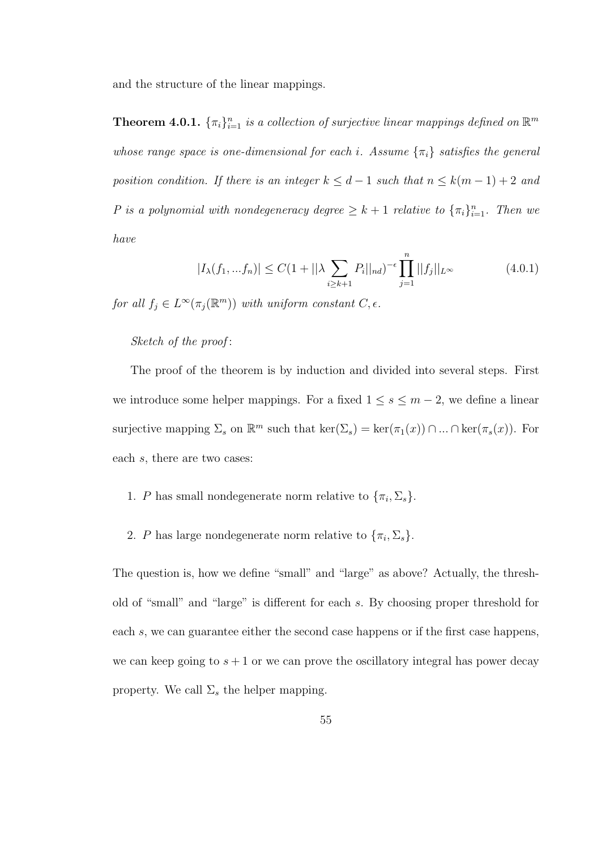and the structure of the linear mappings.

**Theorem 4.0.1.**  $\{\pi_i\}_{i=1}^n$  is a collection of surjective linear mappings defined on  $\mathbb{R}^m$ whose range space is one-dimensional for each i. Assume  $\{\pi_i\}$  satisfies the general position condition. If there is an integer  $k \leq d-1$  such that  $n \leq k(m-1)+2$  and P is a polynomial with nondegeneracy degree  $\geq k+1$  relative to  $\{\pi_i\}_{i=1}^n$ . Then we have

$$
|I_{\lambda}(f_1, ... f_n)| \le C(1 + ||\lambda \sum_{i \ge k+1} P_i||_{nd})^{-\epsilon} \prod_{j=1}^n ||f_j||_{L^{\infty}}
$$
(4.0.1)

for all  $f_j \in L^{\infty}(\pi_j(\mathbb{R}^m))$  with uniform constant  $C, \epsilon$ .

#### Sketch of the proof :

The proof of the theorem is by induction and divided into several steps. First we introduce some helper mappings. For a fixed  $1 \leq s \leq m-2$ , we define a linear surjective mapping  $\Sigma_s$  on  $\mathbb{R}^m$  such that  $\ker(\Sigma_s) = \ker(\pi_1(x)) \cap ... \cap \ker(\pi_s(x))$ . For each s, there are two cases:

- 1. P has small nondegenerate norm relative to  $\{\pi_i, \Sigma_s\}.$
- 2. P has large nondegenerate norm relative to  $\{\pi_i, \Sigma_s\}.$

The question is, how we define "small" and "large" as above? Actually, the threshold of "small" and "large" is different for each s. By choosing proper threshold for each s, we can guarantee either the second case happens or if the first case happens, we can keep going to  $s + 1$  or we can prove the oscillatory integral has power decay property. We call  $\Sigma_s$  the helper mapping.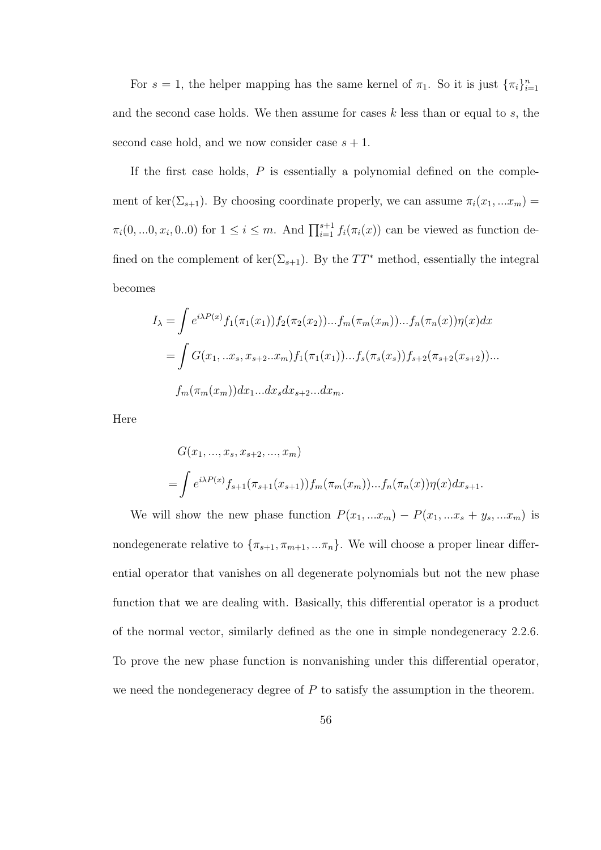For  $s = 1$ , the helper mapping has the same kernel of  $\pi_1$ . So it is just  $\{\pi_i\}_{i=1}^n$ and the second case holds. We then assume for cases  $k$  less than or equal to  $s$ , the second case hold, and we now consider case  $s + 1$ .

If the first case holds,  $P$  is essentially a polynomial defined on the complement of ker( $\Sigma_{s+1}$ ). By choosing coordinate properly, we can assume  $\pi_i(x_1, ... x_m)$  $\pi_i(0, \ldots, 0, x_i, 0 \ldots 0)$  for  $1 \leq i \leq m$ . And  $\prod_{i=1}^{s+1} f_i(\pi_i(x))$  can be viewed as function defined on the complement of ker( $\Sigma_{s+1}$ ). By the TT<sup>\*</sup> method, essentially the integral becomes

$$
I_{\lambda} = \int e^{i\lambda P(x)} f_1(\pi_1(x_1)) f_2(\pi_2(x_2)) \dots f_m(\pi_m(x_m)) \dots f_n(\pi_n(x)) \eta(x) dx
$$
  
= 
$$
\int G(x_1, \dots, x_s, x_{s+2} \dots x_m) f_1(\pi_1(x_1)) \dots f_s(\pi_s(x_s)) f_{s+2}(\pi_{s+2}(x_{s+2})) \dots
$$
  

$$
f_m(\pi_m(x_m)) dx_1 \dots dx_s dx_{s+2} \dots dx_m.
$$

Here

$$
G(x_1, ..., x_s, x_{s+2}, ..., x_m)
$$
  
=  $\int e^{i\lambda P(x)} f_{s+1}(\pi_{s+1}(x_{s+1})) f_m(\pi_m(x_m))... f_n(\pi_n(x)) \eta(x) dx_{s+1}.$ 

We will show the new phase function  $P(x_1, ... x_m) - P(x_1, ... x_s + y_s, ... x_m)$  is nondegenerate relative to  $\{\pi_{s+1}, \pi_{m+1},...\pi_n\}$ . We will choose a proper linear differential operator that vanishes on all degenerate polynomials but not the new phase function that we are dealing with. Basically, this differential operator is a product of the normal vector, similarly defined as the one in simple nondegeneracy 2.2.6. To prove the new phase function is nonvanishing under this differential operator, we need the nondegeneracy degree of  $P$  to satisfy the assumption in the theorem.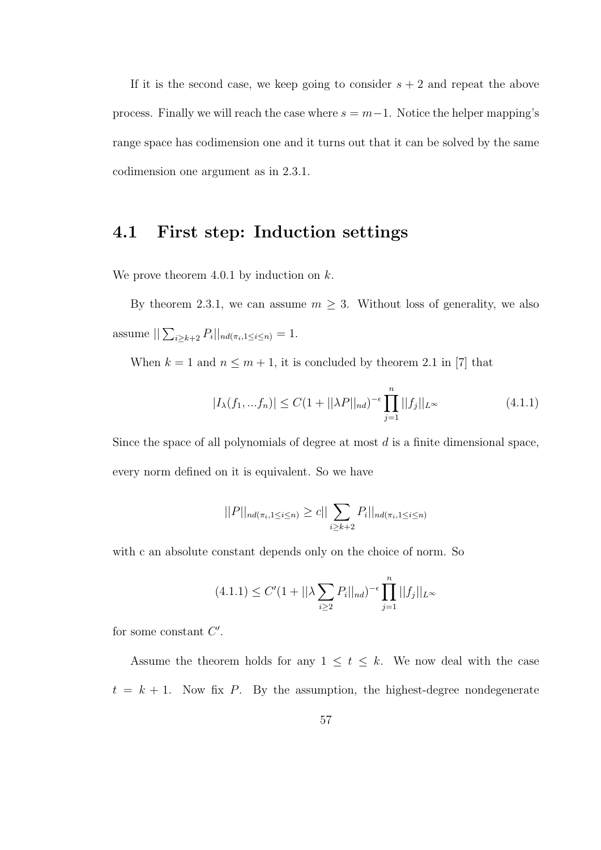If it is the second case, we keep going to consider  $s + 2$  and repeat the above process. Finally we will reach the case where  $s = m-1$ . Notice the helper mapping's range space has codimension one and it turns out that it can be solved by the same codimension one argument as in 2.3.1.

#### 4.1 First step: Induction settings

We prove theorem 4.0.1 by induction on  $k$ .

By theorem 2.3.1, we can assume  $m \geq 3$ . Without loss of generality, we also assume  $||\sum_{i\geq k+2} P_i||_{nd(\pi_i, 1\leq i\leq n)} = 1.$ 

When  $k = 1$  and  $n \leq m + 1$ , it is concluded by theorem 2.1 in [7] that

$$
|I_{\lambda}(f_1, ... f_n)| \le C(1 + ||\lambda P||_{nd})^{-\epsilon} \prod_{j=1}^n ||f_j||_{L^{\infty}}
$$
\n(4.1.1)

Since the space of all polynomials of degree at most  $d$  is a finite dimensional space, every norm defined on it is equivalent. So we have

$$
||P||_{nd(\pi_i, 1 \le i \le n)} \ge c||\sum_{i \ge k+2} P_i||_{nd(\pi_i, 1 \le i \le n)}
$$

with c an absolute constant depends only on the choice of norm. So

$$
(4.1.1) \le C'(1 + ||\lambda \sum_{i \ge 2} P_i||_{nd})^{-\epsilon} \prod_{j=1}^n ||f_j||_{L^{\infty}}
$$

for some constant  $C'$ .

Assume the theorem holds for any  $1 \leq t \leq k$ . We now deal with the case  $t = k + 1$ . Now fix P. By the assumption, the highest-degree nondegenerate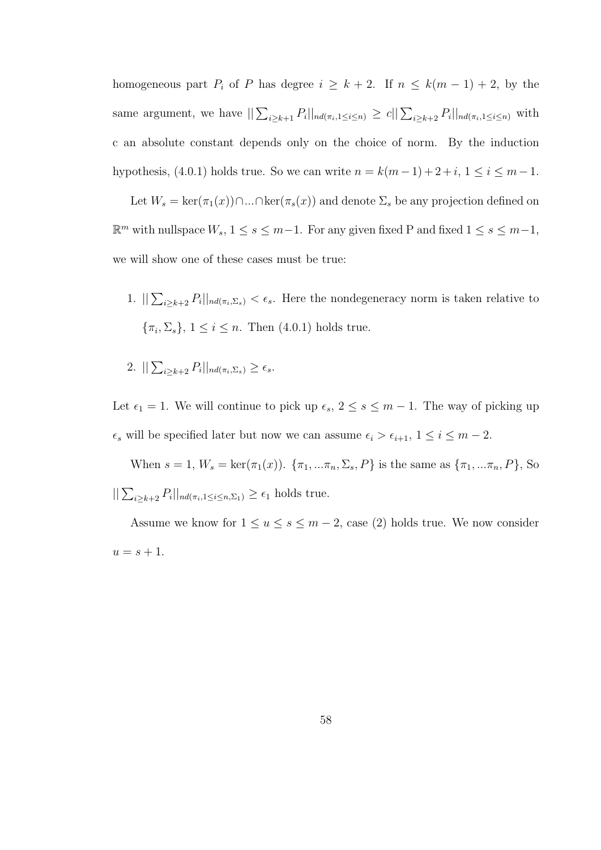homogeneous part  $P_i$  of P has degree  $i \geq k+2$ . If  $n \leq k(m-1)+2$ , by the same argument, we have  $||\sum_{i\geq k+1} P_i||_{nd(\pi_i, 1\leq i\leq n)} \geq c||\sum_{i\geq k+2} P_i||_{nd(\pi_i, 1\leq i\leq n)}$  with c an absolute constant depends only on the choice of norm. By the induction hypothesis, (4.0.1) holds true. So we can write  $n = k(m-1) + 2 + i$ ,  $1 \le i \le m-1$ .

Let  $W_s = \ker(\pi_1(x)) \cap ... \cap \ker(\pi_s(x))$  and denote  $\Sigma_s$  be any projection defined on  $\mathbb{R}^m$  with nullspace  $W_s$ ,  $1 \leq s \leq m-1$ . For any given fixed P and fixed  $1 \leq s \leq m-1$ , we will show one of these cases must be true:

- 1.  $\sum_{i\geq k+2} P_i ||_{nd(\pi_i,\Sigma_s)} < \epsilon_s$ . Here the nondegeneracy norm is taken relative to  $\{\pi_i, \Sigma_s\}, 1 \leq i \leq n$ . Then  $(4.0.1)$  holds true.
- 2.  $\sum_{i\geq k+2} P_i ||_{nd(\pi_i,\Sigma_s)} \geq \epsilon_s.$

Let  $\epsilon_1 = 1$ . We will continue to pick up  $\epsilon_s$ ,  $2 \le s \le m - 1$ . The way of picking up  $\epsilon_s$  will be specified later but now we can assume  $\epsilon_i > \epsilon_{i+1}, 1 \le i \le m-2$ .

When  $s = 1, W_s = \ker(\pi_1(x))$ .  $\{\pi_1, ..., \pi_n, \Sigma_s, P\}$  is the same as  $\{\pi_1, ..., \pi_n, P\}$ , So  $||\sum_{i\geq k+2} P_i||_{nd(\pi_i, 1\leq i\leq n,\Sigma_1)} \geq \epsilon_1$  holds true.

Assume we know for  $1 \le u \le s \le m-2$ , case (2) holds true. We now consider  $u = s + 1.$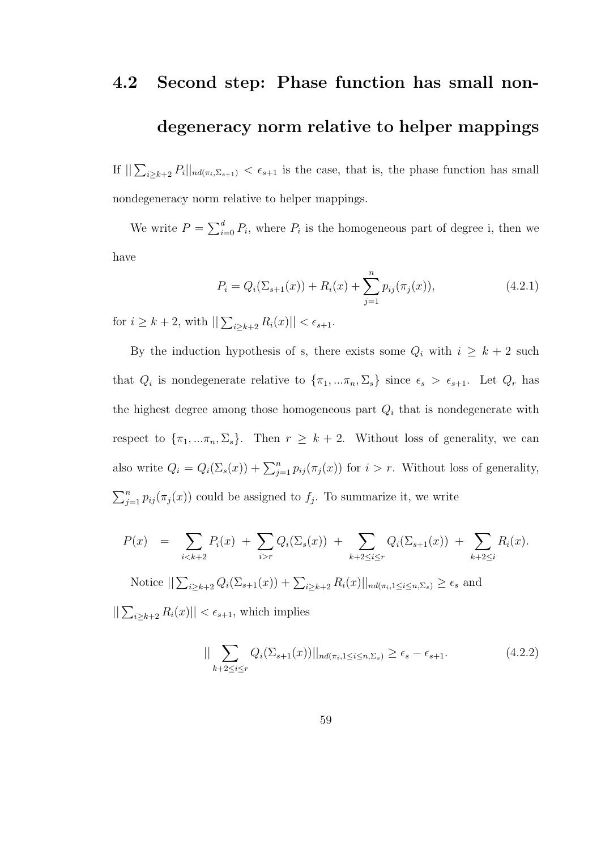#### 4.2 Second step: Phase function has small non-

#### degeneracy norm relative to helper mappings

If  $\sum_{i\geq k+2} P_i||_{nd(\pi_i,\Sigma_{s+1})} < \epsilon_{s+1}$  is the case, that is, the phase function has small nondegeneracy norm relative to helper mappings.

We write  $P = \sum_{i=0}^{d} P_i$ , where  $P_i$  is the homogeneous part of degree i, then we have

$$
P_i = Q_i(\Sigma_{s+1}(x)) + R_i(x) + \sum_{j=1}^n p_{ij}(\pi_j(x)), \qquad (4.2.1)
$$

for  $i \geq k+2$ , with  $||\sum_{i \geq k+2} R_i(x)|| < \epsilon_{s+1}$ .

By the induction hypothesis of s, there exists some  $Q_i$  with  $i \geq k+2$  such that  $Q_i$  is nondegenerate relative to  $\{\pi_1, \ldots, \pi_n, \Sigma_s\}$  since  $\epsilon_s > \epsilon_{s+1}$ . Let  $Q_r$  has the highest degree among those homogeneous part  $Q_i$  that is nondegenerate with respect to  $\{\pi_1, \ldots, \pi_n, \Sigma_s\}$ . Then  $r \geq k+2$ . Without loss of generality, we can also write  $Q_i = Q_i(\Sigma_s(x)) + \sum_{j=1}^n p_{ij}(\pi_j(x))$  for  $i > r$ . Without loss of generality,  $\sum_{j=1}^{n} p_{ij}(\pi_j(x))$  could be assigned to  $f_j$ . To summarize it, we write

$$
P(x) = \sum_{i < k+2} P_i(x) + \sum_{i > r} Q_i(\Sigma_s(x)) + \sum_{k+2 \leq i \leq r} Q_i(\Sigma_{s+1}(x)) + \sum_{k+2 \leq i} R_i(x).
$$

Notice  $\sum_{i\geq k+2} Q_i(\Sigma_{s+1}(x)) + \sum_{i\geq k+2} R_i(x) ||_{nd(\pi_i, 1 \leq i \leq n, \Sigma_s)} \geq \epsilon_s$  and

 $||\sum_{i\geq k+2} R_i(x)|| < \epsilon_{s+1}$ , which implies

$$
\|\sum_{k+2\leq i\leq r} Q_i(\Sigma_{s+1}(x))\|_{nd(\pi_i,1\leq i\leq n,\Sigma_s)} \geq \epsilon_s - \epsilon_{s+1}.\tag{4.2.2}
$$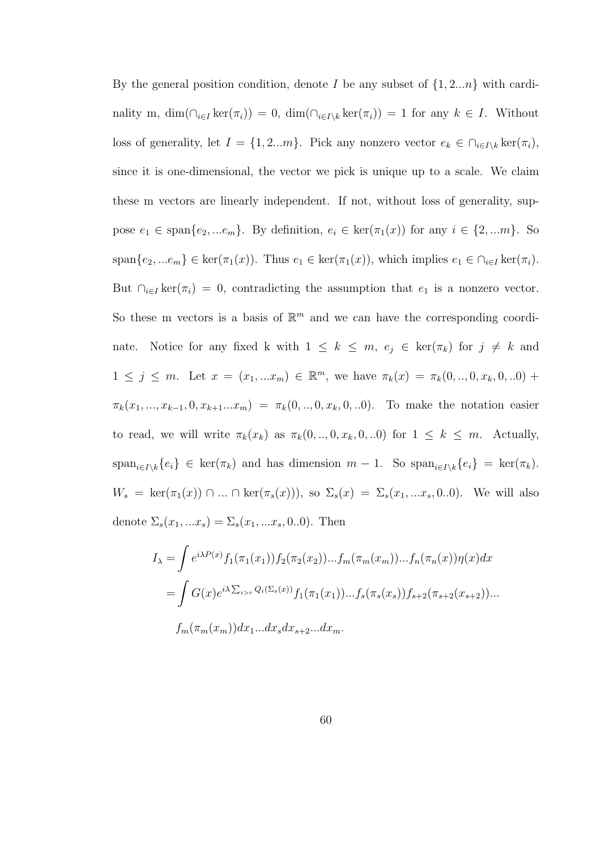By the general position condition, denote I be any subset of  $\{1, 2...n\}$  with cardinality m,  $\dim(\bigcap_{i\in I} \ker(\pi_i)) = 0$ ,  $\dim(\bigcap_{i\in I\setminus k} \ker(\pi_i)) = 1$  for any  $k \in I$ . Without loss of generality, let  $I = \{1, 2...m\}$ . Pick any nonzero vector  $e_k \in \bigcap_{i \in I\setminus k} \ker(\pi_i)$ , since it is one-dimensional, the vector we pick is unique up to a scale. We claim these m vectors are linearly independent. If not, without loss of generality, suppose  $e_1 \in \text{span}\{e_2, ...e_m\}$ . By definition,  $e_i \in \text{ker}(\pi_1(x))$  for any  $i \in \{2, ...m\}$ . So  $span\{e_2,...e_m\} \in \text{ker}(\pi_1(x))$ . Thus  $e_1 \in \text{ker}(\pi_1(x))$ , which implies  $e_1 \in \bigcap_{i \in I} \text{ker}(\pi_i)$ . But  $\bigcap_{i\in I} \ker(\pi_i) = 0$ , contradicting the assumption that  $e_1$  is a nonzero vector. So these m vectors is a basis of  $\mathbb{R}^m$  and we can have the corresponding coordinate. Notice for any fixed k with  $1 \leq k \leq m$ ,  $e_j \in \text{ker}(\pi_k)$  for  $j \neq k$  and  $1 \leq j \leq m$ . Let  $x = (x_1, ... x_m) \in \mathbb{R}^m$ , we have  $\pi_k(x) = \pi_k(0, ..., 0, x_k, 0, ...0) +$  $\pi_k(x_1, ..., x_{k-1}, 0, x_{k+1}...x_m) = \pi_k(0, ..., 0, x_k, 0, ...)$ . To make the notation easier to read, we will write  $\pi_k(x_k)$  as  $\pi_k(0, \ldots, 0, x_k, 0, \ldots)$  for  $1 \leq k \leq m$ . Actually,  $\text{span}_{i\in I\setminus k}\{e_i\} \in \text{ker}(\pi_k)$  and has dimension  $m-1$ . So  $\text{span}_{i\in I\setminus k}\{e_i\} = \text{ker}(\pi_k)$ .  $W_s = \ker(\pi_1(x)) \cap ... \cap \ker(\pi_s(x))$ , so  $\Sigma_s(x) = \Sigma_s(x_1, ... x_s, 0..0)$ . We will also denote  $\Sigma_s(x_1, ... x_s) = \Sigma_s(x_1, ... x_s, 0..0)$ . Then

$$
I_{\lambda} = \int e^{i\lambda P(x)} f_1(\pi_1(x_1)) f_2(\pi_2(x_2)) \dots f_m(\pi_m(x_m)) \dots f_n(\pi_n(x)) \eta(x) dx
$$
  
= 
$$
\int G(x) e^{i\lambda \sum_{i>r} Q_i(\sum_s(x))} f_1(\pi_1(x_1)) \dots f_s(\pi_s(x_s)) f_{s+2}(\pi_{s+2}(x_{s+2})) \dots
$$
  

$$
f_m(\pi_m(x_m)) dx_1 \dots dx_s dx_{s+2} \dots dx_m.
$$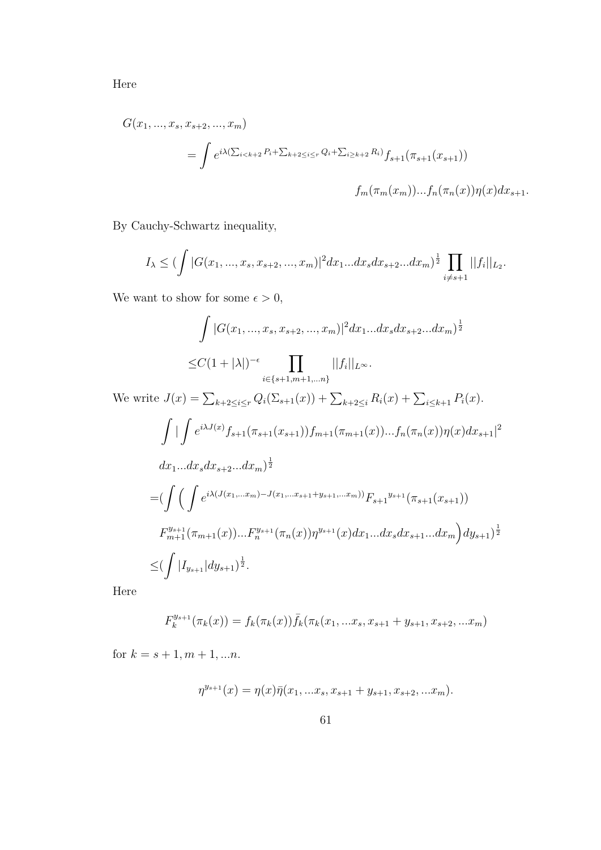Here

$$
G(x_1, ..., x_s, x_{s+2}, ..., x_m)
$$
  
= 
$$
\int e^{i\lambda(\sum_{i < k+2} P_i + \sum_{k+2 \le i < r} Q_i + \sum_{i \ge k+2} R_i)} f_{s+1}(\pi_{s+1}(x_{s+1}))
$$
  

$$
f_m(\pi_m(x_m))...f_n(\pi_n(x))\eta(x)dx_{s+1}.
$$

By Cauchy-Schwartz inequality,

$$
I_{\lambda} \leq (\int |G(x_1, ..., x_s, x_{s+2}, ..., x_m)|^2 dx_1 ... dx_s dx_{s+2} ... dx_m)^{\frac{1}{2}} \prod_{i \neq s+1} ||f_i||_{L_2}.
$$

We want to show for some  $\epsilon > 0$ ,

$$
\int |G(x_1, ..., x_s, x_{s+2}, ..., x_m)|^2 dx_1...dx_s dx_{s+2}...dx_m)^{\frac{1}{2}}
$$
  

$$
\leq C(1+|\lambda|)^{-\epsilon} \prod_{i \in \{s+1, m+1, ..., n\}} ||f_i||_{L^{\infty}}.
$$

We write  $J(x) = \sum_{k+2 \leq i \leq r} Q_i(\sum_{s+1}(x)) + \sum_{k+2 \leq i} R_i(x) + \sum_{i \leq k+1} P_i(x)$ .

$$
\int \left| \int e^{i\lambda J(x)} f_{s+1}(\pi_{s+1}(x_{s+1})) f_{m+1}(\pi_{m+1}(x))...f_n(\pi_n(x)) \eta(x) dx_{s+1} \right|^2
$$
  
\n
$$
dx_1...dx_s dx_{s+2}...dx_m)^{\frac{1}{2}}
$$
  
\n
$$
= (\int \left( \int e^{i\lambda (J(x_1,...x_m)-J(x_1,...x_{s+1}+y_{s+1},...x_m))} F_{s+1}^{y_{s+1}}(\pi_{s+1}(x_{s+1})) \right. \\
$$
  
\n
$$
F_{m+1}^{y_{s+1}}(\pi_{m+1}(x))...F_n^{y_{s+1}}(\pi_n(x)) \eta^{y_{s+1}}(x) dx_1...dx_s dx_{s+1}...dx_m) dy_{s+1}^{\frac{1}{2}}
$$
  
\n
$$
\leq (\int |I_{y_{s+1}}| dy_{s+1})^{\frac{1}{2}}.
$$

Here

$$
F_k^{y_{s+1}}(\pi_k(x)) = f_k(\pi_k(x))\bar{f}_k(\pi_k(x_1,...x_s,x_{s+1}+y_{s+1},x_{s+2},...x_m)
$$

for  $k = s + 1, m + 1, ...n$ .

$$
\eta^{y_{s+1}}(x) = \eta(x)\bar{\eta}(x_1,...x_s,x_{s+1}+y_{s+1},x_{s+2},...x_m).
$$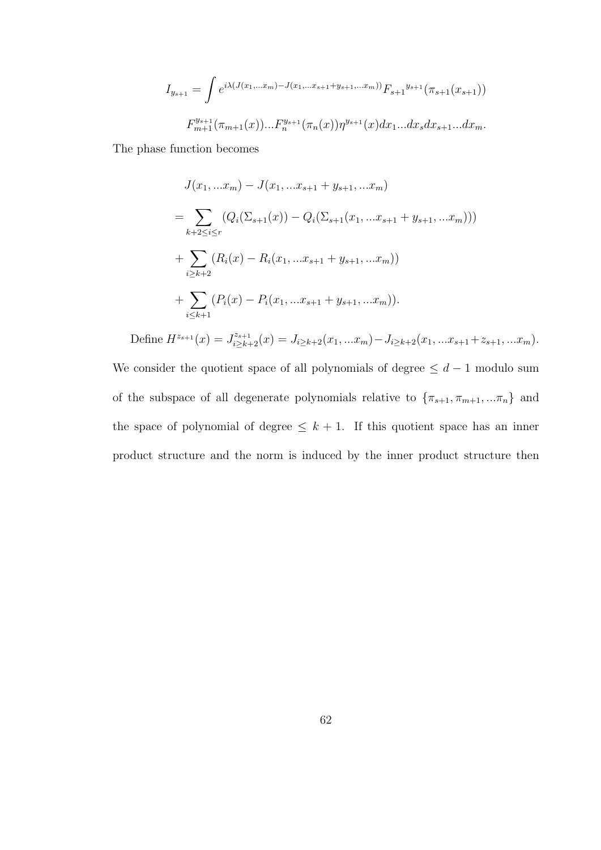$$
I_{y_{s+1}} = \int e^{i\lambda(J(x_1,\dots,x_m)-J(x_1,\dots,x_{s+1}+y_{s+1},\dots,x_m))} F_{s+1}^{y_{s+1}}(\pi_{s+1}(x_{s+1}))
$$

$$
F_{m+1}^{y_{s+1}}(\pi_{m+1}(x))...F_{n}^{y_{s+1}}(\pi_n(x))\eta^{y_{s+1}}(x)dx_1...dx_sdx_{s+1}...dx_m.
$$

The phase function becomes

$$
J(x_1,...x_m) - J(x_1,...x_{s+1} + y_{s+1},...x_m)
$$
  
= 
$$
\sum_{k+2 \leq i \leq r} (Q_i(\Sigma_{s+1}(x)) - Q_i(\Sigma_{s+1}(x_1,...x_{s+1} + y_{s+1},...x_m)))
$$
  
+ 
$$
\sum_{i \geq k+2} (R_i(x) - R_i(x_1,...x_{s+1} + y_{s+1},...x_m))
$$
  
+ 
$$
\sum_{i \leq k+1} (P_i(x) - P_i(x_1,...x_{s+1} + y_{s+1},...x_m)).
$$

Define  $H^{z_{s+1}}(x) = J^{z_{s+1}}_{i \geq k+2}(x) = J_{i \geq k+2}(x_1, ... x_m) - J_{i \geq k+2}(x_1, ... x_{s+1} + z_{s+1}, ... x_m).$ We consider the quotient space of all polynomials of degree  $\leq d-1$  modulo sum of the subspace of all degenerate polynomials relative to  $\{\pi_{s+1}, \pi_{m+1},...\pi_n\}$  and the space of polynomial of degree  $\leq k + 1$ . If this quotient space has an inner product structure and the norm is induced by the inner product structure then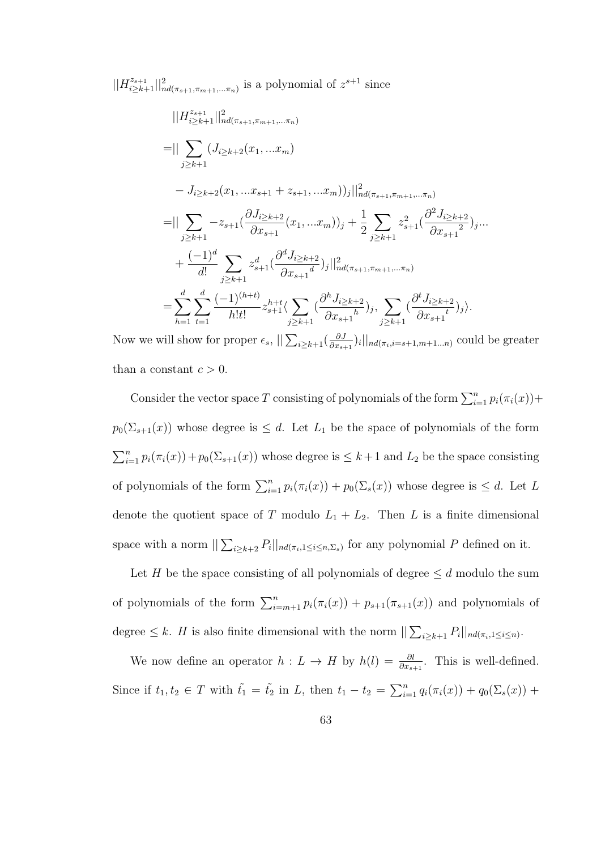$||H_{i\geq k+1}^{z_{s+1}}||_{nd(\pi_{s+1},\pi_{m+1},...\pi_n)}^{2}$  is a polynomial of  $z^{s+1}$  since

$$
||H_{i\ge k+1}^{z_{s+1}}||_{nd(\pi_{s+1},\pi_{m+1},\ldots,\pi_n)}^{2} = || \sum_{j\ge k+1} (J_{i\ge k+2}(x_1,...x_m) - J_{i\ge k+2}(x_1,...x_{s+1} + z_{s+1},...x_m))_j||_{nd(\pi_{s+1},\pi_{m+1},\ldots,\pi_n)}^{2} = || \sum_{j\ge k+1} -z_{s+1}(\frac{\partial J_{i\ge k+2}}{\partial x_{s+1}}(x_1,...x_m))_j + \frac{1}{2} \sum_{j\ge k+1} z_{s+1}^2(\frac{\partial^2 J_{i\ge k+2}}{\partial x_{s+1}})_{j} ... + \frac{(-1)^d}{d!} \sum_{j\ge k+1} z_{s+1}^d(\frac{\partial^d J_{i\ge k+2}}{\partial x_{s+1}})_j||_{nd(\pi_{s+1},\pi_{m+1},\ldots,\pi_n)}^{2} = \sum_{h=1}^d \sum_{t=1}^d \frac{(-1)^{(h+t)}}{h!t!} z_{s+1}^{h+t} \langle \sum_{j\ge k+1} (\frac{\partial^h J_{i\ge k+2}}{\partial x_{s+1}})_{j}, \sum_{j\ge k+1} (\frac{\partial^t J_{i\ge k+2}}{\partial x_{s+1}})_{j} \rangle.
$$

Now we will show for proper  $\epsilon_s$ ,  $||\sum_{i\geq k+1}(\frac{\partial J}{\partial x_s})$  $\frac{\partial J}{\partial x_{s+1}})_i$ ,  $||_{nd(\pi_i,i=s+1,m+1...n)}$  could be greater than a constant  $c > 0$ .

Consider the vector space T consisting of polynomials of the form  $\sum_{i=1}^{n} p_i(\pi_i(x))$ +  $p_0(\Sigma_{s+1}(x))$  whose degree is  $\leq d$ . Let  $L_1$  be the space of polynomials of the form  $\sum_{i=1}^{n} p_i(\pi_i(x)) + p_0(\sum_{s+1}(x))$  whose degree is  $\leq k+1$  and  $L_2$  be the space consisting of polynomials of the form  $\sum_{i=1}^n p_i(\pi_i(x)) + p_0(\sum_{s}(x))$  whose degree is  $\leq d$ . Let L denote the quotient space of T modulo  $L_1 + L_2$ . Then L is a finite dimensional space with a norm  $\sum_{i\geq k+2} P_i ||_{nd(\pi_i,1\leq i\leq n,\Sigma_s)}$  for any polynomial P defined on it.

Let H be the space consisting of all polynomials of degree  $\leq d$  modulo the sum of polynomials of the form  $\sum_{i=m+1}^{n} p_i(\pi_i(x)) + p_{s+1}(\pi_{s+1}(x))$  and polynomials of degree  $\leq k$ . H is also finite dimensional with the norm  $||\sum_{i\geq k+1} P_i||_{nd(\pi_i, 1\leq i\leq n)}$ .

We now define an operator  $h: L \to H$  by  $h(l) = \frac{\partial l}{\partial x_{s+1}}$ . This is well-defined. Since if  $t_1, t_2 \in T$  with  $\tilde{t_1} = \tilde{t_2}$  in L, then  $t_1 - t_2 = \sum_{i=1}^n q_i(\pi_i(x)) + q_0(\sum_{s}(x)) +$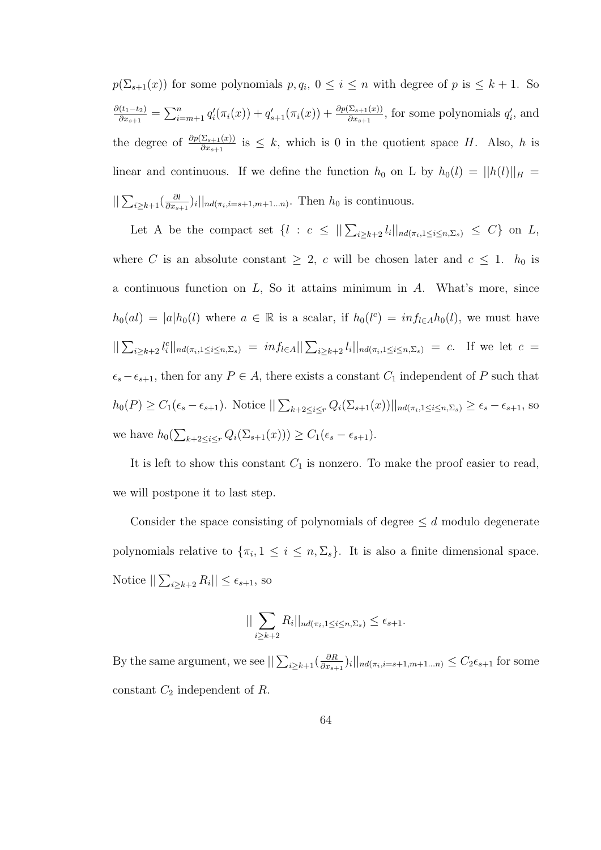$p(\Sigma_{s+1}(x))$  for some polynomials  $p, q_i, 0 \leq i \leq n$  with degree of  $p$  is  $\leq k+1$ . So  $\partial (t_1-t_2)$  $\frac{(t_1-t_2)}{\partial x_{s+1}} = \sum_{i=m+1}^n q'_i(\pi_i(x)) + q'_{s+1}(\pi_i(x)) + \frac{\partial p(\Sigma_{s+1}(x))}{\partial x_{s+1}},$  for some polynomials  $q'_i$ , and the degree of  $\frac{\partial p(\Sigma_{s+1}(x))}{\partial x_{s+1}}$  is  $\leq k$ , which is 0 in the quotient space H. Also, h is linear and continuous. If we define the function  $h_0$  on L by  $h_0(l) = ||h(l)||_H =$  $\sum_{i\geq k+1}(\frac{\partial l}{\partial x_{s}})$  $\frac{\partial l}{\partial x_{s+1}}$ )<sub>i</sub> $||_{nd(\pi_i,i=s+1,m+1...n)}$ . Then  $h_0$  is continuous.

Let A be the compact set  $\{l : c \leq ||\sum_{i \geq k+2} l_i||_{nd(\pi_i, 1 \leq i \leq n, \Sigma_s)} \leq C\}$  on L, where C is an absolute constant  $\geq 2$ , c will be chosen later and  $c \leq 1$ .  $h_0$  is a continuous function on  $L$ , So it attains minimum in  $A$ . What's more, since  $h_0(al) = |a|h_0(l)$  where  $a \in \mathbb{R}$  is a scalar, if  $h_0(l^c) = inf_{l \in A}h_0(l)$ , we must have  $||\sum_{i\geq k+2} l_i^c||_{nd(\pi_i,1\leq i\leq n,\Sigma_s)} = inf_{l\in A}||\sum_{i\geq k+2} l_i||_{nd(\pi_i,1\leq i\leq n,\Sigma_s)} = c.$  If we let  $c =$  $\epsilon_s - \epsilon_{s+1}$ , then for any  $P \in A$ , there exists a constant  $C_1$  independent of P such that  $h_0(P) \geq C_1(\epsilon_s - \epsilon_{s+1})$ . Notice  $||\sum_{k+2 \leq i \leq r} Q_i(\Sigma_{s+1}(x))||_{nd(\pi_i, 1 \leq i \leq n, \Sigma_s)} \geq \epsilon_s - \epsilon_{s+1}$ , so we have  $h_0(\sum_{k+2\leq i\leq r} Q_i(\Sigma_{s+1}(x))) \geq C_1(\epsilon_s - \epsilon_{s+1}).$ 

It is left to show this constant  $C_1$  is nonzero. To make the proof easier to read, we will postpone it to last step.

Consider the space consisting of polynomials of degree  $\leq d$  modulo degenerate polynomials relative to  $\{\pi_i, 1 \leq i \leq n, \Sigma_s\}$ . It is also a finite dimensional space. Notice  $\|\sum_{i\geq k+2} R_i\| \leq \epsilon_{s+1}$ , so

$$
\|\sum_{i\geq k+2} R_i\|_{nd(\pi_i,1\leq i\leq n,\Sigma_s)} \leq \epsilon_{s+1}.
$$

By the same argument, we see  $||\sum_{i\geq k+1}(\frac{\partial R}{\partial x_{s+1}})||$  $\frac{\partial R}{\partial x_{s+1}})_i$ ||<sub>nd( $\pi_i$ , *i*= $s+1,m+1...n$ )  $\leq C_2 \epsilon_{s+1}$  for some</sub> constant  $C_2$  independent of R.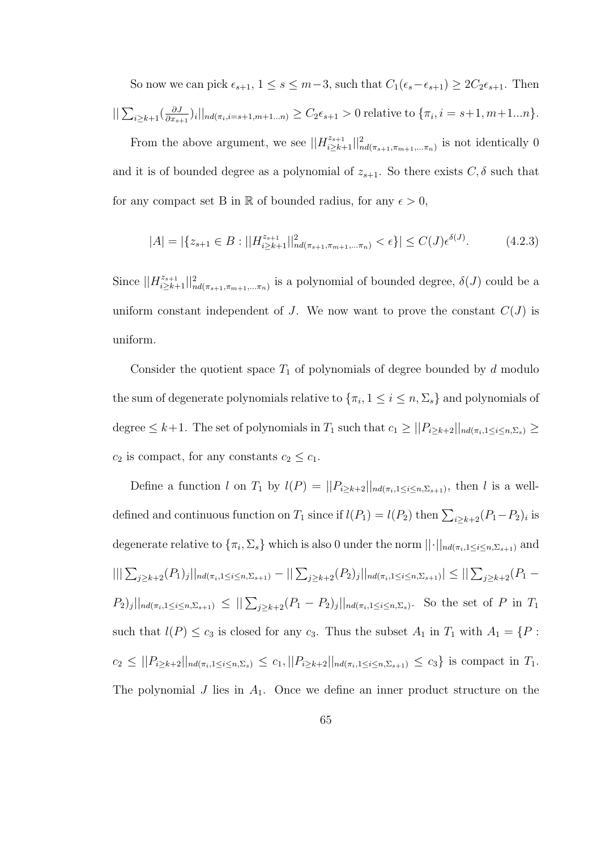So now we can pick  $\epsilon_{s+1}$ ,  $1 \le s \le m-3$ , such that  $C_1(\epsilon_s-\epsilon_{s+1}) \ge 2C_2\epsilon_{s+1}$ . Then  $||\sum_{i\geq k+1}(\frac{\partial J}{\partial x_{s-1}})$  $\frac{\partial J}{\partial x_{s+1}})_i||_{nd(\pi_i,i=s+1,m+1...n)} \geq C_2\epsilon_{s+1} > 0$  relative to  $\{\pi_i, i=s+1,m+1...n\}.$ 

From the above argument, we see  $||H_{i\geq k+1}^{z_{s+1}}||_{nd(\pi_{s+1},\pi_{m+1},\ldots,\pi_n)}^{2}$  is not identically 0 and it is of bounded degree as a polynomial of  $z_{s+1}$ . So there exists  $C, \delta$  such that for any compact set B in  $\mathbb R$  of bounded radius, for any  $\epsilon > 0$ ,

$$
|A| = |\{z_{s+1} \in B : ||H_{i \ge k+1}^{z_{s+1}}||_{nd(\pi_{s+1}, \pi_{m+1}, \dots, \pi_n)}^{2} < \epsilon\}| \le C(J)\epsilon^{\delta(J)}.
$$
 (4.2.3)

Since  $||H_{i\geq k+1}^{z_{s+1}}||_{nd(\pi_{s+1},\pi_{m+1},\ldots,\pi_n)}^{2}$  is a polynomial of bounded degree,  $\delta(J)$  could be a uniform constant independent of J. We now want to prove the constant  $C(J)$  is uniform.

Consider the quotient space  $T_1$  of polynomials of degree bounded by d modulo the sum of degenerate polynomials relative to  $\{\pi_i, 1 \leq i \leq n, \Sigma_s\}$  and polynomials of degree  $\leq k+1$ . The set of polynomials in  $T_1$  such that  $c_1 \geq ||P_{i\geq k+2}||_{nd(\pi_i, 1\leq i\leq n, \Sigma_s)} \geq$  $c_2$  is compact, for any constants  $c_2 \leq c_1$ .

Define a function l on  $T_1$  by  $l(P) = ||P_{i \ge k+2}||_{nd(\pi_i, 1 \le i \le n, \Sigma_{s+1})}$ , then l is a welldefined and continuous function on  $T_1$  since if  $l(P_1) = l(P_2)$  then  $\sum_{i \geq k+2} (P_1 - P_2)_i$  is degenerate relative to  $\{\pi_i, \Sigma_s\}$  which is also 0 under the norm  $||\cdot||_{nd(\pi_i, 1 \le i \le n, \Sigma_{s+1})}$  and  $|||\sum_{j\geq k+2}(P_1)_j||_{nd(\pi_i,1\leq i\leq n,\Sigma_{s+1})}-||\sum_{j\geq k+2}(P_2)_j||_{nd(\pi_i,1\leq i\leq n,\Sigma_{s+1})}|\leq ||\sum_{j\geq k+2}(P_1-P_2)_j||_{nd(\pi_i,1\leq i\leq n,\Sigma_{s+1})}$  $P_2|_j||_{nd(\pi_i, 1 \leq i \leq n, \Sigma_{s+1})} \leq ||\sum_{j \geq k+2}(P_1 - P_2)_j||_{nd(\pi_i, 1 \leq i \leq n, \Sigma_s)}$ . So the set of P in  $T_1$ such that  $l(P) \leq c_3$  is closed for any  $c_3$ . Thus the subset  $A_1$  in  $T_1$  with  $A_1 = \{P :$  $c_2 \leq ||P_{i \geq k+2}||_{nd(\pi_i, 1 \leq i \leq n, \Sigma_s)} \leq c_1, ||P_{i \geq k+2}||_{nd(\pi_i, 1 \leq i \leq n, \Sigma_{s+1})} \leq c_3$  is compact in  $T_1$ . The polynomial  $J$  lies in  $A_1$ . Once we define an inner product structure on the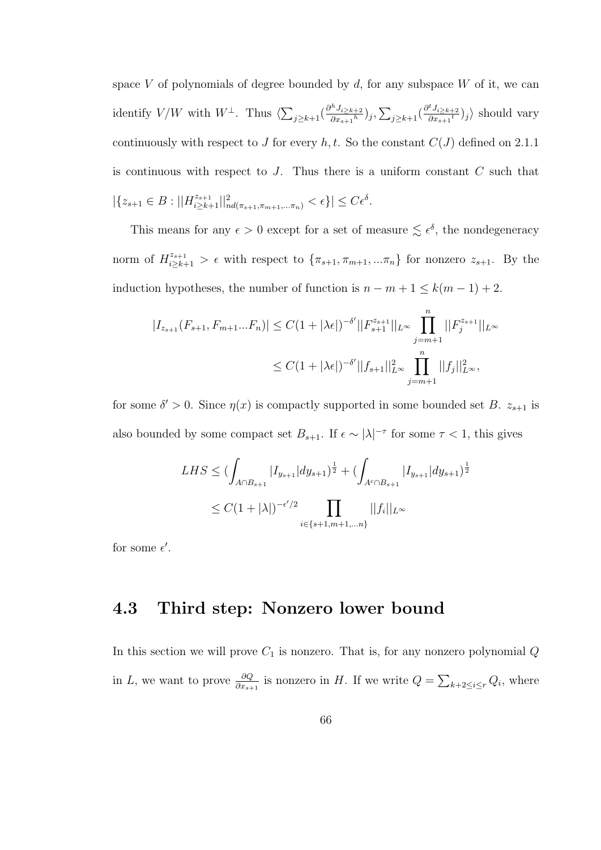space V of polynomials of degree bounded by  $d$ , for any subspace W of it, we can identify  $V/W$  with  $W^{\perp}$ . Thus  $\langle \sum_{j\geq k+1}(\frac{\partial^h J_{i\geq k+2}}{\partial x_{s+1}h}$  $\frac{\partial^h J_{i\geq k+2}}{\partial x_{s+1}{}^h})_j, \sum_{j\geq k+1}(\frac{\partial^t J_{i\geq k+2}}{\partial x_{s+1}{}^t})_j$  $\frac{rJ_{i\geq k+2}}{\partial x_{s+1}}$  ishould vary continuously with respect to J for every  $h, t$ . So the constant  $C(J)$  defined on 2.1.1 is continuous with respect to  $J$ . Thus there is a uniform constant  $C$  such that  $|\{z_{s+1}\in B:||H^{z_{s+1}}_{i\geq k+1}||^2_{nd(\pi_{s+1},\pi_{m+1},\dots,\pi_n)}<\epsilon\}|\leq C\epsilon^{\delta}.$ 

This means for any  $\epsilon > 0$  except for a set of measure  $\leq \epsilon^{\delta}$ , the nondegeneracy norm of  $H^{z_{s+1}}_{i\geq k+1} > \epsilon$  with respect to  $\{\pi_{s+1}, \pi_{m+1},...\pi_n\}$  for nonzero  $z_{s+1}$ . By the induction hypotheses, the number of function is  $n - m + 1 \leq k(m - 1) + 2$ .

$$
|I_{z_{s+1}}(F_{s+1}, F_{m+1}...F_n)| \le C(1+|\lambda\epsilon|)^{-\delta'} ||F_{s+1}^{z_{s+1}}||_{L^{\infty}} \prod_{j=m+1}^{n} ||F_j^{z_{s+1}}||_{L^{\infty}}
$$
  

$$
\le C(1+|\lambda\epsilon|)^{-\delta'} ||f_{s+1}||_{L^{\infty}}^2 \prod_{j=m+1}^{n} ||f_j||_{L^{\infty}}^2,
$$

for some  $\delta' > 0$ . Since  $\eta(x)$  is compactly supported in some bounded set B.  $z_{s+1}$  is also bounded by some compact set  $B_{s+1}$ . If  $\epsilon \sim |\lambda|^{-\tau}$  for some  $\tau < 1$ , this gives

$$
LHS \leq (\int_{A \cap B_{s+1}} |I_{y_{s+1}}| dy_{s+1})^{\frac{1}{2}} + (\int_{A^c \cap B_{s+1}} |I_{y_{s+1}}| dy_{s+1})^{\frac{1}{2}}
$$
  

$$
\leq C(1+|\lambda|)^{-\epsilon'/2} \prod_{i \in \{s+1, m+1, \dots n\}} ||f_i||_{L^{\infty}}
$$

for some  $\epsilon'$ .

### 4.3 Third step: Nonzero lower bound

In this section we will prove  $C_1$  is nonzero. That is, for any nonzero polynomial  $Q$ in L, we want to prove  $\frac{\partial Q}{\partial x_{s+1}}$  is nonzero in H. If we write  $Q = \sum_{k+2 \leq i \leq r} Q_i$ , where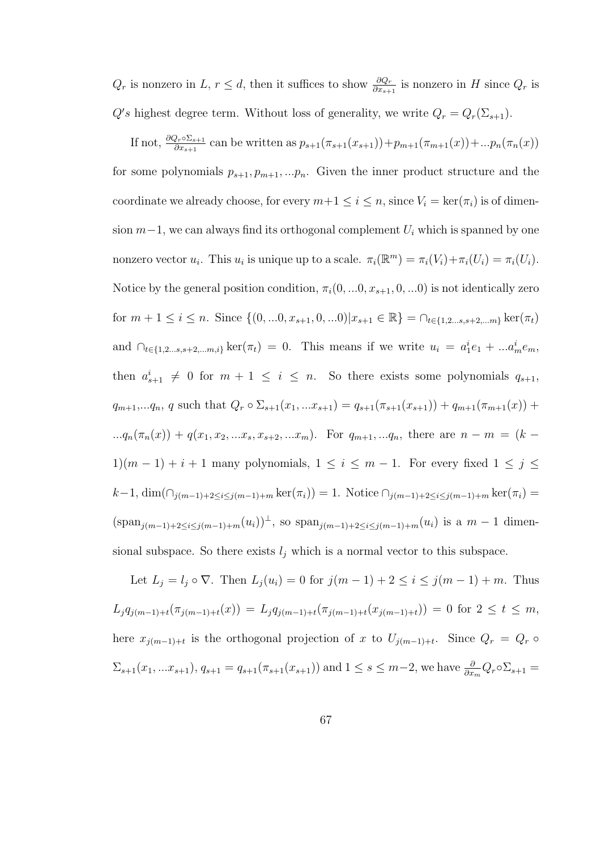$Q_r$  is nonzero in L,  $r \leq d$ , then it suffices to show  $\frac{\partial Q_r}{\partial x_{s+1}}$  is nonzero in H since  $Q_r$  is  $Q's$  highest degree term. Without loss of generality, we write  $Q_r = Q_r(\Sigma_{s+1})$ .

If not,  $\frac{\partial Q_r \circ \Sigma_{s+1}}{\partial x_{s+1}}$  can be written as  $p_{s+1}(\pi_{s+1}(x_{s+1})) + p_{m+1}(\pi_{m+1}(x)) + ... p_n(\pi_n(x))$ for some polynomials  $p_{s+1}, p_{m+1}, \ldots, p_n$ . Given the inner product structure and the coordinate we already choose, for every  $m+1 \leq i \leq n$ , since  $V_i = \ker(\pi_i)$  is of dimension  $m-1$ , we can always find its orthogonal complement  $U_i$  which is spanned by one nonzero vector  $u_i$ . This  $u_i$  is unique up to a scale.  $\pi_i(\mathbb{R}^m) = \pi_i(V_i) + \pi_i(U_i) = \pi_i(U_i)$ . Notice by the general position condition,  $\pi_i(0, \ldots, x_{s+1}, 0, \ldots, 0)$  is not identically zero for  $m + 1 \leq i \leq n$ . Since  $\{(0, ...0, x_{s+1}, 0, ...0)|x_{s+1} \in \mathbb{R}\}\ = \cap_{t \in \{1, 2, ..., s, s+2, ...m\}} \ker(\pi_t)$ and  $\bigcap_{t \in \{1, 2, ..., s, s+2, ..., m, i\}} \ker(\pi_t) = 0$ . This means if we write  $u_i = a_1^i e_1 + ... a_m^i e_m$ , then  $a_{s+1}^i \neq 0$  for  $m+1 \leq i \leq n$ . So there exists some polynomials  $q_{s+1}$ ,  $q_{m+1},...q_n, q$  such that  $Q_r \circ \Sigma_{s+1}(x_1,...x_{s+1}) = q_{s+1}(\pi_{s+1}(x_{s+1})) + q_{m+1}(\pi_{m+1}(x)) +$ ... $q_n(\pi_n(x)) + q(x_1, x_2, ... x_s, x_{s+2}, ... x_m)$ . For  $q_{m+1}, ... q_n$ , there are  $n - m = (k -$ 1) $(m - 1) + i + 1$  many polynomials,  $1 \le i \le m - 1$ . For every fixed  $1 \le j \le$  $k-1, \dim(\bigcap_{j(m-1)+2\leq i\leq j(m-1)+m} \ker(\pi_i)) = 1.$  Notice  $\bigcap_{j(m-1)+2\leq i\leq j(m-1)+m} \ker(\pi_i) =$  $(\text{span}_{j(m-1)+2\leq i\leq j(m-1)+m}(u_i))^{\perp}$ , so  $\text{span}_{j(m-1)+2\leq i\leq j(m-1)+m}(u_i)$  is a  $m-1$  dimensional subspace. So there exists  $l_i$  which is a normal vector to this subspace.

Let  $L_j = l_j \circ \nabla$ . Then  $L_j(u_i) = 0$  for  $j(m-1) + 2 \le i \le j(m-1) + m$ . Thus  $L_j q_{j(m-1)+t}(\pi_{j(m-1)+t}(x)) = L_j q_{j(m-1)+t}(\pi_{j(m-1)+t}(x_{j(m-1)+t})) = 0$  for  $2 \le t \le m$ , here  $x_{j(m-1)+t}$  is the orthogonal projection of x to  $U_{j(m-1)+t}$ . Since  $Q_r = Q_r$  $\Sigma_{s+1}(x_1,...x_{s+1}), q_{s+1} = q_{s+1}(\pi_{s+1}(x_{s+1}))$  and  $1 \le s \le m-2$ , we have  $\frac{\partial}{\partial x_m} Q_r \circ \Sigma_{s+1} =$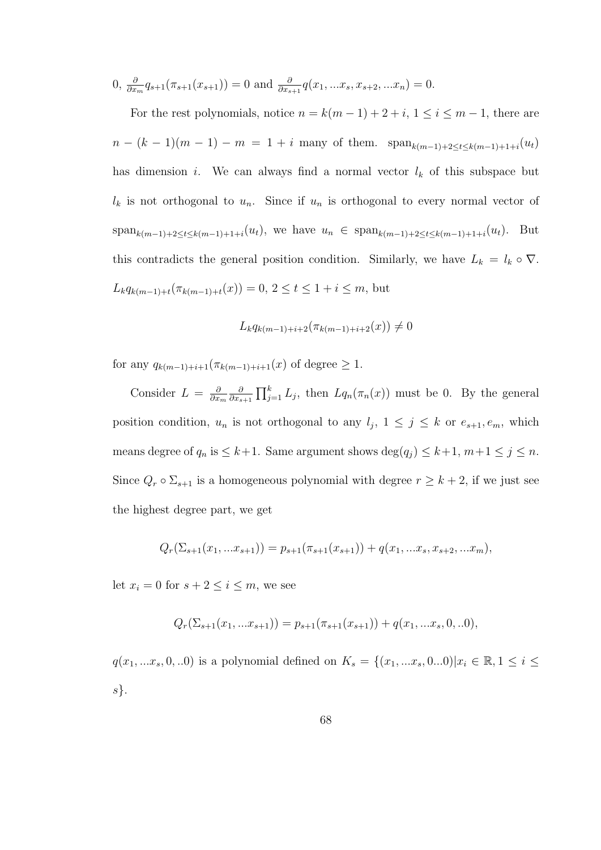$$
0, \frac{\partial}{\partial x_m} q_{s+1}(\pi_{s+1}(x_{s+1})) = 0 \text{ and } \frac{\partial}{\partial x_{s+1}} q(x_1, \dots, x_s, x_{s+2}, \dots, x_n) = 0.
$$

For the rest polynomials, notice  $n = k(m-1) + 2 + i$ ,  $1 \le i \le m-1$ , there are  $n - (k-1)(m-1) - m = 1 + i$  many of them.  $\text{span}_{k(m-1)+2 \leq t \leq k(m-1)+1+i}(u_t)$ has dimension i. We can always find a normal vector  $l_k$  of this subspace but  $l_k$  is not orthogonal to  $u_n$ . Since if  $u_n$  is orthogonal to every normal vector of span<sub>k(m−1)+2≤t≤k(m−1)+1+i</sub>(u<sub>t</sub>), we have  $u_n \in \text{span}_{k(m-1)+2 \le t \le k(m-1)+1+i}(u_t)$ . But this contradicts the general position condition. Similarly, we have  $L_k = l_k \circ \nabla$ .  $L_k q_{k(m-1)+t}(\pi_{k(m-1)+t}(x)) = 0, 2 \le t \le 1 + i \le m$ , but

$$
L_k q_{k(m-1)+i+2}(\pi_{k(m-1)+i+2}(x)) \neq 0
$$

for any  $q_{k(m-1)+i+1}(\pi_{k(m-1)+i+1}(x))$  of degree  $\geq 1$ .

Consider  $L = \frac{\partial}{\partial x}$  $\partial x_m$ ∂  $\frac{\partial}{\partial x_{s+1}} \prod_{j=1}^{k} L_j$ , then  $Lq_n(\pi_n(x))$  must be 0. By the general position condition,  $u_n$  is not orthogonal to any  $l_j$ ,  $1 \leq j \leq k$  or  $e_{s+1}, e_m$ , which means degree of  $q_n$  is  $\leq k+1$ . Same argument shows  $\deg(q_j) \leq k+1$ ,  $m+1 \leq j \leq n$ . Since  $Q_r \circ \Sigma_{s+1}$  is a homogeneous polynomial with degree  $r \geq k+2$ , if we just see the highest degree part, we get

$$
Q_r(\Sigma_{s+1}(x_1,...x_{s+1})) = p_{s+1}(\pi_{s+1}(x_{s+1})) + q(x_1,...x_s,x_{s+2},...x_m),
$$

let  $x_i = 0$  for  $s + 2 \leq i \leq m$ , we see

$$
Q_r(\Sigma_{s+1}(x_1,...x_{s+1})) = p_{s+1}(\pi_{s+1}(x_{s+1})) + q(x_1,...x_s, 0, ...0),
$$

 $q(x_1, ... x_s, 0, ...0)$  is a polynomial defined on  $K_s = \{(x_1, ... x_s, 0...0) | x_i \in \mathbb{R}, 1 \le i \le n \}$ s}.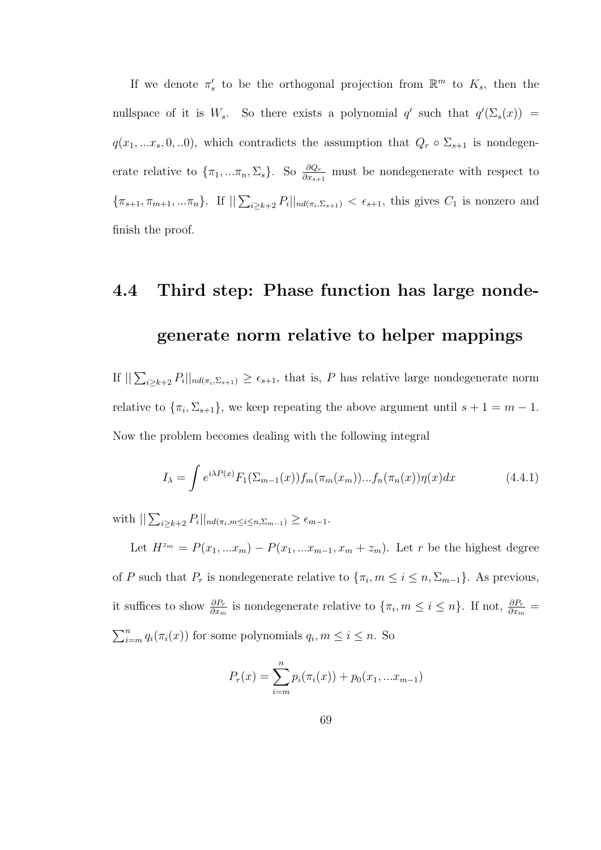If we denote  $\pi'_s$  to be the orthogonal projection from  $\mathbb{R}^m$  to  $K_s$ , then the nullspace of it is  $W_s$ . So there exists a polynomial q' such that  $q'(\Sigma_s(x))$  =  $q(x_1, ... x_s, 0, ...0)$ , which contradicts the assumption that  $Q_r \circ \Sigma_{s+1}$  is nondegenerate relative to  $\{\pi_1, ..., \pi_n, \Sigma_s\}$ . So  $\frac{\partial Q_r}{\partial x_{s+1}}$  must be nondegenerate with respect to  $\{\pi_{s+1}, \pi_{m+1},...\pi_n\}$ . If  $\sum_{i\geq k+2} P_i||_{nd(\pi_i,\Sigma_{s+1})} < \epsilon_{s+1}$ , this gives  $C_1$  is nonzero and finish the proof.

# 4.4 Third step: Phase function has large nondegenerate norm relative to helper mappings

If  $\sum_{i\geq k+2} P_i||_{nd(\pi_i,\Sigma_{s+1})} \geq \epsilon_{s+1}$ , that is, P has relative large nondegenerate norm relative to  $\{\pi_i, \Sigma_{s+1}\}\)$ , we keep repeating the above argument until  $s+1=m-1$ . Now the problem becomes dealing with the following integral

$$
I_{\lambda} = \int e^{i\lambda P(x)} F_1(\Sigma_{m-1}(x)) f_m(\pi_m(x_m)) \dots f_n(\pi_n(x)) \eta(x) dx \qquad (4.4.1)
$$

with  $\sum_{i\geq k+2} P_i ||_{nd(\pi_i, m \leq i \leq n, \Sigma_{m-1})} \geq \epsilon_{m-1}.$ 

Let  $H^{z_m} = P(x_1, ... x_m) - P(x_1, ... x_{m-1}, x_m + z_m)$ . Let r be the highest degree of P such that  $P_r$  is nondegenerate relative to  $\{\pi_i, m \leq i \leq n, \Sigma_{m-1}\}\)$ . As previous, it suffices to show  $\frac{\partial P_r}{\partial x_m}$  is nondegenerate relative to  $\{\pi_i, m \leq i \leq n\}$ . If not,  $\frac{\partial P_r}{\partial x_m}$  $\sum_{i=m}^{n} q_i(\pi_i(x))$  for some polynomials  $q_i, m \leq i \leq n$ . So

$$
P_r(x) = \sum_{i=m}^{n} p_i(\pi_i(x)) + p_0(x_1, ... x_{m-1})
$$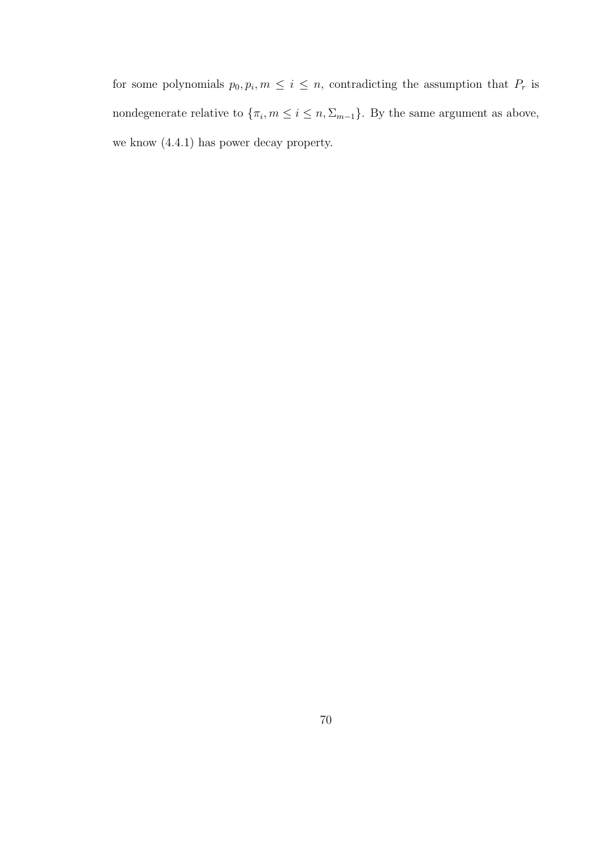for some polynomials  $p_0, p_i, m \leq i \leq n$ , contradicting the assumption that  $P_r$  is nondegenerate relative to  $\{\pi_i, m \leq i \leq n, \Sigma_{m-1}\}$ . By the same argument as above, we know (4.4.1) has power decay property.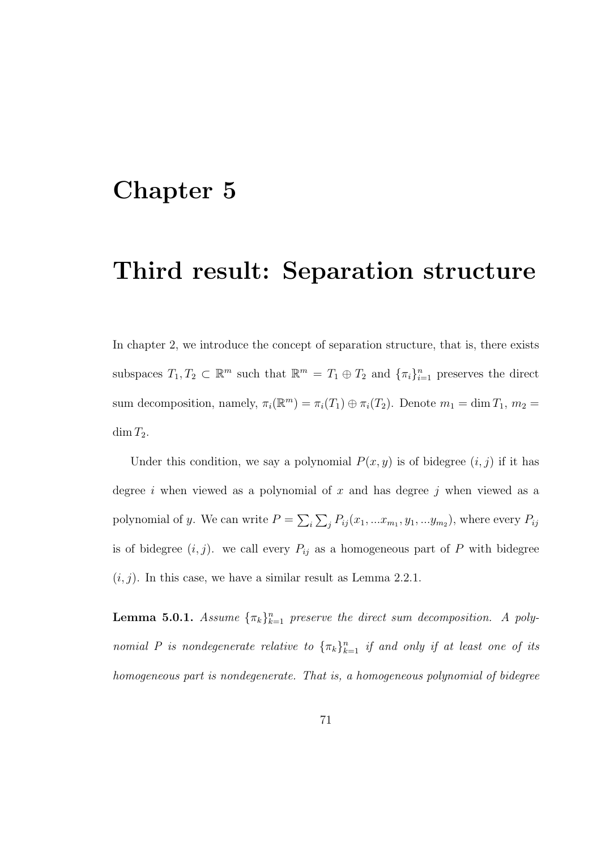## Chapter 5

### Third result: Separation structure

In chapter 2, we introduce the concept of separation structure, that is, there exists subspaces  $T_1, T_2 \subset \mathbb{R}^m$  such that  $\mathbb{R}^m = T_1 \oplus T_2$  and  $\{\pi_i\}_{i=1}^n$  preserves the direct sum decomposition, namely,  $\pi_i(\mathbb{R}^m) = \pi_i(T_1) \oplus \pi_i(T_2)$ . Denote  $m_1 = \dim T_1$ ,  $m_2 =$  $\dim T_2$ .

Under this condition, we say a polynomial  $P(x, y)$  is of bidegree  $(i, j)$  if it has degree i when viewed as a polynomial of  $x$  and has degree j when viewed as a polynomial of y. We can write  $P = \sum_i \sum_j P_{ij}(x_1, ... x_{m_1}, y_1, ... y_{m_2})$ , where every  $P_{ij}$ is of bidegree  $(i, j)$ . we call every  $P_{ij}$  as a homogeneous part of P with bidegree  $(i, j)$ . In this case, we have a similar result as Lemma 2.2.1.

**Lemma 5.0.1.** Assume  $\{\pi_k\}_{k=1}^n$  preserve the direct sum decomposition. A polynomial P is nondegenerate relative to  $\{\pi_k\}_{k=1}^n$  if and only if at least one of its homogeneous part is nondegenerate. That is, a homogeneous polynomial of bidegree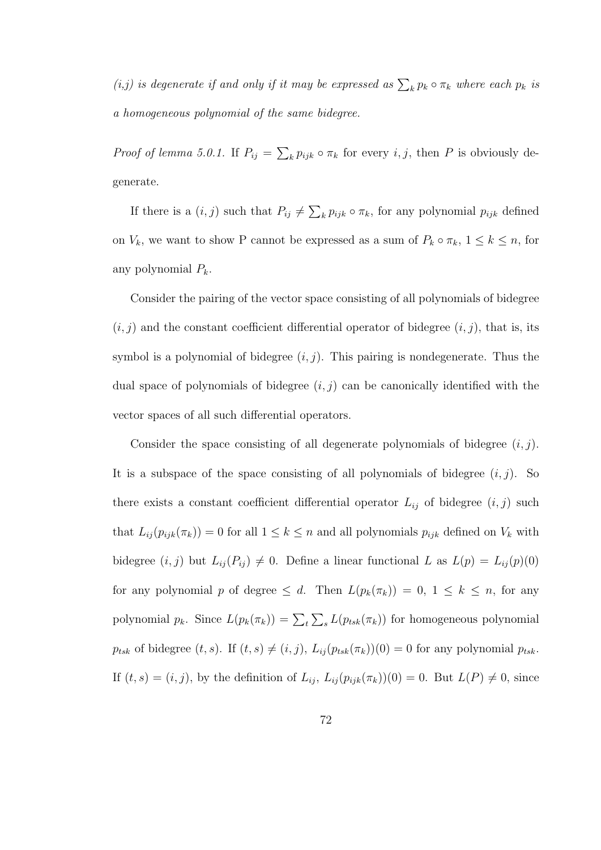(*i,j*) is degenerate if and only if it may be expressed as  $\sum_k p_k \circ \pi_k$  where each  $p_k$  is a homogeneous polynomial of the same bidegree.

*Proof of lemma 5.0.1.* If  $P_{ij} = \sum_k p_{ijk} \circ \pi_k$  for every i, j, then P is obviously degenerate.

If there is a  $(i, j)$  such that  $P_{ij} \neq \sum_k p_{ijk} \circ \pi_k$ , for any polynomial  $p_{ijk}$  defined on  $V_k$ , we want to show P cannot be expressed as a sum of  $P_k \circ \pi_k$ ,  $1 \leq k \leq n$ , for any polynomial  $P_k$ .

Consider the pairing of the vector space consisting of all polynomials of bidegree  $(i, j)$  and the constant coefficient differential operator of bidegree  $(i, j)$ , that is, its symbol is a polynomial of bidegree  $(i, j)$ . This pairing is nondegenerate. Thus the dual space of polynomials of bidegree  $(i, j)$  can be canonically identified with the vector spaces of all such differential operators.

Consider the space consisting of all degenerate polynomials of bidegree  $(i, j)$ . It is a subspace of the space consisting of all polynomials of bidegree  $(i, j)$ . So there exists a constant coefficient differential operator  $L_{ij}$  of bidegree  $(i, j)$  such that  $L_{ij}(p_{ijk}(\pi_k)) = 0$  for all  $1 \leq k \leq n$  and all polynomials  $p_{ijk}$  defined on  $V_k$  with bidegree  $(i, j)$  but  $L_{ij}(P_{ij}) \neq 0$ . Define a linear functional L as  $L(p) = L_{ij}(p)(0)$ for any polynomial p of degree  $\leq d$ . Then  $L(p_k(\pi_k)) = 0, 1 \leq k \leq n$ , for any polynomial  $p_k$ . Since  $L(p_k(\pi_k)) = \sum_{t} \sum_{s} L(p_{tsk}(\pi_k))$  for homogeneous polynomial  $p_{tsk}$  of bidegree  $(t, s)$ . If  $(t, s) \neq (i, j)$ ,  $L_{ij} (p_{tsk}(\pi_k))(0) = 0$  for any polynomial  $p_{tsk}$ . If  $(t, s) = (i, j)$ , by the definition of  $L_{ij}$ ,  $L_{ij}(p_{ijk}(\pi_k))(0) = 0$ . But  $L(P) \neq 0$ , since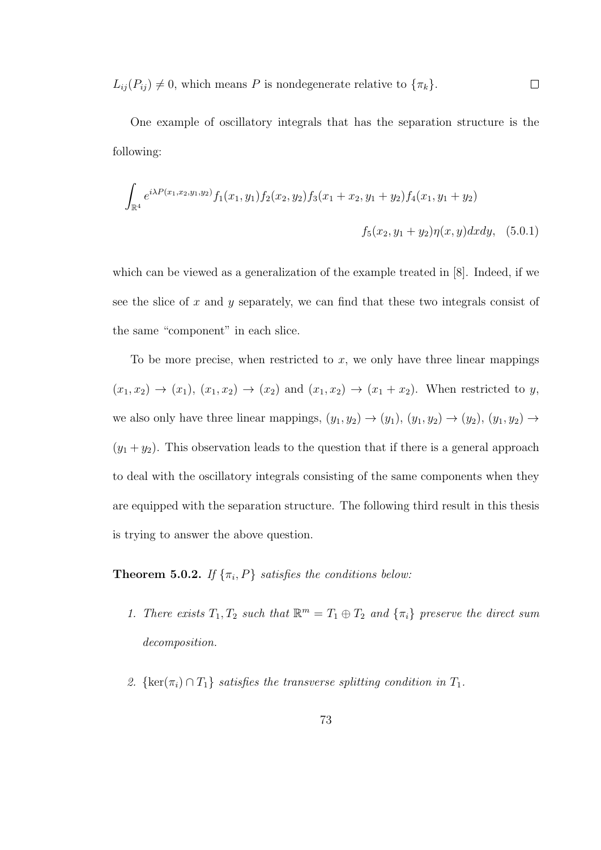$L_{ij}(P_{ij}) \neq 0$ , which means P is nondegenerate relative to  $\{\pi_k\}.$  $\Box$ 

One example of oscillatory integrals that has the separation structure is the following:

$$
\int_{\mathbb{R}^4} e^{i\lambda P(x_1, x_2, y_1, y_2)} f_1(x_1, y_1) f_2(x_2, y_2) f_3(x_1 + x_2, y_1 + y_2) f_4(x_1, y_1 + y_2)
$$
  

$$
f_5(x_2, y_1 + y_2) \eta(x, y) dx dy, \quad (5.0.1)
$$

which can be viewed as a generalization of the example treated in [8]. Indeed, if we see the slice of x and y separately, we can find that these two integrals consist of the same "component" in each slice.

To be more precise, when restricted to  $x$ , we only have three linear mappings  $(x_1, x_2) \rightarrow (x_1), (x_1, x_2) \rightarrow (x_2)$  and  $(x_1, x_2) \rightarrow (x_1 + x_2)$ . When restricted to y, we also only have three linear mappings,  $(y_1, y_2) \rightarrow (y_1), (y_1, y_2) \rightarrow (y_2), (y_1, y_2) \rightarrow$  $(y_1 + y_2)$ . This observation leads to the question that if there is a general approach to deal with the oscillatory integrals consisting of the same components when they are equipped with the separation structure. The following third result in this thesis is trying to answer the above question.

**Theorem 5.0.2.** If  $\{\pi_i, P\}$  satisfies the conditions below:

- 1. There exists  $T_1, T_2$  such that  $\mathbb{R}^m = T_1 \oplus T_2$  and  $\{\pi_i\}$  preserve the direct sum decomposition.
- 2. { $\ker(\pi_i) \cap T_1$ } satisfies the transverse splitting condition in  $T_1$ .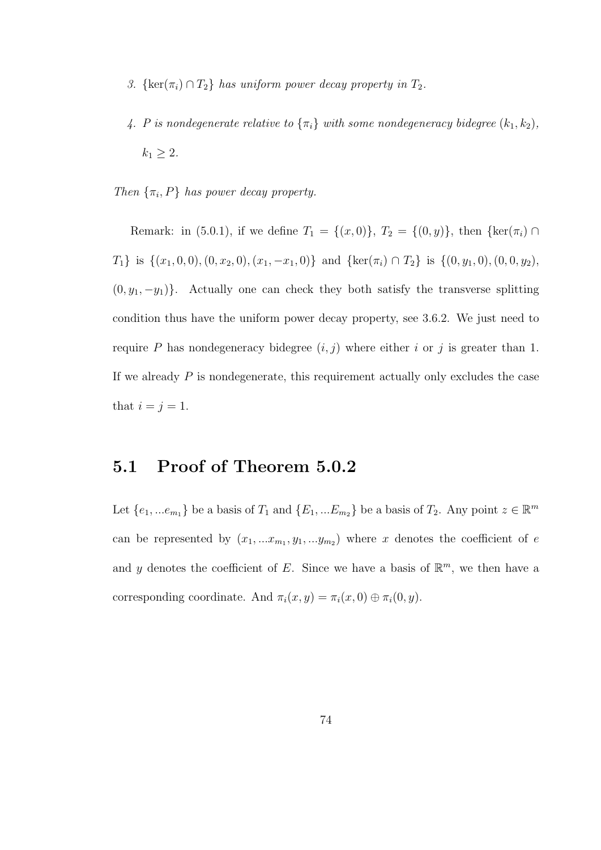- 3. { $\ker(\pi_i) \cap T_2$ } has uniform power decay property in  $T_2$ .
- 4. P is nondegenerate relative to  $\{\pi_i\}$  with some nondegeneracy bidegree  $(k_1, k_2)$ ,  $k_1 \geq 2$ .
- Then  $\{\pi_i, P\}$  has power decay property.

Remark: in (5.0.1), if we define  $T_1 = \{(x, 0)\}, T_2 = \{(0, y)\},$  then  $\{\ker(\pi_i) \cap$  $T_1$ } is  $\{(x_1, 0, 0), (0, x_2, 0), (x_1, -x_1, 0)\}$  and  $\{\ker(\pi_i) \cap T_2\}$  is  $\{(0, y_1, 0), (0, 0, y_2),$  $(0, y_1, -y_1)$ . Actually one can check they both satisfy the transverse splitting condition thus have the uniform power decay property, see 3.6.2. We just need to require P has nondegeneracy bidegree  $(i, j)$  where either i or j is greater than 1. If we already  $P$  is nondegenerate, this requirement actually only excludes the case that  $i = j = 1$ .

### 5.1 Proof of Theorem 5.0.2

Let  $\{e_1, ... e_{m_1}\}\$  be a basis of  $T_1$  and  $\{E_1, ... E_{m_2}\}\$  be a basis of  $T_2$ . Any point  $z \in \mathbb{R}^m$ can be represented by  $(x_1, ... x_{m_1}, y_1, ... y_{m_2})$  where x denotes the coefficient of e and y denotes the coefficient of E. Since we have a basis of  $\mathbb{R}^m$ , we then have a corresponding coordinate. And  $\pi_i(x, y) = \pi_i(x, 0) \oplus \pi_i(0, y)$ .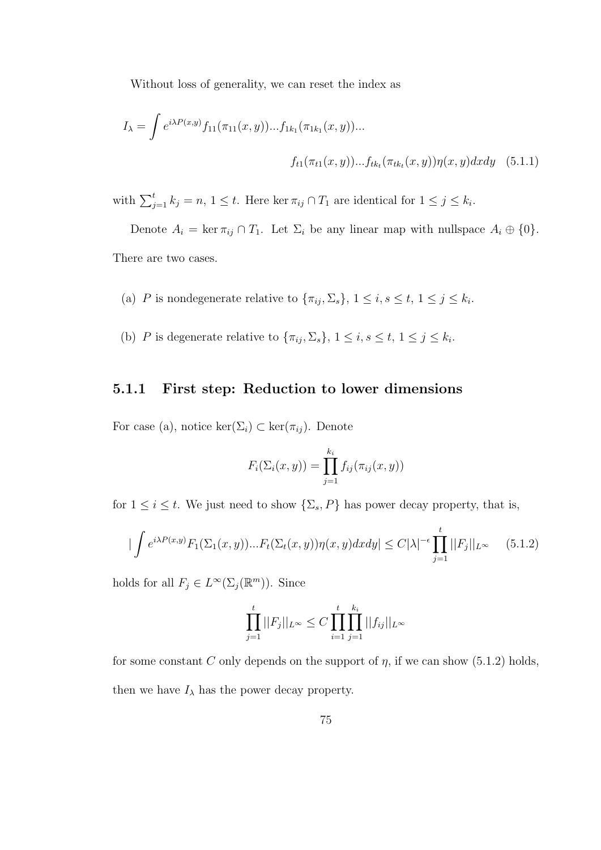Without loss of generality, we can reset the index as

$$
I_{\lambda} = \int e^{i\lambda P(x,y)} f_{11}(\pi_{11}(x,y))...f_{1k_1}(\pi_{1k_1}(x,y))...
$$

$$
f_{t1}(\pi_{t1}(x,y))...f_{tk_t}(\pi_{tk_t}(x,y))\eta(x,y)dxdy \quad (5.1.1)
$$

with  $\sum_{j=1}^t k_j = n, 1 \leq t$ . Here ker  $\pi_{ij} \cap T_1$  are identical for  $1 \leq j \leq k_i$ .

Denote  $A_i = \ker \pi_{ij} \cap T_1$ . Let  $\Sigma_i$  be any linear map with nullspace  $A_i \oplus \{0\}$ . There are two cases.

- (a) P is nondegenerate relative to  $\{\pi_{ij}, \Sigma_s\}, 1 \leq i, s \leq t, 1 \leq j \leq k_i$ .
- (b) P is degenerate relative to  $\{\pi_{ij}, \Sigma_s\}, 1 \leq i, s \leq t, 1 \leq j \leq k_i$ .

#### 5.1.1 First step: Reduction to lower dimensions

For case (a), notice  $\ker(\Sigma_i) \subset \ker(\pi_{ij})$ . Denote

$$
F_i(\Sigma_i(x,y)) = \prod_{j=1}^{k_i} f_{ij}(\pi_{ij}(x,y))
$$

for  $1 \leq i \leq t$ . We just need to show  $\{\Sigma_s, P\}$  has power decay property, that is,

$$
|\int e^{i\lambda P(x,y)} F_1(\Sigma_1(x,y))...F_t(\Sigma_t(x,y))\eta(x,y)dxdy| \leq C|\lambda|^{-\epsilon}\prod_{j=1}^t ||F_j||_{L^\infty}
$$
 (5.1.2)

holds for all  $F_j \in L^{\infty}(\Sigma_j(\mathbb{R}^m))$ . Since

$$
\prod_{j=1}^t ||F_j||_{L^{\infty}} \leq C \prod_{i=1}^t \prod_{j=1}^{k_i} ||f_{ij}||_{L^{\infty}}
$$

for some constant C only depends on the support of  $\eta$ , if we can show (5.1.2) holds, then we have  $I_{\lambda}$  has the power decay property.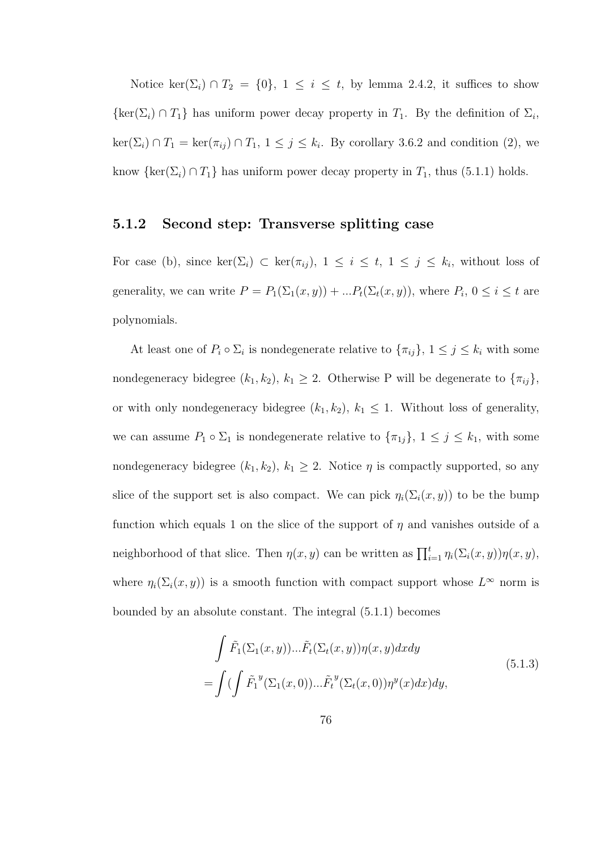Notice ker( $\Sigma_i$ ) ∩  $T_2 = \{0\}$ , 1 ≤ i ≤ t, by lemma 2.4.2, it suffices to show  $\{\ker(\Sigma_i) \cap T_1\}$  has uniform power decay property in  $T_1$ . By the definition of  $\Sigma_i$ ,  $\ker(\Sigma_i) \cap T_1 = \ker(\pi_{ij}) \cap T_1$ ,  $1 \leq j \leq k_i$ . By corollary 3.6.2 and condition (2), we know  $\{\ker(\Sigma_i) \cap T_1\}$  has uniform power decay property in  $T_1$ , thus (5.1.1) holds.

#### 5.1.2 Second step: Transverse splitting case

For case (b), since  $\ker(\Sigma_i) \subset \ker(\pi_{ij}), 1 \leq i \leq t, 1 \leq j \leq k_i$ , without loss of generality, we can write  $P = P_1(\Sigma_1(x, y)) + ... P_t(\Sigma_t(x, y))$ , where  $P_i$ ,  $0 \le i \le t$  are polynomials.

At least one of  $P_i \circ \Sigma_i$  is nondegenerate relative to  $\{\pi_{ij}\}, 1 \leq j \leq k_i$  with some nondegeneracy bidegree  $(k_1, k_2)$ ,  $k_1 \geq 2$ . Otherwise P will be degenerate to  $\{\pi_{ij}\},$ or with only nondegeneracy bidegree  $(k_1, k_2)$ ,  $k_1 \leq 1$ . Without loss of generality, we can assume  $P_1 \circ \Sigma_1$  is nondegenerate relative to  $\{\pi_{1j}\}, 1 \le j \le k_1$ , with some nondegeneracy bidegree  $(k_1, k_2)$ ,  $k_1 \geq 2$ . Notice  $\eta$  is compactly supported, so any slice of the support set is also compact. We can pick  $\eta_i(\Sigma_i(x, y))$  to be the bump function which equals 1 on the slice of the support of  $\eta$  and vanishes outside of a neighborhood of that slice. Then  $\eta(x, y)$  can be written as  $\prod_{i=1}^{t} \eta_i(\Sigma_i(x, y))\eta(x, y)$ , where  $\eta_i(\Sigma_i(x, y))$  is a smooth function with compact support whose  $L^{\infty}$  norm is bounded by an absolute constant. The integral (5.1.1) becomes

$$
\int \tilde{F}_1(\Sigma_1(x, y))...\tilde{F}_t(\Sigma_t(x, y))\eta(x, y)dxdy
$$
\n
$$
= \int (\int \tilde{F}_1^y(\Sigma_1(x, 0))...\tilde{F}_t^y(\Sigma_t(x, 0))\eta^y(x)dx)dy,
$$
\n(5.1.3)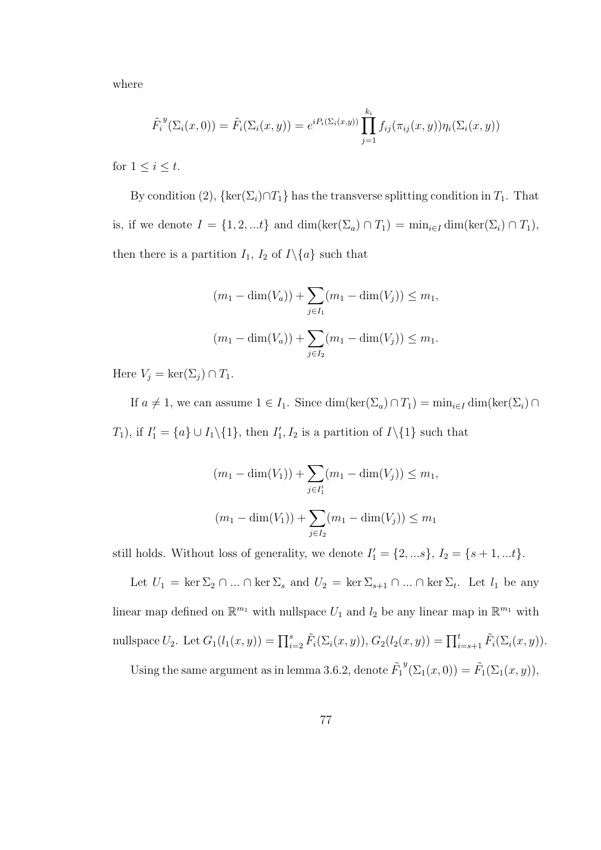where

$$
\tilde{F}_i^y(\Sigma_i(x,0)) = \tilde{F}_i(\Sigma_i(x,y)) = e^{i P_i(\Sigma_i(x,y))} \prod_{j=1}^{k_i} f_{ij}(\pi_{ij}(x,y)) \eta_i(\Sigma_i(x,y))
$$

for  $1 \leq i \leq t$ .

By condition (2),  $\{\ker(\Sigma_i) \cap T_1\}$  has the transverse splitting condition in  $T_1$ . That is, if we denote  $I = \{1, 2, ...t\}$  and  $\dim(\ker(\Sigma_a) \cap T_1) = \min_{i \in I} \dim(\ker(\Sigma_i) \cap T_1),$ then there is a partition  $I_1$ ,  $I_2$  of  $I \setminus \{a\}$  such that

$$
(m_1 - \dim(V_a)) + \sum_{j \in I_1} (m_1 - \dim(V_j)) \le m_1,
$$
  

$$
(m_1 - \dim(V_a)) + \sum_{j \in I_2} (m_1 - \dim(V_j)) \le m_1.
$$

Here  $V_j = \ker(\Sigma_j) \cap T_1$ .

If  $a \neq 1$ , we can assume  $1 \in I_1$ . Since  $\dim(\ker(\Sigma_a) \cap T_1) = \min_{i \in I} \dim(\ker(\Sigma_i) \cap T_1)$  $T_1$ ), if  $I'_1 = \{a\} \cup I_1 \setminus \{1\}$ , then  $I'_1, I_2$  is a partition of  $I \setminus \{1\}$  such that

$$
(m_1 - \dim(V_1)) + \sum_{j \in I'_1} (m_1 - \dim(V_j)) \le m_1,
$$
  

$$
(m_1 - \dim(V_1)) + \sum_{j \in I_2} (m_1 - \dim(V_j)) \le m_1
$$

still holds. Without loss of generality, we denote  $I'_1 = \{2, \ldots s\}, I_2 = \{s+1, \ldots t\}.$ 

Let  $U_1 = \ker \Sigma_2 \cap ... \cap \ker \Sigma_s$  and  $U_2 = \ker \Sigma_{s+1} \cap ... \cap \ker \Sigma_t$ . Let  $l_1$  be any linear map defined on  $\mathbb{R}^{m_1}$  with nullspace  $U_1$  and  $l_2$  be any linear map in  $\mathbb{R}^{m_1}$  with nullspace  $U_2$ . Let  $G_1(l_1(x, y)) = \prod_{i=2}^s \tilde{F}_i(\Sigma_i(x, y)), G_2(l_2(x, y)) = \prod_{i=s+1}^t \tilde{F}_i(\Sigma_i(x, y)).$ 

Using the same argument as in lemma 3.6.2, denote  $\tilde{F}_1$  $^{y}(\Sigma_{1}(x,0)) = \tilde{F}_{1}(\Sigma_{1}(x,y)),$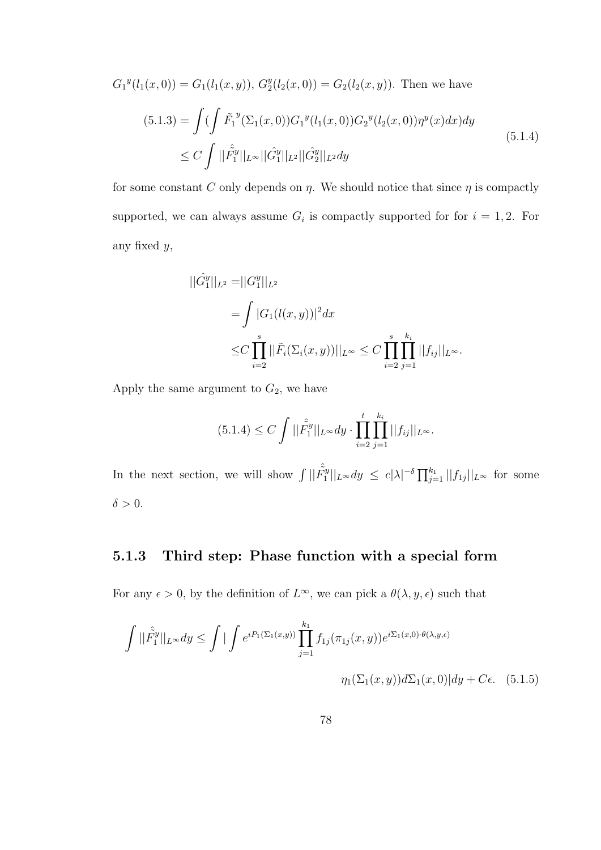$$
G_1^y(l_1(x,0)) = G_1(l_1(x,y)), G_2^y(l_2(x,0)) = G_2(l_2(x,y)). \text{ Then we have}
$$
  
(5.1.3) = 
$$
\int (\int \tilde{F}_1^y(\Sigma_1(x,0))G_1^y(l_1(x,0))G_2^y(l_2(x,0))\eta^y(x)dx)dy
$$

$$
\leq C \int ||\tilde{F}_1^y||_{L^{\infty}} ||\tilde{G}_1^y||_{L^2} ||\tilde{G}_2^y||_{L^2}dy
$$
(5.1.4)

for some constant C only depends on  $\eta$ . We should notice that since  $\eta$  is compactly supported, we can always assume  $G_i$  is compactly supported for for  $i = 1, 2$ . For any fixed y,

$$
\begin{aligned} ||\hat{G}_1^y||_{L^2} &= ||G_1^y||_{L^2} \\ &= \int |G_1(l(x,y))|^2 dx \\ &\leq & C \prod_{i=2}^s ||\tilde{F}_i(\Sigma_i(x,y))||_{L^\infty} \leq & C \prod_{i=2}^s \prod_{j=1}^{k_i} ||f_{ij}||_{L^\infty} .\end{aligned}
$$

Apply the same argument to  $G_2$ , we have

$$
(5.1.4) \le C \int ||\hat{\tilde{F}}_1^y||_{L^\infty} dy \cdot \prod_{i=2}^t \prod_{j=1}^{k_i} ||f_{ij}||_{L^\infty}.
$$

In the next section, we will show  $\int ||\hat{F}_1^{\hat{y}}||$  $\|\tilde{f}_1^y\|_{L^\infty}dy \ \le\ c|\lambda|^{-\delta}\prod_{j=1}^{k_1}||f_{1j}||_{L^\infty}\ \ \text{for\ some}$  $\delta > 0$ .

#### 5.1.3 Third step: Phase function with a special form

For any  $\epsilon > 0$ , by the definition of  $L^{\infty}$ , we can pick a  $\theta(\lambda, y, \epsilon)$  such that

$$
\int ||\hat{F}_1^y||_{L^\infty} dy \le \int \left| \int e^{iP_1(\Sigma_1(x,y))} \prod_{j=1}^{k_1} f_{1j}(\pi_{1j}(x,y)) e^{i\Sigma_1(x,0) \cdot \theta(\lambda,y,\epsilon)} \right|
$$

$$
\eta_1(\Sigma_1(x,y)) d\Sigma_1(x,0) | dy + C\epsilon. \quad (5.1.5)
$$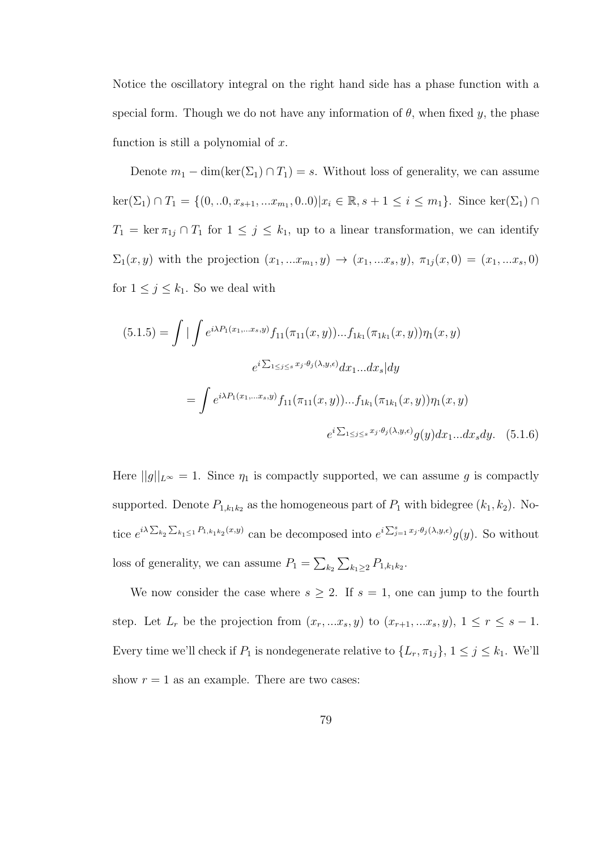Notice the oscillatory integral on the right hand side has a phase function with a special form. Though we do not have any information of  $\theta$ , when fixed y, the phase function is still a polynomial of  $x$ .

Denote  $m_1 - \dim(\ker(\Sigma_1) \cap T_1) = s$ . Without loss of generality, we can assume  $\ker(\Sigma_1) \cap T_1 = \{(0, ...0, x_{s+1}, ... x_{m_1}, 0..0) | x_i \in \mathbb{R}, s+1 \le i \le m_1\}.$  Since  $\ker(\Sigma_1) \cap$  $T_1 = \ker \pi_{1j} \cap T_1$  for  $1 \leq j \leq k_1$ , up to a linear transformation, we can identify  $\Sigma_1(x, y)$  with the projection  $(x_1, ... x_{m_1}, y) \to (x_1, ... x_s, y), \pi_{1j}(x, 0) = (x_1, ... x_s, 0)$ for  $1 \leq j \leq k_1$ . So we deal with

$$
(5.1.5) = \int \left| \int e^{i\lambda P_1(x_1,...x_s,y)} f_{11}(\pi_{11}(x,y))...f_{1k_1}(\pi_{1k_1}(x,y)) \eta_1(x,y) \right|
$$
  

$$
e^{i \sum_{1 \le j \le s} x_j \cdot \theta_j(\lambda,y,\epsilon)} dx_1...dx_s| dy
$$
  

$$
= \int e^{i\lambda P_1(x_1,...x_s,y)} f_{11}(\pi_{11}(x,y))...f_{1k_1}(\pi_{1k_1}(x,y)) \eta_1(x,y)
$$
  

$$
e^{i \sum_{1 \le j \le s} x_j \cdot \theta_j(\lambda,y,\epsilon)} g(y) dx_1...dx_s dy. \quad (5.1.6)
$$

Here  $||g||_{L^{\infty}} = 1$ . Since  $\eta_1$  is compactly supported, we can assume g is compactly supported. Denote  $P_{1,k_1k_2}$  as the homogeneous part of  $P_1$  with bidegree  $(k_1, k_2)$ . Notice  $e^{i\lambda \sum_{k_2} \sum_{k_1 \leq 1} P_{1,k_1k_2}(x,y)}$  can be decomposed into  $e^{i \sum_{j=1}^s x_j \cdot \theta_j(\lambda,y,\epsilon)} g(y)$ . So without loss of generality, we can assume  $P_1 = \sum_{k_2} \sum_{k_1 \geq 2} P_{1,k_1k_2}$ .

We now consider the case where  $s \geq 2$ . If  $s = 1$ , one can jump to the fourth step. Let  $L_r$  be the projection from  $(x_r, ...x_s, y)$  to  $(x_{r+1}, ...x_s, y), 1 \leq r \leq s-1$ . Every time we'll check if  $P_1$  is nondegenerate relative to  $\{L_r, \pi_{1j}\}, 1 \le j \le k_1$ . We'll show  $r = 1$  as an example. There are two cases: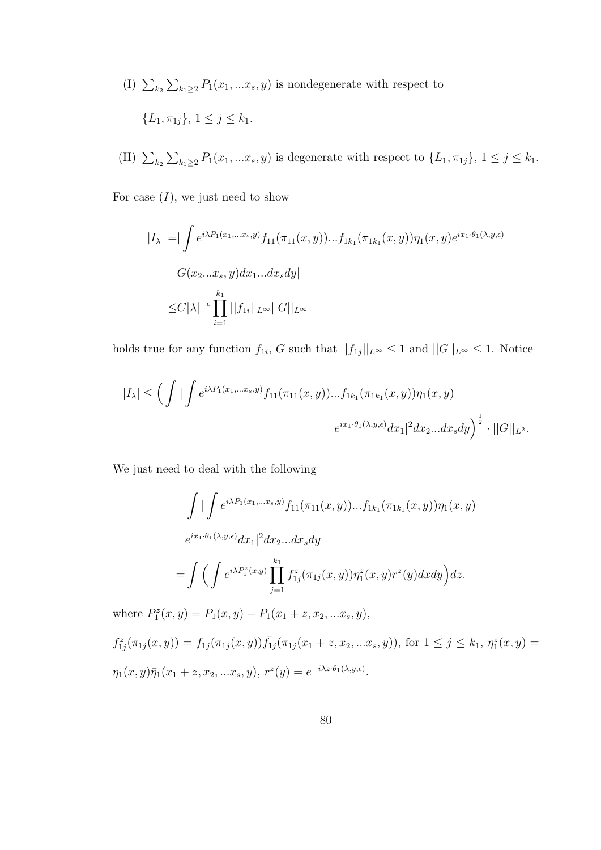- (I)  $\sum_{k_2} \sum_{k_1 \geq 2} P_1(x_1, \ldots, x_s, y)$  is nondegenerate with respect to  ${L_1, \pi_{1j}}, 1 \leq j \leq k_1.$
- (II)  $\sum_{k_2} \sum_{k_1 \geq 2} P_1(x_1, ... x_s, y)$  is degenerate with respect to  $\{L_1, \pi_{1j}\}, 1 \leq j \leq k_1$ .

For case  $(I)$ , we just need to show

$$
|I_{\lambda}| = \left| \int e^{i\lambda P_1(x_1, \dots, x_s, y)} f_{11}(\pi_{11}(x, y)) \dots f_{1k_1}(\pi_{1k_1}(x, y)) \eta_1(x, y) e^{ix_1 \cdot \theta_1(\lambda, y, \epsilon)} \right|
$$
  

$$
G(x_2, \dots, x_s, y) dx_1 \dots dx_s dy \right|
$$
  

$$
\leq C |\lambda|^{-\epsilon} \prod_{i=1}^{k_1} ||f_{1i}||_{L^{\infty}} ||G||_{L^{\infty}}
$$

holds true for any function  $f_{1i}$ , G such that  $||f_{1j}||_{L^{\infty}} \leq 1$  and  $||G||_{L^{\infty}} \leq 1$ . Notice

$$
|I_{\lambda}| \leq \left(\int \left| \int e^{i\lambda P_1(x_1,\ldots,x_s,y)} f_{11}(\pi_{11}(x,y)) \ldots f_{1k_1}(\pi_{1k_1}(x,y)) \eta_1(x,y) \right| \right. \\
\left. e^{ix_1 \cdot \theta_1(\lambda,y,\epsilon)} dx_1 \right|^2 dx_2 \ldots dx_s dy^{\frac{1}{2}} \cdot ||G||_{L^2}.
$$

We just need to deal with the following

$$
\int \left| \int e^{i\lambda P_1(x_1,...x_s,y)} f_{11}(\pi_{11}(x,y))...f_{1k_1}(\pi_{1k_1}(x,y)) \eta_1(x,y) \right|
$$
  

$$
e^{ix_1 \cdot \theta_1(\lambda,y,\epsilon)} dx_1 |^2 dx_2...dx_s dy
$$
  

$$
= \int \left( \int e^{i\lambda P_1^z(x,y)} \prod_{j=1}^{k_1} f_{1j}^z(\pi_{1j}(x,y)) \eta_1^z(x,y) r^z(y) dx dy \right) dz.
$$

where  $P_1^z(x, y) = P_1(x, y) - P_1(x_1 + z, x_2, ... x_s, y),$ 

 $f_{1j}^{z}(\pi_{1j}(x,y)) = f_{1j}(\pi_{1j}(x,y))\overline{f}_{1j}(\pi_{1j}(x_{1}+z,x_{2},...x_{s},y)),$  for  $1 \leq j \leq k_{1}, \eta_{1}^{z}(x,y) =$  $\eta_1(x, y)\bar{\eta}_1(x_1 + z, x_2, ... x_s, y), r^z(y) = e^{-i\lambda z \cdot \theta_1(\lambda, y, \epsilon)}.$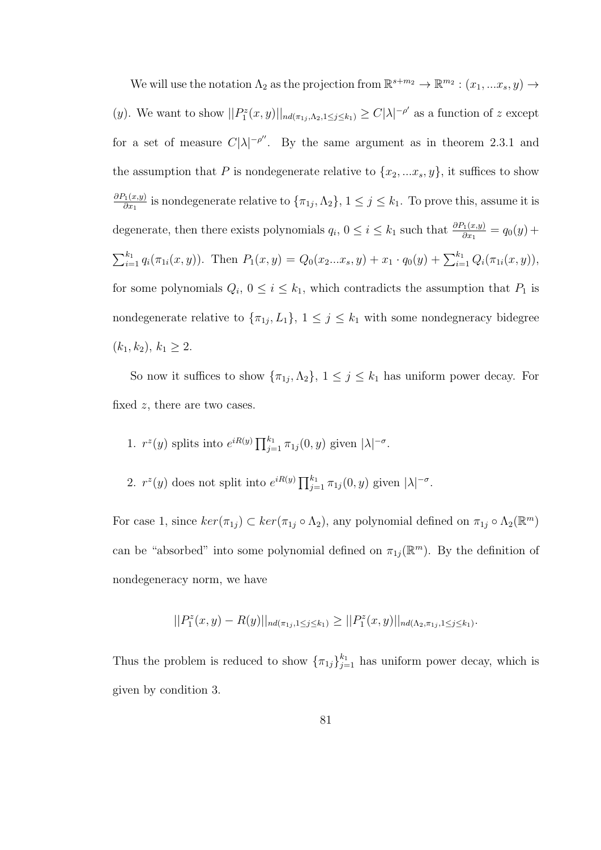We will use the notation  $\Lambda_2$  as the projection from  $\mathbb{R}^{s+m_2} \to \mathbb{R}^{m_2}$  :  $(x_1, ... x_s, y) \to$ (y). We want to show  $||P_1^z(x,y)||_{nd(\pi_{1j},\Lambda_2,1\leq j\leq k_1)} \geq C|\lambda|^{-\rho'}$  as a function of z except for a set of measure  $C|\lambda|^{-\rho''}$ . By the same argument as in theorem 2.3.1 and the assumption that P is nondegenerate relative to  $\{x_2, \ldots x_s, y\}$ , it suffices to show  $\partial P_1(x,y)$  $\frac{\gamma_1(x,y)}{\partial x_1}$  is nondegenerate relative to  $\{\pi_{1j}, \Lambda_2\}, 1 \le j \le k_1$ . To prove this, assume it is degenerate, then there exists polynomials  $q_i$ ,  $0 \le i \le k_1$  such that  $\frac{\partial P_1(x,y)}{\partial x_1} = q_0(y) +$  $\sum_{i=1}^{k_1} q_i(\pi_{1i}(x, y))$ . Then  $P_1(x, y) = Q_0(x_2...x_s, y) + x_1 \cdot q_0(y) + \sum_{i=1}^{k_1} Q_i(\pi_{1i}(x, y)),$ for some polynomials  $Q_i$ ,  $0 \leq i \leq k_1$ , which contradicts the assumption that  $P_1$  is nondegenerate relative to  ${\lbrace \pi_{1j}, L_1 \rbrace}$ ,  $1 \leq j \leq k_1$  with some nondegneracy bidegree  $(k_1, k_2), k_1 \geq 2.$ 

So now it suffices to show  $\{\pi_{1j}, \Lambda_2\}$ ,  $1 \leq j \leq k_1$  has uniform power decay. For fixed  $z$ , there are two cases.

1. 
$$
r^z(y)
$$
 splits into  $e^{iR(y)} \prod_{j=1}^{k_1} \pi_{1j}(0, y)$  given  $|\lambda|^{-\sigma}$ .

2.  $r^z(y)$  does not split into  $e^{iR(y)} \prod_{j=1}^{k_1} \pi_{1j}(0, y)$  given  $|\lambda|^{-\sigma}$ .

For case 1, since  $ker(\pi_{1j}) \subset ker(\pi_{1j} \circ \Lambda_2)$ , any polynomial defined on  $\pi_{1j} \circ \Lambda_2(\mathbb{R}^m)$ can be "absorbed" into some polynomial defined on  $\pi_{1j}(\mathbb{R}^m)$ . By the definition of nondegeneracy norm, we have

$$
||P_1^z(x,y) - R(y)||_{nd(\pi_{1j},1 \le j \le k_1)} \ge ||P_1^z(x,y)||_{nd(\Lambda_2,\pi_{1j},1 \le j \le k_1)}.
$$

Thus the problem is reduced to show  $\{\pi_{1j}\}_{j=1}^{k_1}$  has uniform power decay, which is given by condition 3.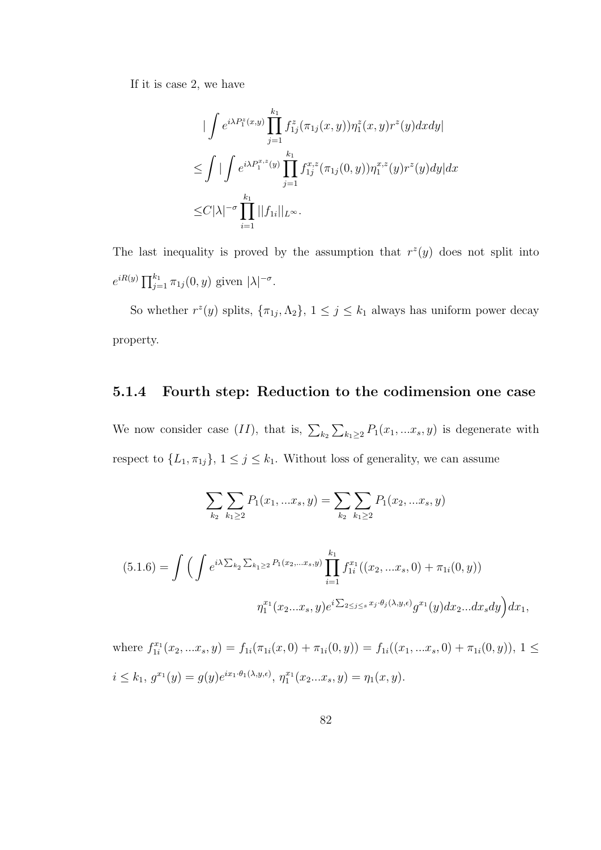If it is case 2, we have

$$
\begin{split}\n&\int e^{i\lambda P_1^z(x,y)} \prod_{j=1}^{k_1} f_{1j}^z(\pi_{1j}(x,y)) \eta_1^z(x,y) r^z(y) dx dy \\
&\leq \int \left| \int e^{i\lambda P_1^{x,z}(y)} \prod_{j=1}^{k_1} f_{1j}^{x,z}(\pi_{1j}(0,y)) \eta_1^{x,z}(y) r^z(y) dy \right| dx \\
&\leq C |\lambda|^{-\sigma} \prod_{i=1}^{k_1} ||f_{1i}||_{L^{\infty}}.\n\end{split}
$$

The last inequality is proved by the assumption that  $r^2(y)$  does not split into  $e^{iR(y)} \prod_{j=1}^{k_1} \pi_{1j}(0, y)$  given  $|\lambda|^{-\sigma}$ .

So whether  $r^z(y)$  splits,  $\{\pi_{1j}, \Lambda_2\}$ ,  $1 \leq j \leq k_1$  always has uniform power decay property.

#### 5.1.4 Fourth step: Reduction to the codimension one case

We now consider case  $(II)$ , that is,  $\sum_{k_2} \sum_{k_1 \geq 2} P_1(x_1, \ldots, x_s, y)$  is degenerate with respect to  $\{L_1, \pi_{1j}\}, 1 \le j \le k_1$ . Without loss of generality, we can assume

$$
\sum_{k_2} \sum_{k_1 \ge 2} P_1(x_1, \dots, x_s, y) = \sum_{k_2} \sum_{k_1 \ge 2} P_1(x_2, \dots, x_s, y)
$$
  
(5.1.6) = 
$$
\int \left( \int e^{i\lambda \sum_{k_2} \sum_{k_1 \ge 2} P_1(x_2, \dots, x_s, y)} \prod_{i=1}^{k_1} f_{1i}^{x_1}((x_2, \dots, x_s, 0) + \pi_{1i}(0, y)) \right)
$$

$$
\eta_1^{x_1}(x_2, \dots, x_s, y) e^{i \sum_{2 \le j \le s} x_j \cdot \theta_j(\lambda, y, \epsilon)} g^{x_1}(y) dx_2 \dots dx_s dy \Big) dx_1,
$$

where  $f_{1i}^{x_1}(x_2,...x_s,y) = f_{1i}(\pi_{1i}(x,0) + \pi_{1i}(0,y)) = f_{1i}((x_1,...x_s,0) + \pi_{1i}(0,y)), 1 \leq$  $i \leq k_1, g^{x_1}(y) = g(y)e^{ix_1 \cdot \theta_1(\lambda, y, \epsilon)}, \eta_1^{x_1}(x_2...x_s, y) = \eta_1(x, y).$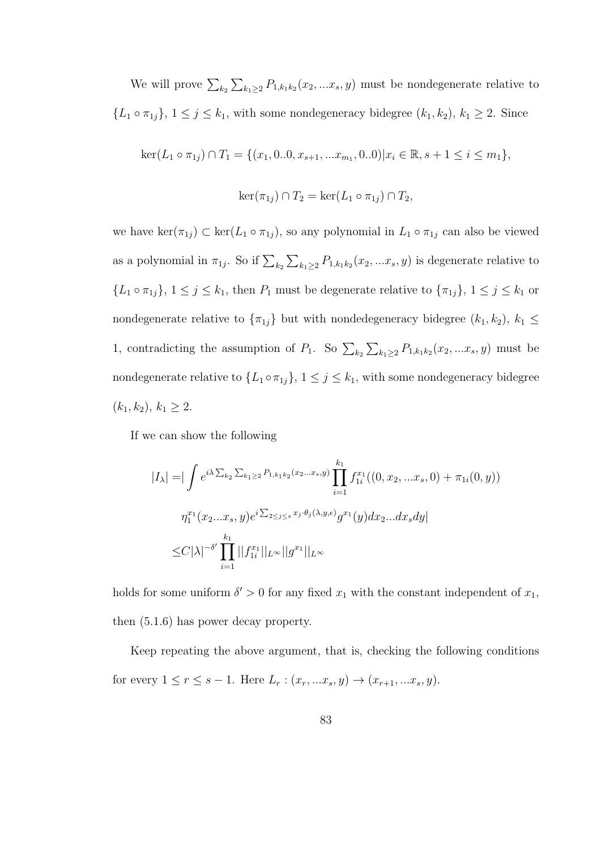We will prove  $\sum_{k_2} \sum_{k_1 \geq 2} P_{1,k_1k_2}(x_2,...x_s, y)$  must be nondegenerate relative to  ${L_1 \circ \pi_{1j}}, 1 \leq j \leq k_1$ , with some nondegeneracy bidegree  $(k_1, k_2)$ ,  $k_1 \geq 2$ . Since

$$
\ker(L_1 \circ \pi_{1j}) \cap T_1 = \{ (x_1, 0.0, x_{s+1}, \dots, x_{m_1}, 0.0) | x_i \in \mathbb{R}, s+1 \le i \le m_1 \},
$$
  

$$
\ker(\pi_{1j}) \cap T_2 = \ker(L_1 \circ \pi_{1j}) \cap T_2,
$$

we have  $\ker(\pi_{1j}) \subset \ker(L_1 \circ \pi_{1j})$ , so any polynomial in  $L_1 \circ \pi_{1j}$  can also be viewed as a polynomial in  $\pi_{1j}$ . So if  $\sum_{k_2} \sum_{k_1 \geq 2} P_{1,k_1k_2}(x_2,...x_s, y)$  is degenerate relative to  ${L_1 \circ \pi_{1j}}, 1 \leq j \leq k_1$ , then  $P_1$  must be degenerate relative to  ${\pi_{1j}}$ ,  $1 \leq j \leq k_1$  or nondegenerate relative to  $\{\pi_{1j}\}$  but with nondedegeneracy bidegree  $(k_1, k_2)$ ,  $k_1 \leq$ 1, contradicting the assumption of  $P_1$ . So  $\sum_{k_2} \sum_{k_1 \geq 2} P_{1,k_1k_2}(x_2,...x_s,y)$  must be nondegenerate relative to  $\{L_1 \circ \pi_{1j}\}, 1 \leq j \leq k_1$ , with some nondegeneracy bidegree  $(k_1, k_2), k_1 \geq 2.$ 

If we can show the following

$$
|I_{\lambda}| = \left| \int e^{i\lambda \sum_{k_2} \sum_{k_1 \ge 2} P_{1,k_1k_2}(x_2...x_s,y)} \prod_{i=1}^{k_1} f_{1i}^{x_1}((0, x_2, ... x_s, 0) + \pi_{1i}(0, y)) \right|
$$
  

$$
\eta_1^{x_1}(x_2...x_s, y) e^{i \sum_{2 \le j \le s} x_j \cdot \theta_j(\lambda, y, \epsilon)} g^{x_1}(y) dx_2...dx_s dy|
$$
  

$$
\le C|\lambda|^{-\delta'} \prod_{i=1}^{k_1} ||f_{1i}^{x_1}||_{L^{\infty}} ||g^{x_1}||_{L^{\infty}}
$$

holds for some uniform  $\delta' > 0$  for any fixed  $x_1$  with the constant independent of  $x_1$ , then (5.1.6) has power decay property.

Keep repeating the above argument, that is, checking the following conditions for every  $1 \le r \le s - 1$ . Here  $L_r : (x_r, ... x_s, y) \to (x_{r+1}, ... x_s, y)$ .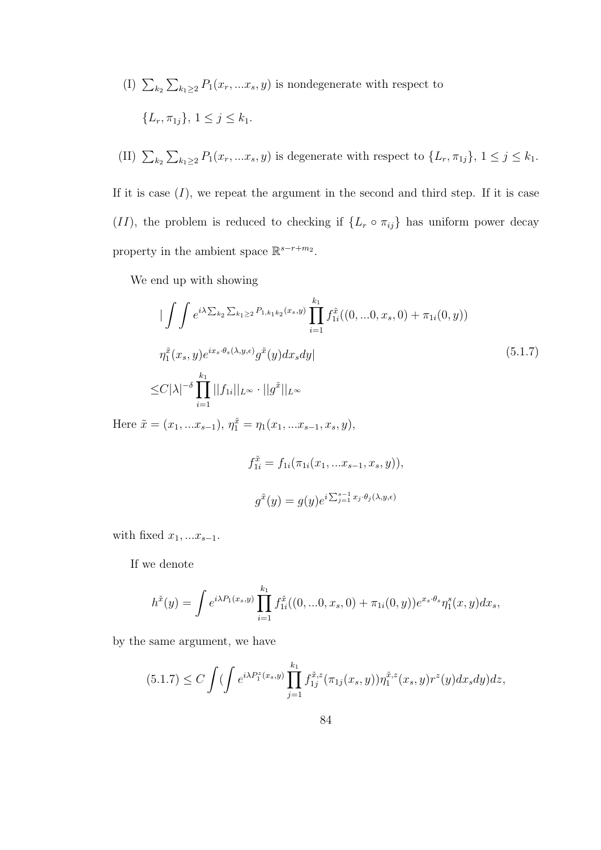- (I)  $\sum_{k_2} \sum_{k_1 \geq 2} P_1(x_r, \ldots, x_s, y)$  is nondegenerate with respect to  ${L_r, \pi_{1i}}, 1 \leq j \leq k_1.$
- (II)  $\sum_{k_2} \sum_{k_1 \geq 2} P_1(x_r, \ldots, x_s, y)$  is degenerate with respect to  $\{L_r, \pi_{1j}\}, 1 \leq j \leq k_1$ .

If it is case  $(I)$ , we repeat the argument in the second and third step. If it is case (II), the problem is reduced to checking if  $\{L_r \circ \pi_{ij}\}\)$  has uniform power decay property in the ambient space  $\mathbb{R}^{s-r+m_2}$ .

We end up with showing

$$
\begin{split}\n&\left|\int \int e^{i\lambda \sum_{k_2} \sum_{k_1 \ge 2} P_{1,k_1k_2}(x_s,y)} \prod_{i=1}^{k_1} f_{1i}^{\tilde{x}}((0,...0,x_s,0) + \pi_{1i}(0,y))\n\right. \\
&\left.\eta_1^{\tilde{x}}(x_s,y)e^{ix_s \cdot \theta_s(\lambda,y,\epsilon)} g^{\tilde{x}}(y)dx_s dy\right| \\
&\le C|\lambda|^{-\delta} \prod_{i=1}^{k_1} ||f_{1i}||_{L^{\infty}} \cdot ||g^{\tilde{x}}||_{L^{\infty}}\n\end{split}
$$
\n
$$
(5.1.7)
$$

Here  $\tilde{x} = (x_1, ... x_{s-1}), \eta_1^{\tilde{x}} = \eta_1(x_1, ... x_{s-1}, x_s, y),$ 

$$
f_{1i}^{\tilde{x}} = f_{1i}(\pi_{1i}(x_1, ... x_{s-1}, x_s, y)),
$$
  

$$
g^{\tilde{x}}(y) = g(y)e^{i\sum_{j=1}^{s-1} x_j \cdot \theta_j(\lambda, y, \epsilon)}
$$

with fixed  $x_1, ... x_{s-1}$ .

If we denote

$$
h^{\tilde{x}}(y) = \int e^{i\lambda P_1(x_s, y)} \prod_{i=1}^{k_1} f_{1i}^{\tilde{x}}((0, ...0, x_s, 0) + \pi_{1i}(0, y)) e^{x_s \cdot \theta_s} \eta_1^s(x, y) dx_s,
$$

by the same argument, we have

$$
(5.1.7) \le C \int \left( \int e^{i\lambda P_1^z(x_s, y)} \prod_{j=1}^{k_1} f_{1j}^{\tilde{x},z}(\pi_{1j}(x_s, y)) \eta_1^{\tilde{x},z}(x_s, y) r^z(y) dx_s dy \right) dz,
$$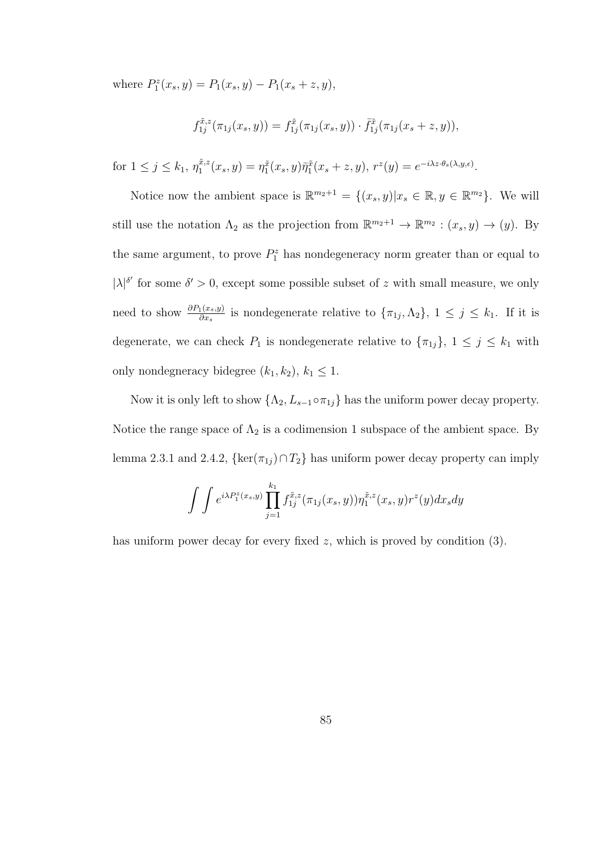where  $P_1^z(x_s, y) = P_1(x_s, y) - P_1(x_s + z, y),$ 

$$
f_{1j}^{\tilde{x},z}(\pi_{1j}(x_s,y)) = f_{1j}^{\tilde{x}}(\pi_{1j}(x_s,y)) \cdot \bar{f}_{1j}^{\tilde{x}}(\pi_{1j}(x_s+z,y)),
$$

for  $1 \le j \le k_1, \, \eta_1^{\tilde{x},z}$  $I_1^{\tilde{x},z}(x_s,y) = \eta_1^{\tilde{x}}(x_s,y)\overline{\eta}_1^{\tilde{x}}(x_s+z,y), r^z(y) = e^{-i\lambda z \cdot \theta_s(\lambda,y,\epsilon)}.$ 

Notice now the ambient space is  $\mathbb{R}^{m_2+1} = \{(x_s, y)|x_s \in \mathbb{R}, y \in \mathbb{R}^{m_2}\}\.$  We will still use the notation  $\Lambda_2$  as the projection from  $\mathbb{R}^{m_2+1} \to \mathbb{R}^{m_2} : (x_s, y) \to (y)$ . By the same argument, to prove  $P_1^z$  has nondegeneracy norm greater than or equal to  $|\lambda|^{\delta'}$  for some  $\delta' > 0$ , except some possible subset of z with small measure, we only need to show  $\frac{\partial P_1(x_s,y)}{\partial x_s}$  is nondegenerate relative to  $\{\pi_{1j},\Lambda_2\}, 1 \leq j \leq k_1$ . If it is degenerate, we can check  $P_1$  is nondegenerate relative to  $\{\pi_{1j}\}, 1 \le j \le k_1$  with only nondegneracy bidegree  $(k_1, k_2)$ ,  $k_1 \leq 1$ .

Now it is only left to show  $\{\Lambda_2, L_{s-1} \circ \pi_{1j}\}$  has the uniform power decay property. Notice the range space of  $\Lambda_2$  is a codimension 1 subspace of the ambient space. By lemma 2.3.1 and 2.4.2, { $\ker(\pi_{1j}) \cap T_2$ } has uniform power decay property can imply

$$
\int \int e^{i\lambda P_1^z(x_s, y)} \prod_{j=1}^{k_1} f_{1j}^{\tilde{x},z}(\pi_{1j}(x_s, y)) \eta_1^{\tilde{x},z}(x_s, y) r^z(y) dx_s dy
$$

has uniform power decay for every fixed  $z$ , which is proved by condition  $(3)$ .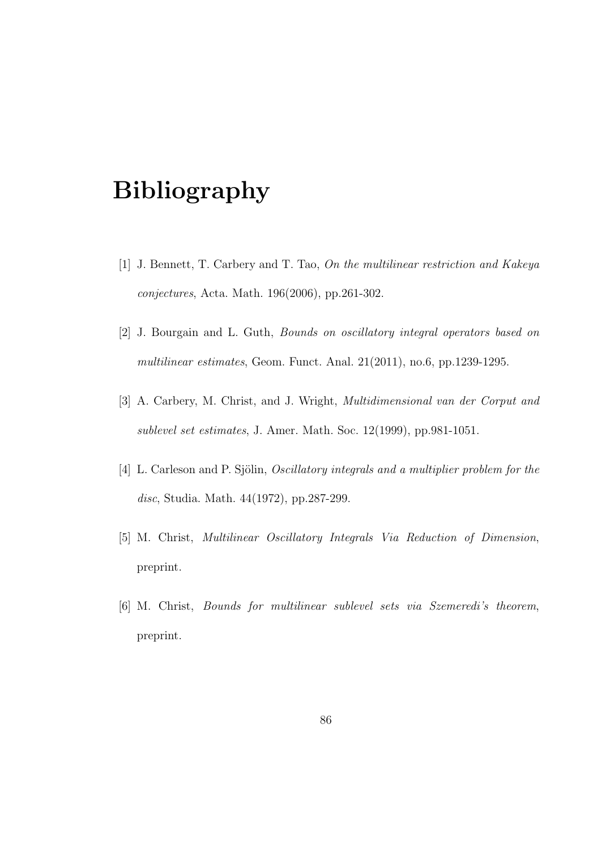# Bibliography

- [1] J. Bennett, T. Carbery and T. Tao, On the multilinear restriction and Kakeya conjectures, Acta. Math. 196(2006), pp.261-302.
- [2] J. Bourgain and L. Guth, Bounds on oscillatory integral operators based on multilinear estimates, Geom. Funct. Anal. 21(2011), no.6, pp.1239-1295.
- [3] A. Carbery, M. Christ, and J. Wright, Multidimensional van der Corput and sublevel set estimates, J. Amer. Math. Soc. 12(1999), pp.981-1051.
- [4] L. Carleson and P. Sjölin, *Oscillatory integrals and a multiplier problem for the* disc, Studia. Math. 44(1972), pp.287-299.
- [5] M. Christ, Multilinear Oscillatory Integrals Via Reduction of Dimension, preprint.
- [6] M. Christ, Bounds for multilinear sublevel sets via Szemeredi's theorem, preprint.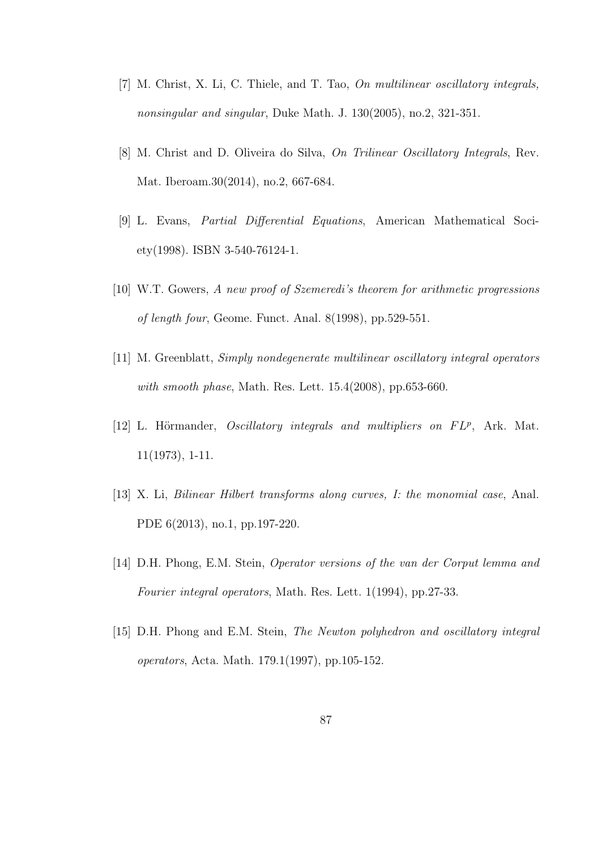- [7] M. Christ, X. Li, C. Thiele, and T. Tao, On multilinear oscillatory integrals, nonsingular and singular, Duke Math. J. 130(2005), no.2, 321-351.
- [8] M. Christ and D. Oliveira do Silva, On Trilinear Oscillatory Integrals, Rev. Mat. Iberoam.30(2014), no.2, 667-684.
- [9] L. Evans, Partial Differential Equations, American Mathematical Society(1998). ISBN 3-540-76124-1.
- [10] W.T. Gowers, A new proof of Szemeredi's theorem for arithmetic progressions of length four, Geome. Funct. Anal. 8(1998), pp.529-551.
- [11] M. Greenblatt, Simply nondegenerate multilinear oscillatory integral operators with smooth phase, Math. Res. Lett. 15.4(2008), pp.653-660.
- [12] L. Hörmander, *Oscillatory integrals and multipliers on FLP*, Ark. Mat. 11(1973), 1-11.
- [13] X. Li, Bilinear Hilbert transforms along curves, I: the monomial case, Anal. PDE 6(2013), no.1, pp.197-220.
- [14] D.H. Phong, E.M. Stein, Operator versions of the van der Corput lemma and Fourier integral operators, Math. Res. Lett. 1(1994), pp.27-33.
- [15] D.H. Phong and E.M. Stein, The Newton polyhedron and oscillatory integral operators, Acta. Math. 179.1(1997), pp.105-152.